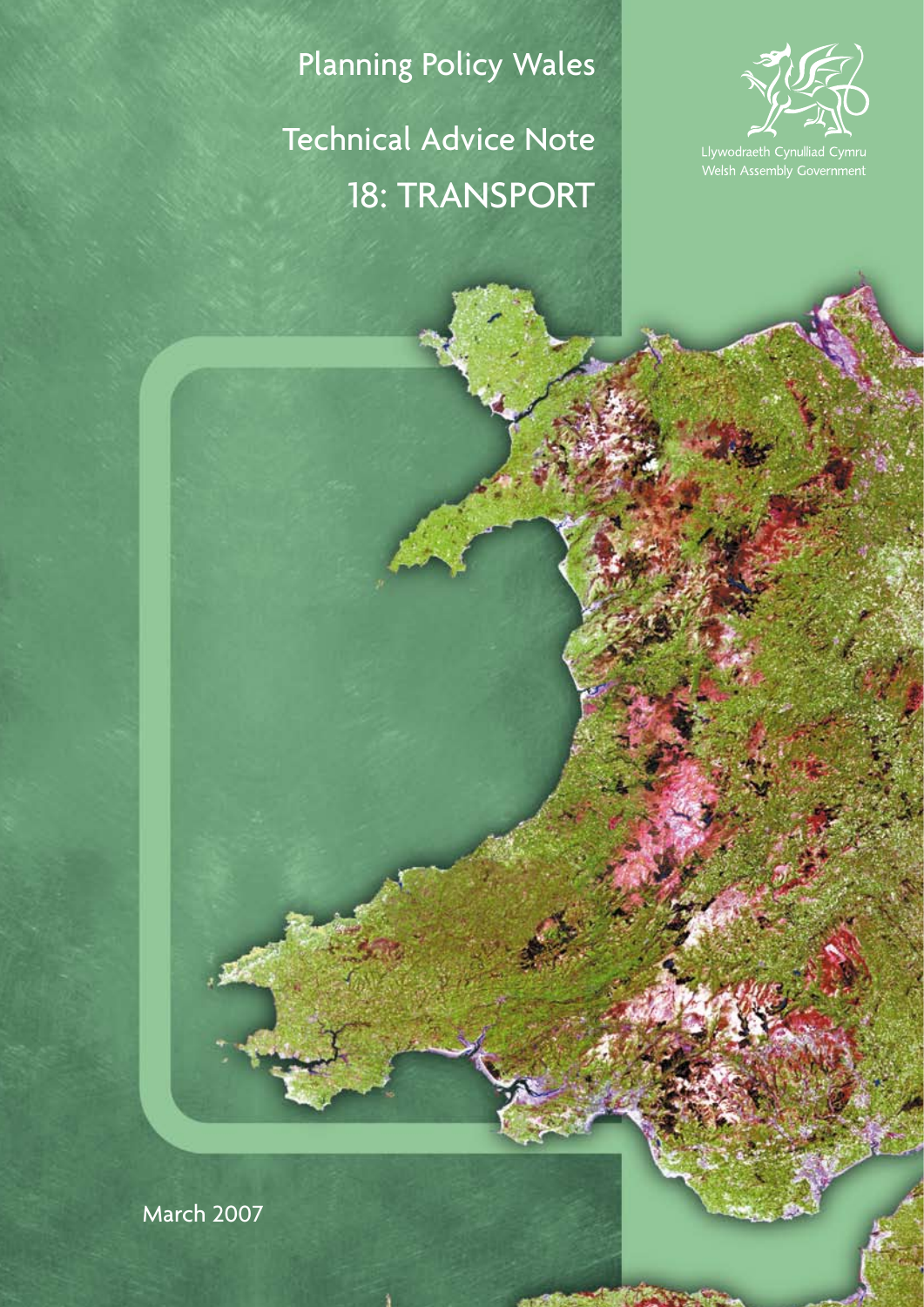Planning Policy Wales Technical Advice Note 18: TRANSPORT



March 2007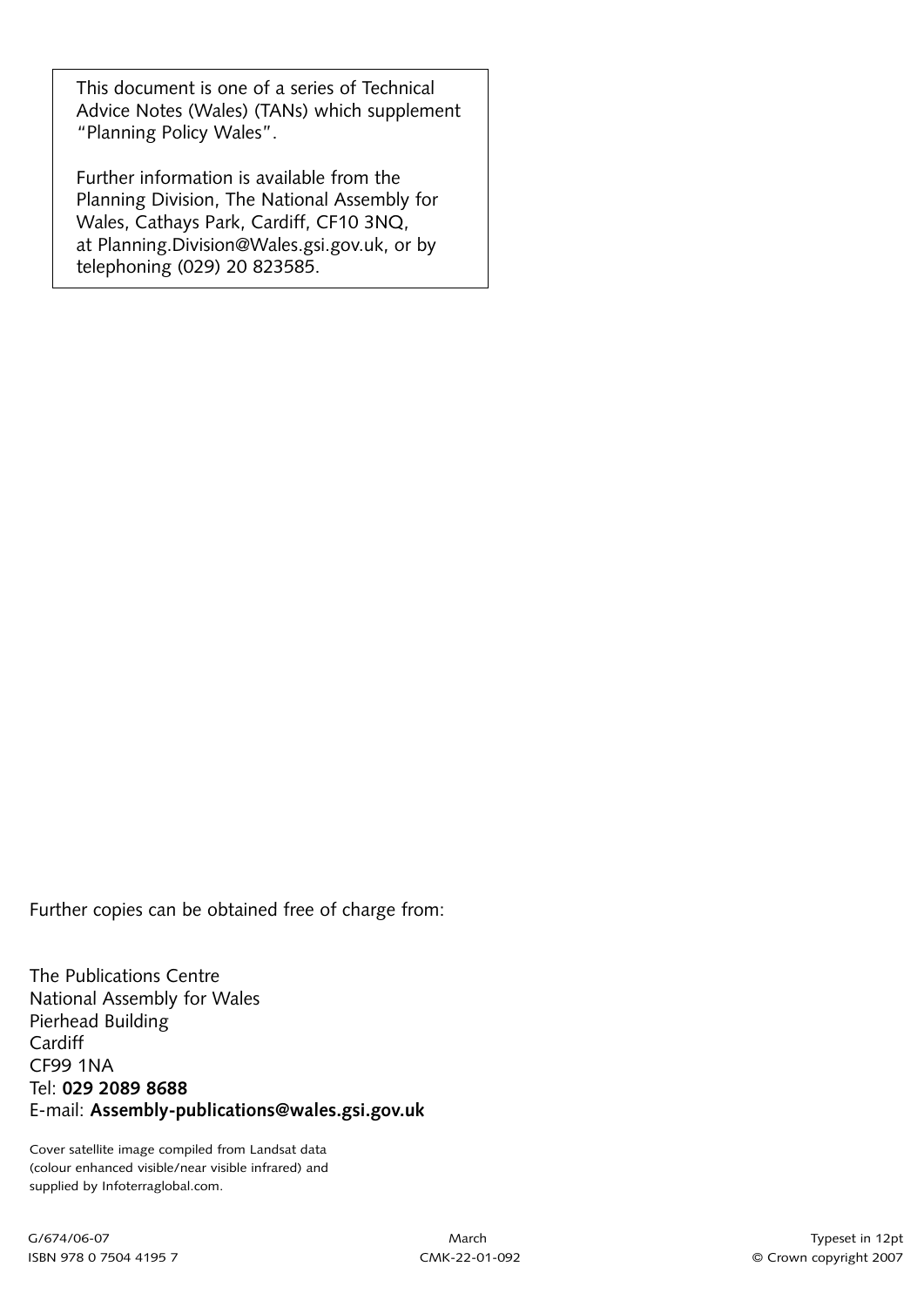This document is one of a series of Technical Advice Notes (Wales) (TANs) which supplement "Planning Policy Wales".

Further information is available from the Planning Division, The National Assembly for Wales, Cathays Park, Cardiff, CF10 3NQ, at Planning.Division@Wales.gsi.gov.uk, or by telephoning (029) 20 823585.

Further copies can be obtained free of charge from:

The Publications Centre National Assembly for Wales Pierhead Building **Cardiff** CF99 1NA Tel: **029 2089 8688** E-mail: **Assembly-publications@wales.gsi.gov.uk**

Cover satellite image compiled from Landsat data (colour enhanced visible/near visible infrared) and supplied by Infoterraglobal.com.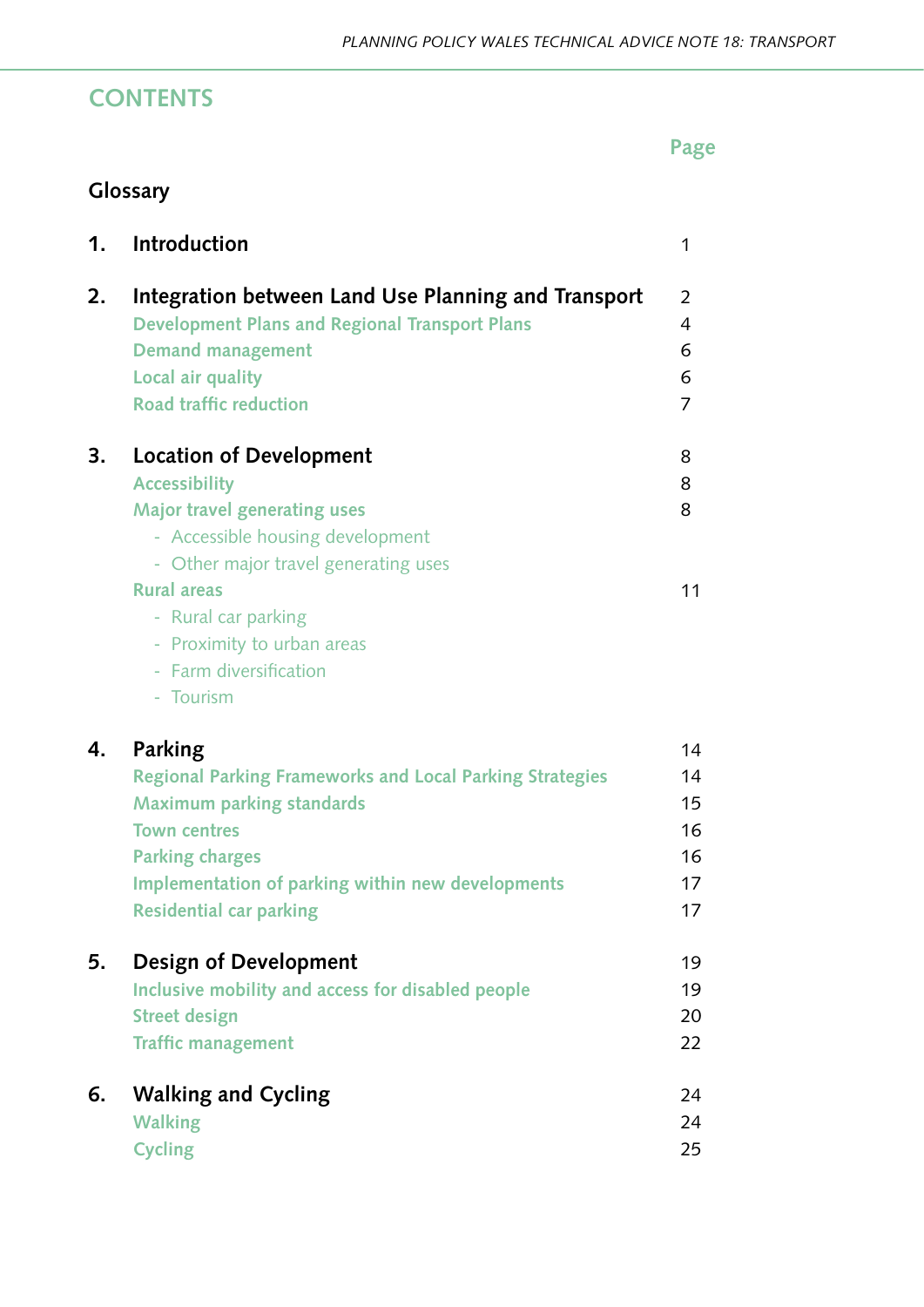# **CONTENTS**

# **Glossary**

| 1. | <b>Introduction</b>                                                                                                                                                                                                                                                                         | 1                                      |
|----|---------------------------------------------------------------------------------------------------------------------------------------------------------------------------------------------------------------------------------------------------------------------------------------------|----------------------------------------|
| 2. | Integration between Land Use Planning and Transport<br><b>Development Plans and Regional Transport Plans</b><br><b>Demand management</b><br>Local air quality<br><b>Road traffic reduction</b>                                                                                              | 2<br>4<br>6<br>6<br>7                  |
| 3. | <b>Location of Development</b><br><b>Accessibility</b><br><b>Major travel generating uses</b><br>- Accessible housing development<br>- Other major travel generating uses<br><b>Rural areas</b><br>- Rural car parking<br>- Proximity to urban areas<br>- Farm diversification<br>- Tourism | 8<br>8<br>8<br>11                      |
| 4. | <b>Parking</b><br><b>Regional Parking Frameworks and Local Parking Strategies</b><br><b>Maximum parking standards</b><br><b>Town centres</b><br><b>Parking charges</b><br>Implementation of parking within new developments<br><b>Residential car parking</b>                               | 14<br>14<br>15<br>16<br>16<br>17<br>17 |
| 5. | Design of Development<br>Inclusive mobility and access for disabled people<br><b>Street design</b><br><b>Traffic management</b>                                                                                                                                                             | 19<br>19<br>20<br>22                   |
| 6. | <b>Walking and Cycling</b><br><b>Walking</b><br><b>Cycling</b>                                                                                                                                                                                                                              | 24<br>24<br>25                         |

*Page*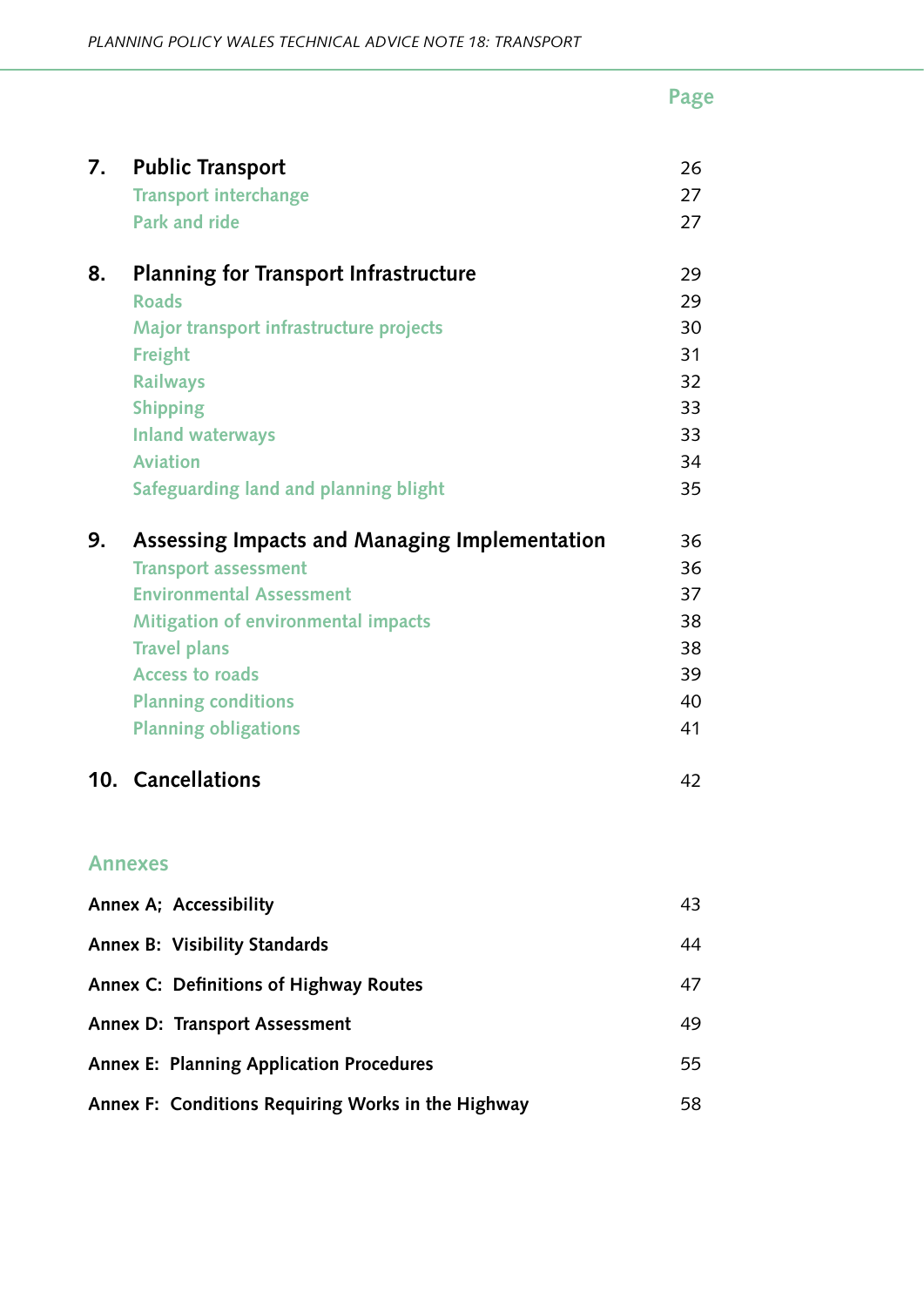|                                                    |                                                          | Page     |  |
|----------------------------------------------------|----------------------------------------------------------|----------|--|
| 7.                                                 | <b>Public Transport</b>                                  | 26       |  |
|                                                    | <b>Transport interchange</b>                             | 27       |  |
|                                                    | <b>Park and ride</b>                                     | 27       |  |
| 8.                                                 | <b>Planning for Transport Infrastructure</b>             | 29       |  |
|                                                    | <b>Roads</b>                                             | 29       |  |
|                                                    | Major transport infrastructure projects                  | 30       |  |
|                                                    | Freight                                                  | 31       |  |
|                                                    | <b>Railways</b>                                          | 32       |  |
|                                                    | <b>Shipping</b>                                          | 33       |  |
|                                                    | <b>Inland waterways</b>                                  | 33       |  |
|                                                    | <b>Aviation</b><br>Safeguarding land and planning blight | 34<br>35 |  |
|                                                    |                                                          |          |  |
| 9.                                                 | Assessing Impacts and Managing Implementation            | 36       |  |
|                                                    | <b>Transport assessment</b>                              | 36       |  |
|                                                    | <b>Environmental Assessment</b>                          | 37       |  |
|                                                    | <b>Mitigation of environmental impacts</b>               | 38       |  |
|                                                    | <b>Travel plans</b>                                      | 38       |  |
|                                                    | <b>Access to roads</b>                                   | 39       |  |
|                                                    | <b>Planning conditions</b>                               | 40       |  |
|                                                    | <b>Planning obligations</b>                              | 41       |  |
| 10 <sub>1</sub>                                    | <b>Cancellations</b>                                     | 42       |  |
|                                                    | <b>Annexes</b>                                           |          |  |
|                                                    | Annex A; Accessibility                                   | 43       |  |
|                                                    | Annex B: Visibility Standards                            | 44       |  |
|                                                    | Annex C: Definitions of Highway Routes                   | 47       |  |
|                                                    | <b>Annex D: Transport Assessment</b>                     | 49       |  |
|                                                    | <b>Annex E: Planning Application Procedures</b>          | 55       |  |
| Annex F: Conditions Requiring Works in the Highway |                                                          |          |  |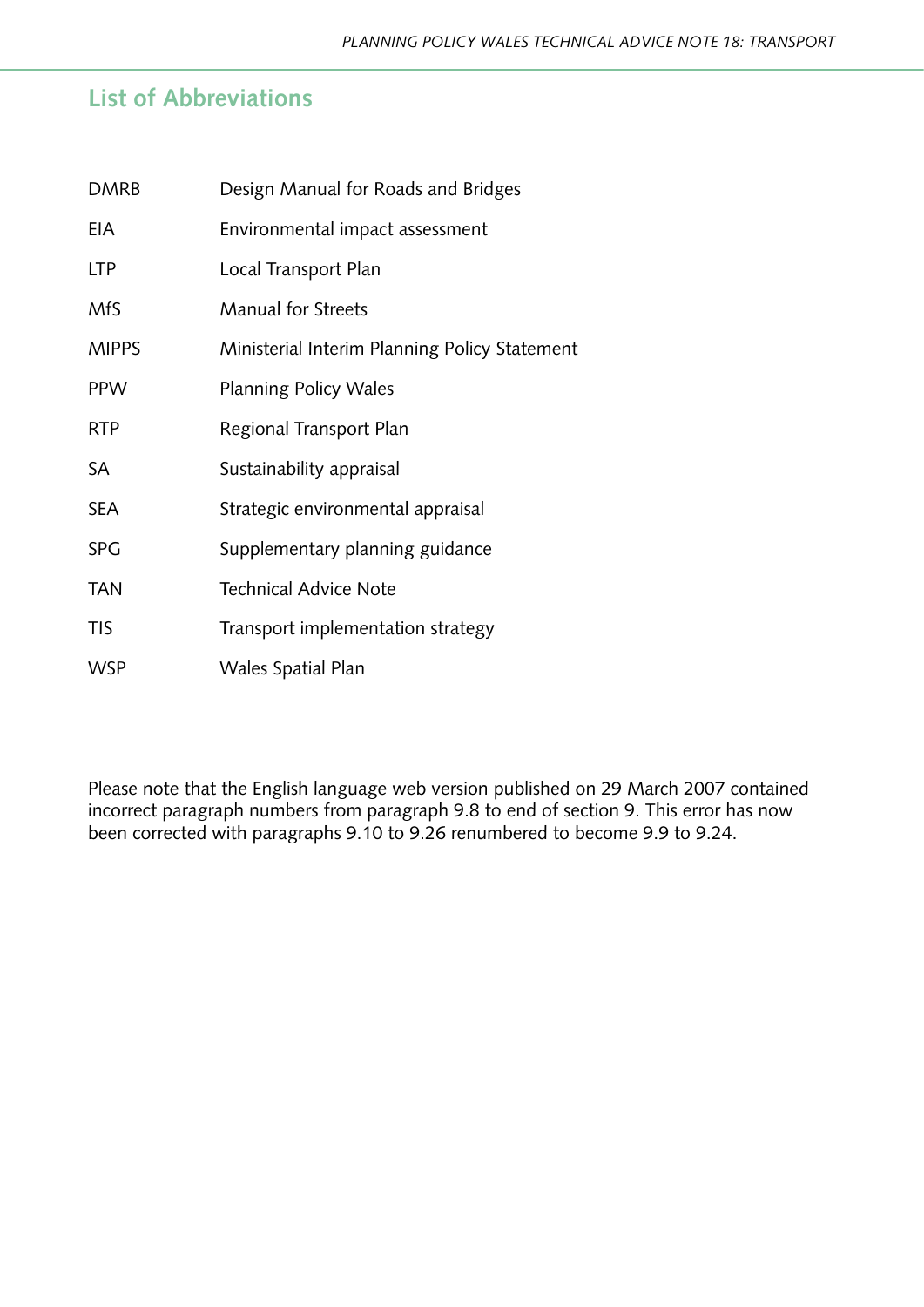# **List of Abbreviations**

| <b>DMRB</b>  | Design Manual for Roads and Bridges           |
|--------------|-----------------------------------------------|
| EIA          | Environmental impact assessment               |
| <b>LTP</b>   | Local Transport Plan                          |
| <b>MfS</b>   | <b>Manual for Streets</b>                     |
| <b>MIPPS</b> | Ministerial Interim Planning Policy Statement |
| <b>PPW</b>   | <b>Planning Policy Wales</b>                  |
| <b>RTP</b>   | Regional Transport Plan                       |
| SA           | Sustainability appraisal                      |
| <b>SEA</b>   | Strategic environmental appraisal             |
| <b>SPG</b>   | Supplementary planning guidance               |
| <b>TAN</b>   | <b>Technical Advice Note</b>                  |
| <b>TIS</b>   | Transport implementation strategy             |
| <b>WSP</b>   | <b>Wales Spatial Plan</b>                     |

Please note that the English language web version published on 29 March 2007 contained incorrect paragraph numbers from paragraph 9.8 to end of section 9. This error has now been corrected with paragraphs 9.10 to 9.26 renumbered to become 9.9 to 9.24.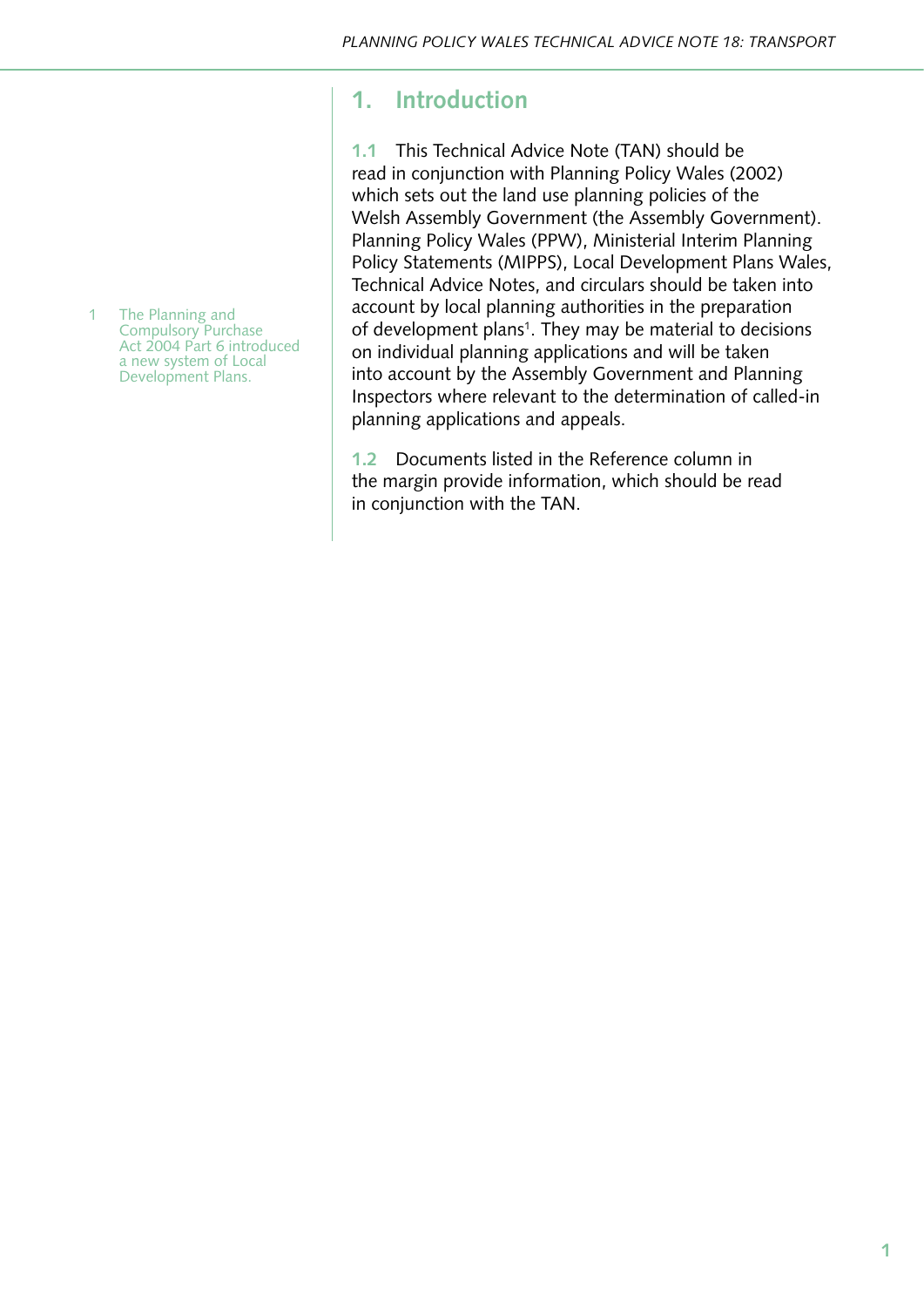#### 1 The Planning and Compulsory Purchase Act 2004 Part 6 introduced a new system of Local Development Plans.

# **1. Introduction**

**1.1** This Technical Advice Note (TAN) should be read in conjunction with Planning Policy Wales (2002) which sets out the land use planning policies of the Welsh Assembly Government (the Assembly Government). Planning Policy Wales (PPW), Ministerial Interim Planning Policy Statements (MIPPS), Local Development Plans Wales, Technical Advice Notes, and circulars should be taken into account by local planning authorities in the preparation of development plans<sup>1</sup>. They may be material to decisions on individual planning applications and will be taken into account by the Assembly Government and Planning Inspectors where relevant to the determination of called-in planning applications and appeals.

**1.2** Documents listed in the Reference column in the margin provide information, which should be read in conjunction with the TAN.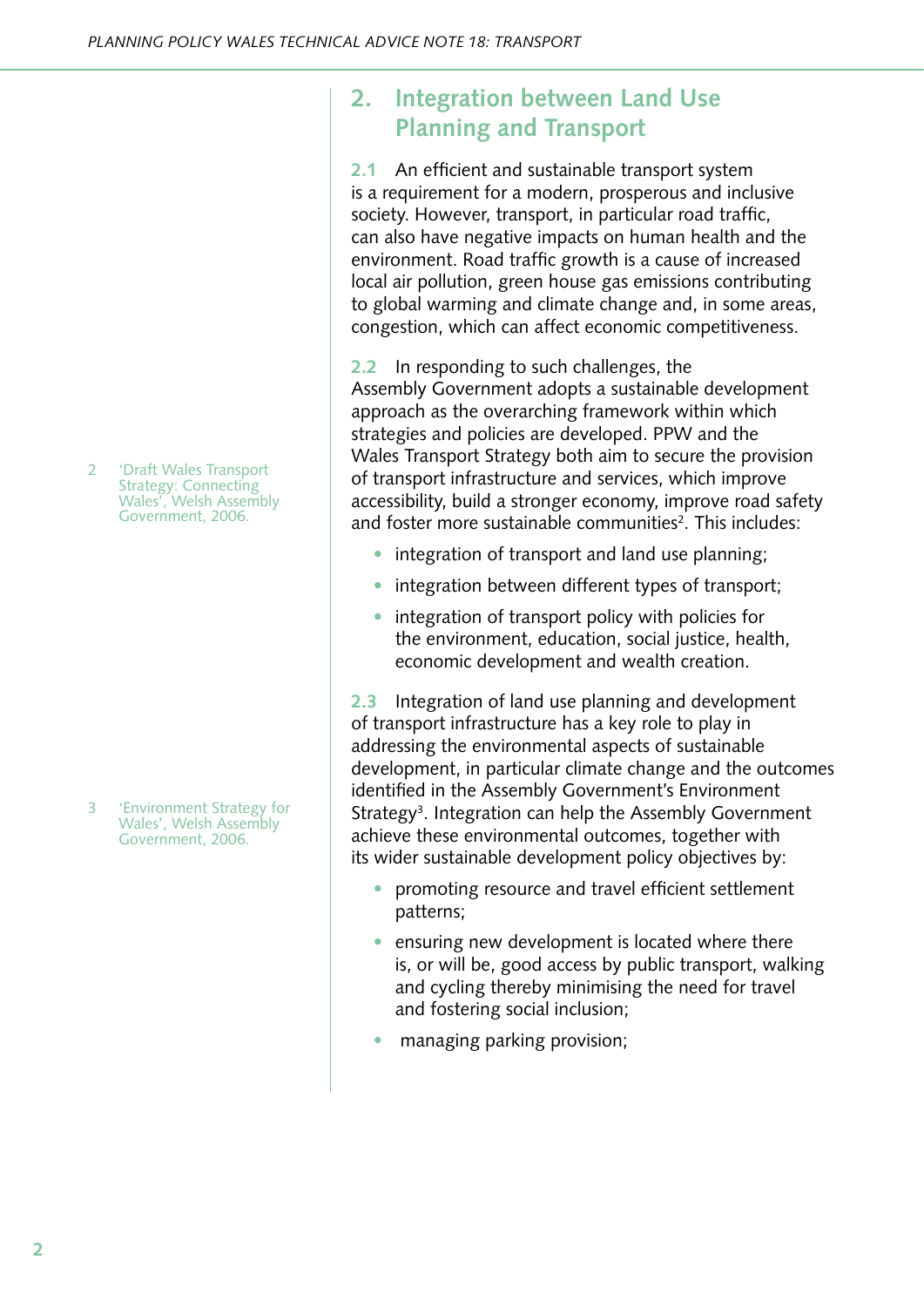2 'Draft Wales Transport Strategy: Connecting Wales', Welsh Assembly Government, 2006.

3 'Environment Strategy for Wales', Welsh Assembly Government, 2006.

# **2. Integration between Land Use Planning and Transport**

**2.1** An efficient and sustainable transport system is a requirement for a modern, prosperous and inclusive society. However, transport, in particular road traffic, can also have negative impacts on human health and the environment. Road traffic growth is a cause of increased local air pollution, green house gas emissions contributing to global warming and climate change and, in some areas, congestion, which can affect economic competitiveness.

**2.2** In responding to such challenges, the Assembly Government adopts a sustainable development approach as the overarching framework within which strategies and policies are developed. PPW and the Wales Transport Strategy both aim to secure the provision of transport infrastructure and services, which improve accessibility, build a stronger economy, improve road safety and foster more sustainable communities<sup>2</sup>. This includes:

- integration of transport and land use planning;
- integration between different types of transport;
- integration of transport policy with policies for the environment, education, social justice, health, economic development and wealth creation.

**2.3** Integration of land use planning and development of transport infrastructure has a key role to play in addressing the environmental aspects of sustainable development, in particular climate change and the outcomes identified in the Assembly Government's Environment Strategy<sup>3</sup>. Integration can help the Assembly Government achieve these environmental outcomes, together with its wider sustainable development policy objectives by:

- promoting resource and travel efficient settlement patterns;
- ensuring new development is located where there is, or will be, good access by public transport, walking and cycling thereby minimising the need for travel and fostering social inclusion;
- managing parking provision;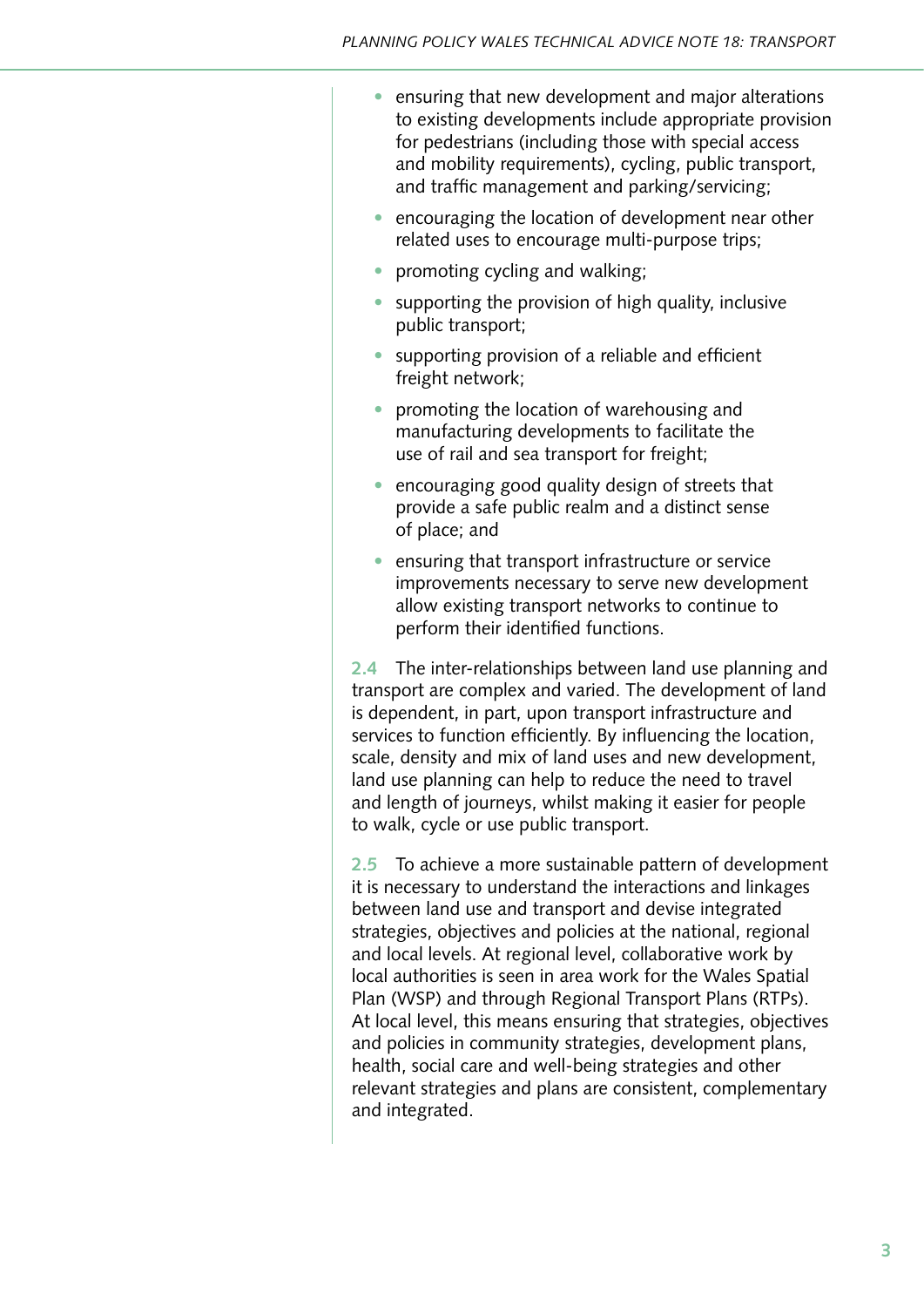- ensuring that new development and major alterations to existing developments include appropriate provision for pedestrians (including those with special access and mobility requirements), cycling, public transport, and traffic management and parking/servicing;
- encouraging the location of development near other related uses to encourage multi-purpose trips;
- promoting cycling and walking;
- supporting the provision of high quality, inclusive public transport;
- supporting provision of a reliable and efficient freight network;
- promoting the location of warehousing and manufacturing developments to facilitate the use of rail and sea transport for freight;
- encouraging good quality design of streets that provide a safe public realm and a distinct sense of place; and
- ensuring that transport infrastructure or service improvements necessary to serve new development allow existing transport networks to continue to perform their identified functions.

**2.4** The inter-relationships between land use planning and transport are complex and varied. The development of land is dependent, in part, upon transport infrastructure and services to function efficiently. By influencing the location, scale, density and mix of land uses and new development, land use planning can help to reduce the need to travel and length of journeys, whilst making it easier for people to walk, cycle or use public transport.

**2.5** To achieve a more sustainable pattern of development it is necessary to understand the interactions and linkages between land use and transport and devise integrated strategies, objectives and policies at the national, regional and local levels. At regional level, collaborative work by local authorities is seen in area work for the Wales Spatial Plan (WSP) and through Regional Transport Plans (RTPs). At local level, this means ensuring that strategies, objectives and policies in community strategies, development plans, health, social care and well-being strategies and other relevant strategies and plans are consistent, complementary and integrated.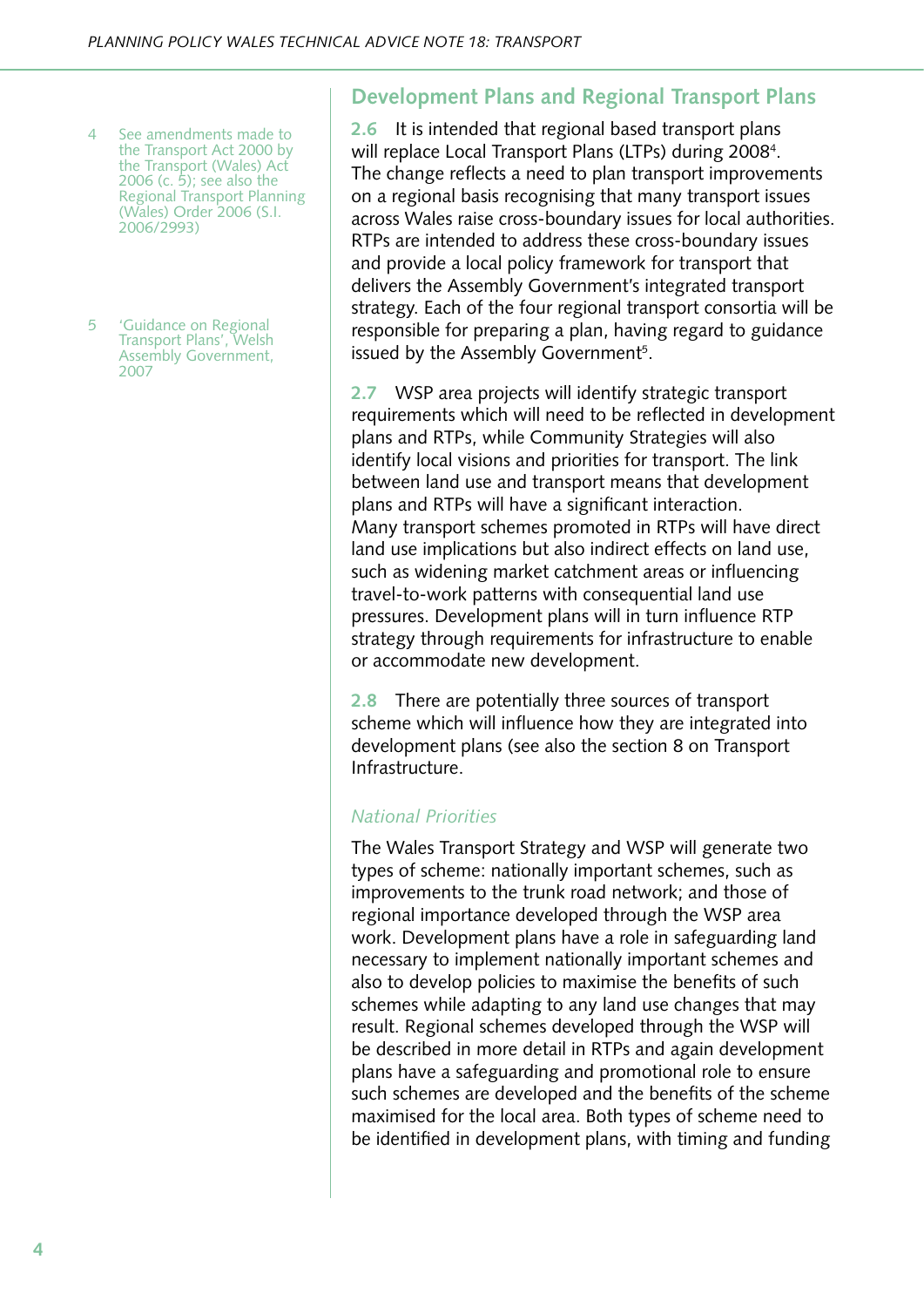4 See amendments made to the Transport Act 2000 by the Transport (Wales) Act 2006 (c. 5); see also the Regional Transport Planning (Wales) Order 2006 (S.I. 2006/2993)

5 'Guidance on Regional Transport Plans', Welsh Assembly Government, 2007

## **Development Plans and Regional Transport Plans**

**2.6** It is intended that regional based transport plans will replace Local Transport Plans (LTPs) during 2008<sup>4</sup>. The change reflects a need to plan transport improvements on a regional basis recognising that many transport issues across Wales raise cross-boundary issues for local authorities. RTPs are intended to address these cross-boundary issues and provide a local policy framework for transport that delivers the Assembly Government's integrated transport strategy. Each of the four regional transport consortia will be responsible for preparing a plan, having regard to guidance issued by the Assembly Government<sup>5</sup>.

**2.7** WSP area projects will identify strategic transport requirements which will need to be reflected in development plans and RTPs, while Community Strategies will also identify local visions and priorities for transport. The link between land use and transport means that development plans and RTPs will have a significant interaction. Many transport schemes promoted in RTPs will have direct land use implications but also indirect effects on land use, such as widening market catchment areas or influencing travel-to-work patterns with consequential land use pressures. Development plans will in turn influence RTP strategy through requirements for infrastructure to enable or accommodate new development.

**2.8** There are potentially three sources of transport scheme which will influence how they are integrated into development plans (see also the section 8 on Transport Infrastructure.

#### *National Priorities*

The Wales Transport Strategy and WSP will generate two types of scheme: nationally important schemes, such as improvements to the trunk road network; and those of regional importance developed through the WSP area work. Development plans have a role in safeguarding land necessary to implement nationally important schemes and also to develop policies to maximise the benefits of such schemes while adapting to any land use changes that may result. Regional schemes developed through the WSP will be described in more detail in RTPs and again development plans have a safeguarding and promotional role to ensure such schemes are developed and the benefits of the scheme maximised for the local area. Both types of scheme need to be identified in development plans, with timing and funding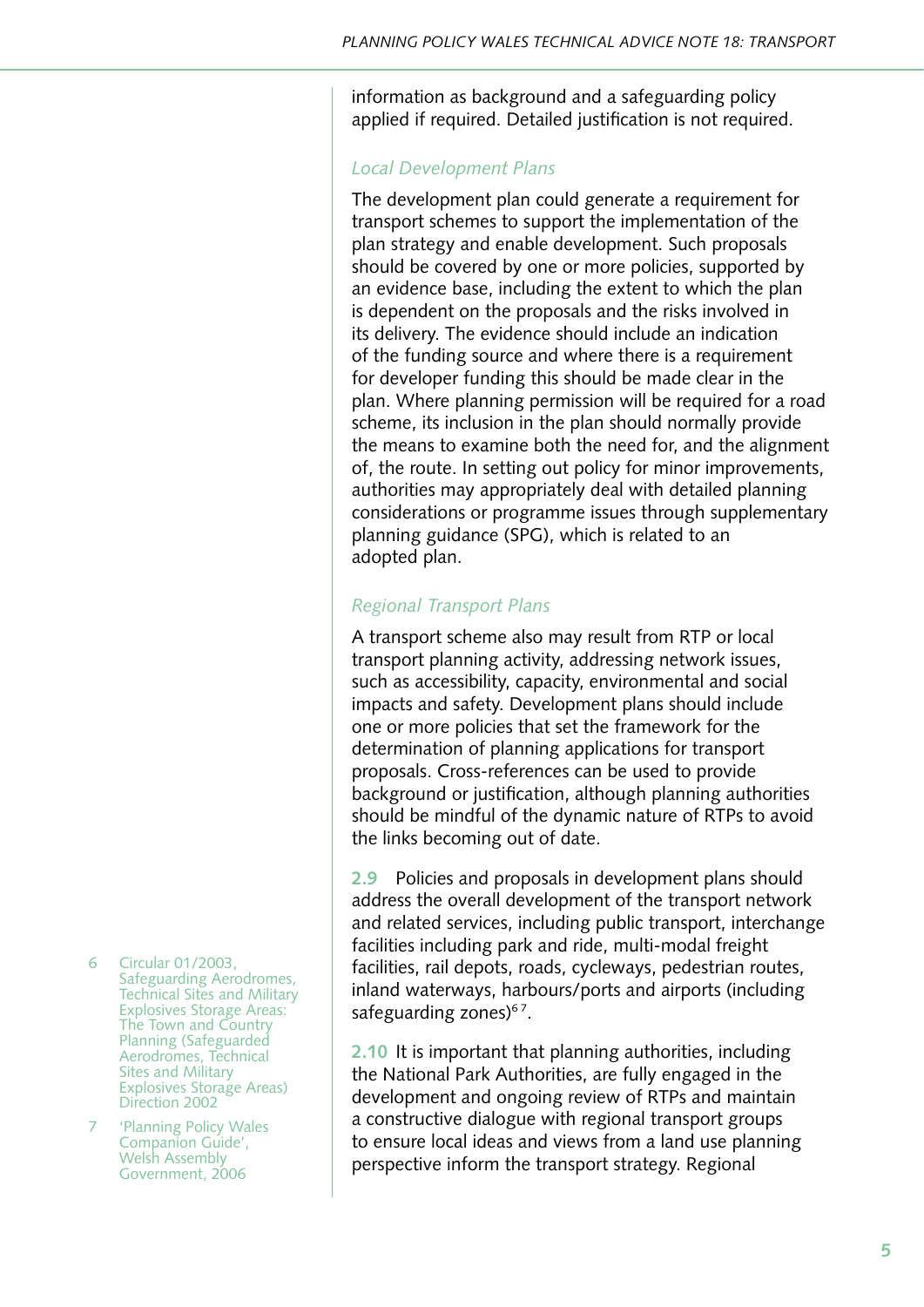information as background and a safeguarding policy applied if required. Detailed justification is not required.

#### *Local Development Plans*

The development plan could generate a requirement for transport schemes to support the implementation of the plan strategy and enable development. Such proposals should be covered by one or more policies, supported by an evidence base, including the extent to which the plan is dependent on the proposals and the risks involved in its delivery. The evidence should include an indication of the funding source and where there is a requirement for developer funding this should be made clear in the plan. Where planning permission will be required for a road scheme, its inclusion in the plan should normally provide the means to examine both the need for, and the alignment of, the route. In setting out policy for minor improvements, authorities may appropriately deal with detailed planning considerations or programme issues through supplementary planning guidance (SPG), which is related to an adopted plan.

#### *Regional Transport Plans*

A transport scheme also may result from RTP or local transport planning activity, addressing network issues, such as accessibility, capacity, environmental and social impacts and safety. Development plans should include one or more policies that set the framework for the determination of planning applications for transport proposals. Cross-references can be used to provide background or justification, although planning authorities should be mindful of the dynamic nature of RTPs to avoid the links becoming out of date.

**2.9** Policies and proposals in development plans should address the overall development of the transport network and related services, including public transport, interchange facilities including park and ride, multi-modal freight facilities, rail depots, roads, cycleways, pedestrian routes, inland waterways, harbours/ports and airports (including safeguarding zones) $67$ .

**2.10** It is important that planning authorities, including the National Park Authorities, are fully engaged in the development and ongoing review of RTPs and maintain a constructive dialogue with regional transport groups to ensure local ideas and views from a land use planning perspective inform the transport strategy. Regional

- 6 Circular 01/2003, Safeguarding Aerodromes, Technical Sites and Military Explosives Storage Areas: The Town and Country Planning (Safeguarded Aerodromes, Technical Sites and Military Explosives Storage Areas) Direction 2002
- 7 'Planning Policy Wales Companion Guide', Welsh Assembly Government, 2006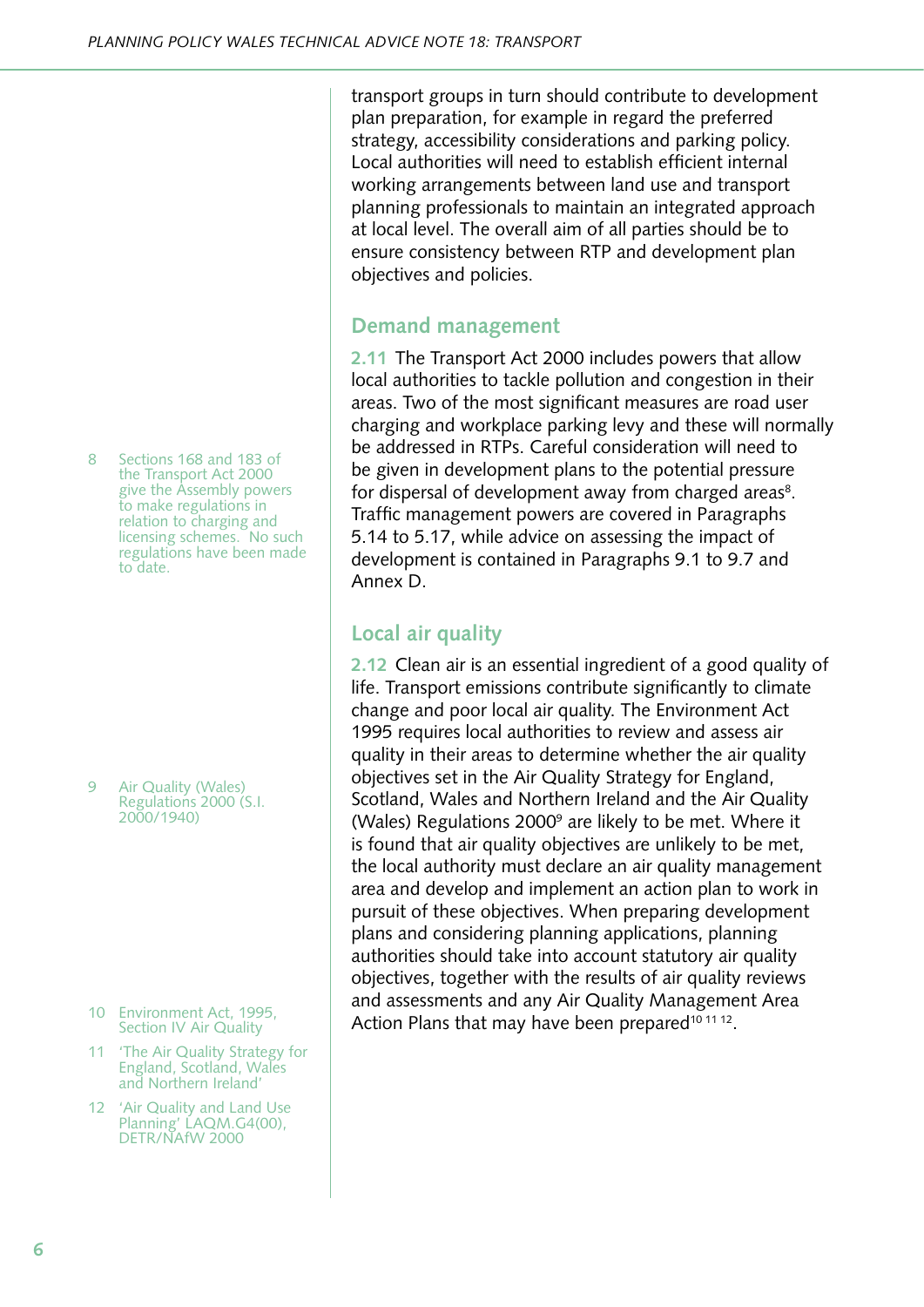8 Sections 168 and 183 of the Transport Act 2000 give the Assembly powers to make regulations in relation to charging and licensing schemes. No such regulations have been made to date.

9 Air Quality (Wales) Regulations 2000 (S.I. 2000/1940)

- 10 Environment Act, 1995, Section IV Air Quality
- 11 **The Air Quality Strategy for** England, Scotland, Wales and Northern Ireland'
- 12 'Air Quality and Land Use Planning' LAQM.G4(00), DETR/NAfW 2000

transport groups in turn should contribute to development plan preparation, for example in regard the preferred strategy, accessibility considerations and parking policy. Local authorities will need to establish efficient internal working arrangements between land use and transport planning professionals to maintain an integrated approach at local level. The overall aim of all parties should be to ensure consistency between RTP and development plan objectives and policies.

### **Demand management**

**2.11** The Transport Act 2000 includes powers that allow local authorities to tackle pollution and congestion in their areas. Two of the most significant measures are road user charging and workplace parking levy and these will normally be addressed in RTPs. Careful consideration will need to be given in development plans to the potential pressure for dispersal of development away from charged areas<sup>8</sup>. Traffic management powers are covered in Paragraphs 5.14 to 5.17, while advice on assessing the impact of development is contained in Paragraphs 9.1 to 9.7 and Annex D.

# **Local air quality**

**2.12** Clean air is an essential ingredient of a good quality of life. Transport emissions contribute significantly to climate change and poor local air quality. The Environment Act 1995 requires local authorities to review and assess air quality in their areas to determine whether the air quality objectives set in the Air Quality Strategy for England, Scotland, Wales and Northern Ireland and the Air Quality (Wales) Regulations  $2000^{\circ}$  are likely to be met. Where it is found that air quality objectives are unlikely to be met, the local authority must declare an air quality management area and develop and implement an action plan to work in pursuit of these objectives. When preparing development plans and considering planning applications, planning authorities should take into account statutory air quality objectives, together with the results of air quality reviews and assessments and any Air Quality Management Area Action Plans that may have been prepared<sup>10 11 12</sup>.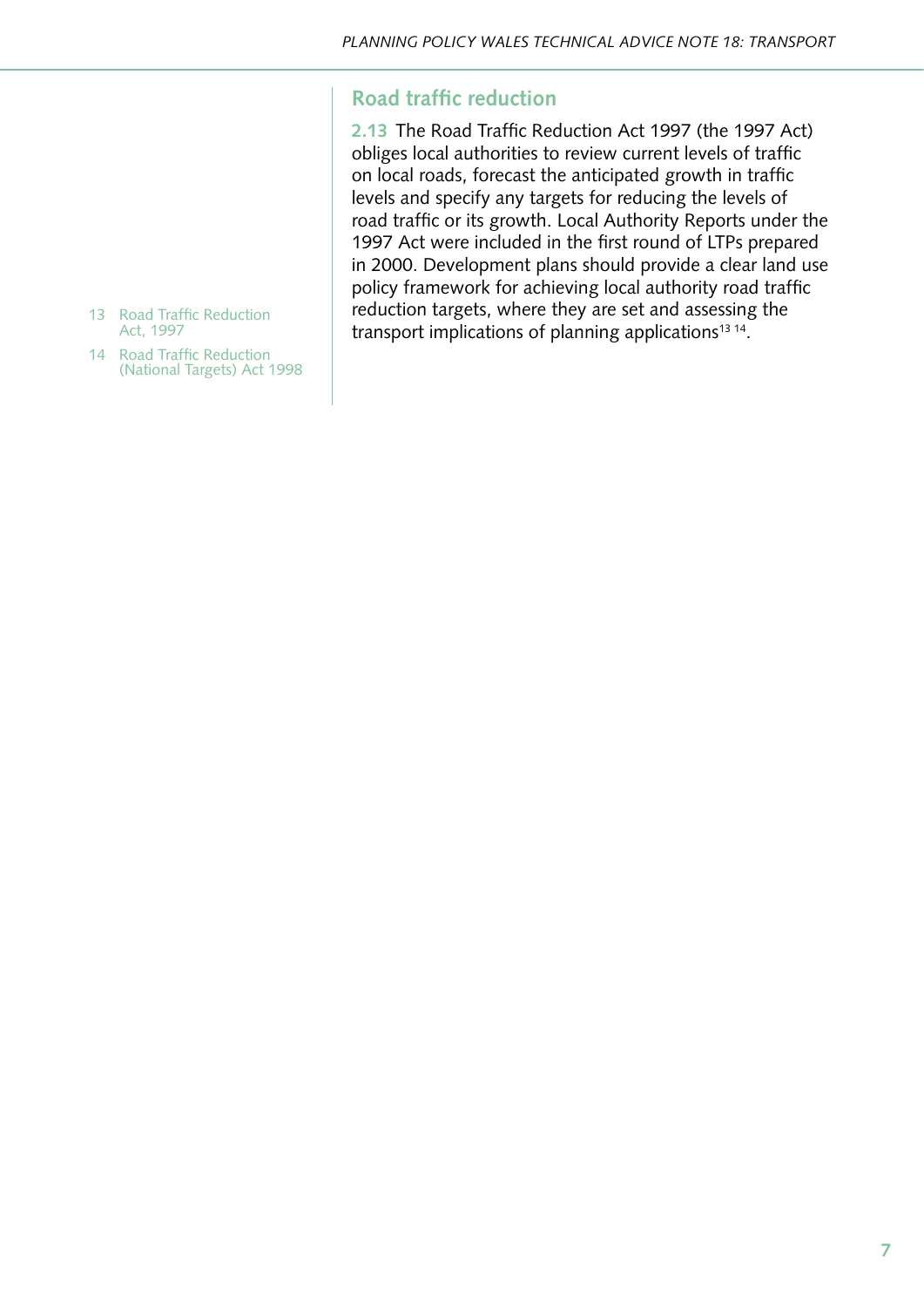## **Road traffic reduction**

**2.13** The Road Traffic Reduction Act 1997 (the 1997 Act) obliges local authorities to review current levels of traffic on local roads, forecast the anticipated growth in traffic levels and specify any targets for reducing the levels of road traffic or its growth. Local Authority Reports under the 1997 Act were included in the first round of LTPs prepared in 2000. Development plans should provide a clear land use policy framework for achieving local authority road traffic reduction targets, where they are set and assessing the 13 Road Traffic Reduction **reduction targets, where they are set and assessing**<br>Act, 1997 **htransport implications of planning applications<sup>13 14</sup>.** 

- Act, 1997
- 14 Road Traffic Reduction (National Targets) Act 1998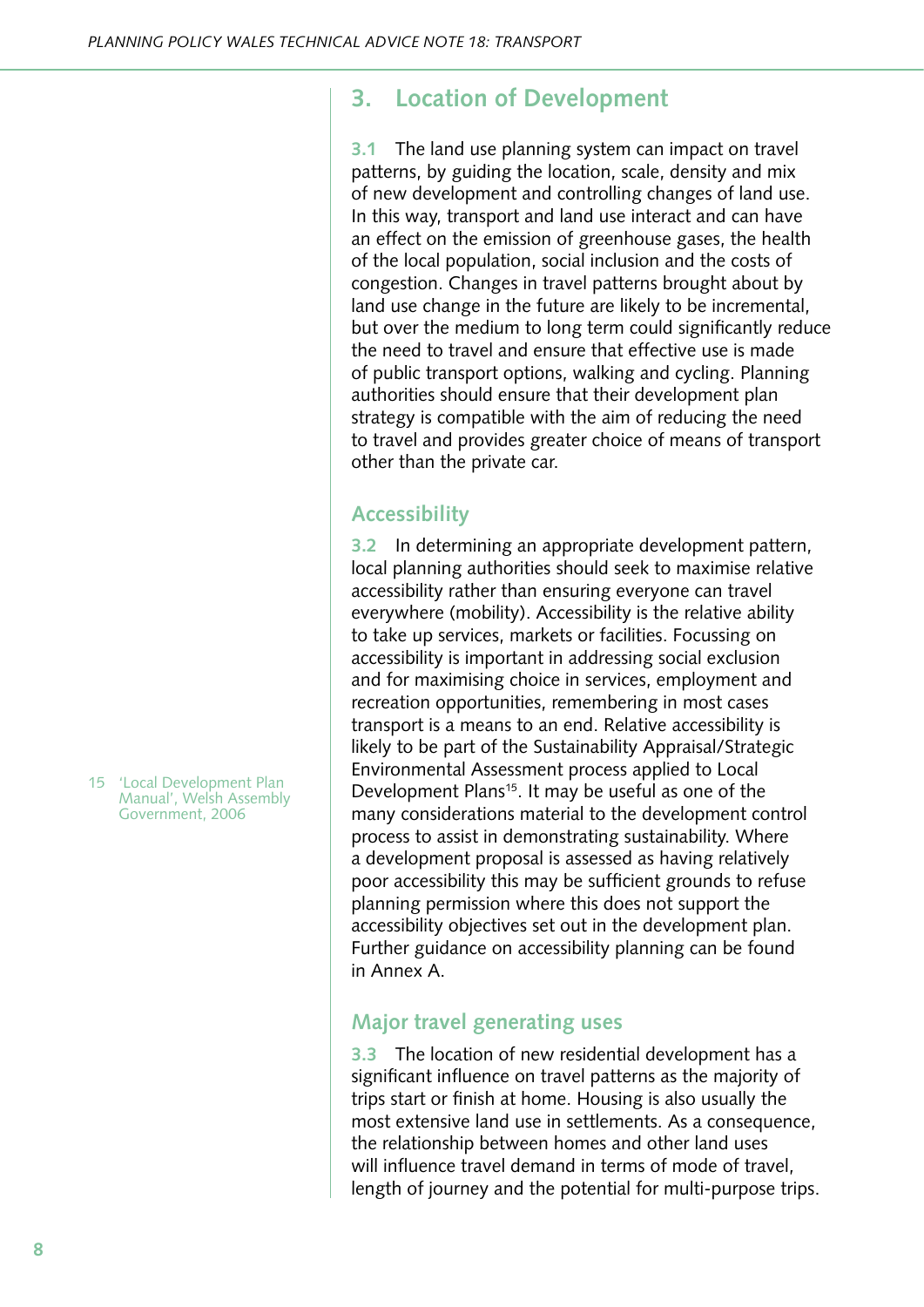## **3. Location of Development**

**3.1** The land use planning system can impact on travel patterns, by guiding the location, scale, density and mix of new development and controlling changes of land use. In this way, transport and land use interact and can have an effect on the emission of greenhouse gases, the health of the local population, social inclusion and the costs of congestion. Changes in travel patterns brought about by land use change in the future are likely to be incremental, but over the medium to long term could significantly reduce the need to travel and ensure that effective use is made of public transport options, walking and cycling. Planning authorities should ensure that their development plan strategy is compatible with the aim of reducing the need to travel and provides greater choice of means of transport other than the private car.

### **Accessibility**

**3.2** In determining an appropriate development pattern, local planning authorities should seek to maximise relative accessibility rather than ensuring everyone can travel everywhere (mobility). Accessibility is the relative ability to take up services, markets or facilities. Focussing on accessibility is important in addressing social exclusion and for maximising choice in services, employment and recreation opportunities, remembering in most cases transport is a means to an end. Relative accessibility is likely to be part of the Sustainability Appraisal/Strategic Environmental Assessment process applied to Local Development Plans<sup>15</sup>. It may be useful as one of the many considerations material to the development control process to assist in demonstrating sustainability. Where a development proposal is assessed as having relatively poor accessibility this may be sufficient grounds to refuse planning permission where this does not support the accessibility objectives set out in the development plan. Further guidance on accessibility planning can be found in Annex A.

#### **Major travel generating uses**

**3.3** The location of new residential development has a significant influence on travel patterns as the majority of trips start or finish at home. Housing is also usually the most extensive land use in settlements. As a consequence, the relationship between homes and other land uses will influence travel demand in terms of mode of travel, length of journey and the potential for multi-purpose trips.

15 'Local Development Plan Manual', Welsh Assembly Government, 2006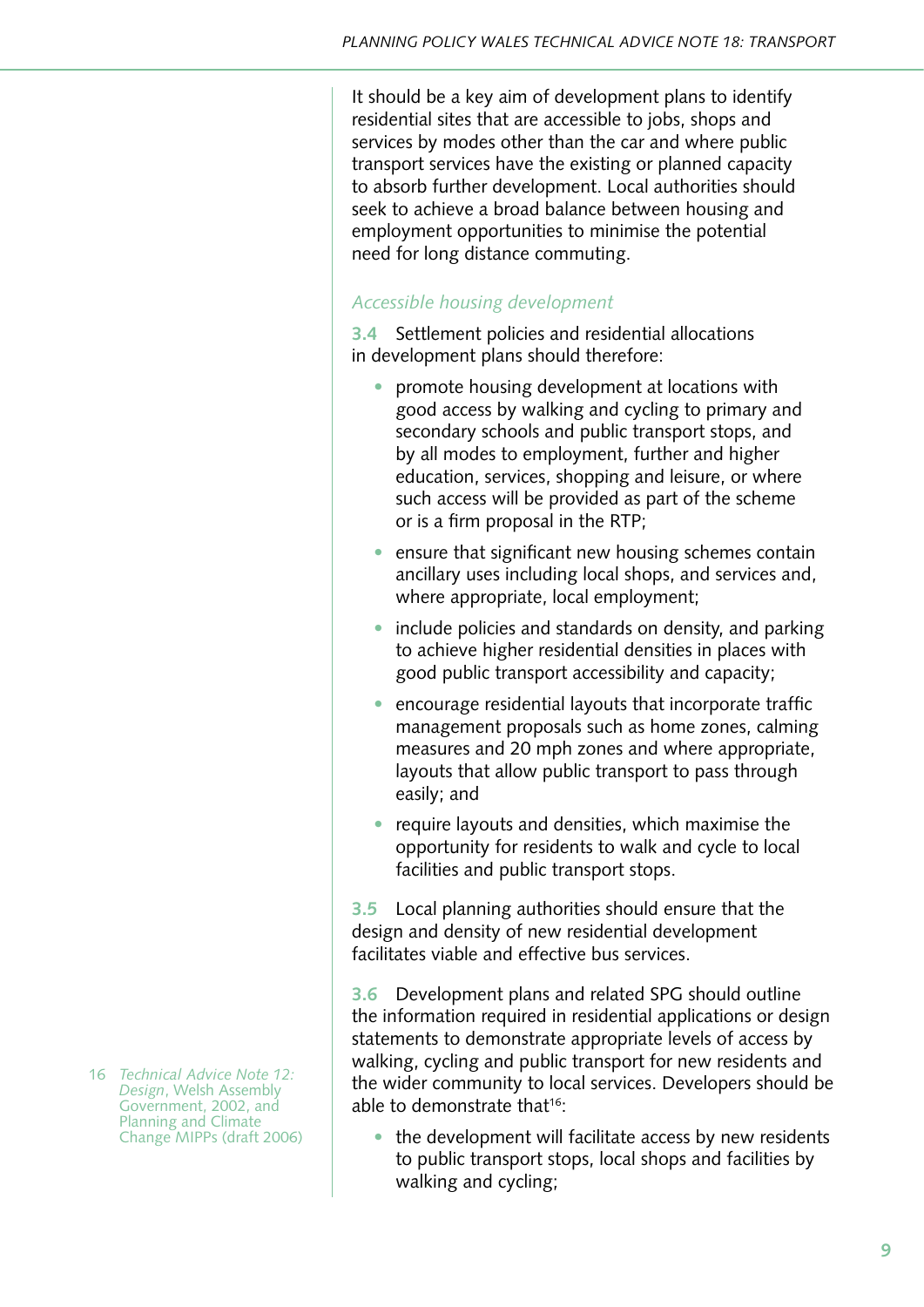It should be a key aim of development plans to identify residential sites that are accessible to jobs, shops and services by modes other than the car and where public transport services have the existing or planned capacity to absorb further development. Local authorities should seek to achieve a broad balance between housing and employment opportunities to minimise the potential need for long distance commuting.

#### *Accessible housing development*

**3.4** Settlement policies and residential allocations in development plans should therefore:

- promote housing development at locations with good access by walking and cycling to primary and secondary schools and public transport stops, and by all modes to employment, further and higher education, services, shopping and leisure, or where such access will be provided as part of the scheme or is a firm proposal in the RTP;
- ensure that significant new housing schemes contain ancillary uses including local shops, and services and, where appropriate, local employment;
- include policies and standards on density, and parking to achieve higher residential densities in places with good public transport accessibility and capacity;
- encourage residential layouts that incorporate traffic management proposals such as home zones, calming measures and 20 mph zones and where appropriate, layouts that allow public transport to pass through easily; and
- require layouts and densities, which maximise the opportunity for residents to walk and cycle to local facilities and public transport stops.

**3.5** Local planning authorities should ensure that the design and density of new residential development facilitates viable and effective bus services.

**3.6** Development plans and related SPG should outline the information required in residential applications or design statements to demonstrate appropriate levels of access by walking, cycling and public transport for new residents and the wider community to local services. Developers should be able to demonstrate that<sup>16</sup>:

- the development will facilitate access by new residents to public transport stops, local shops and facilities by walking and cycling;
- 16 *Technical Advice Note 12: Design*, Welsh Assembly Government, 2002, and Planning and Climate Change MIPPs (draft 2006)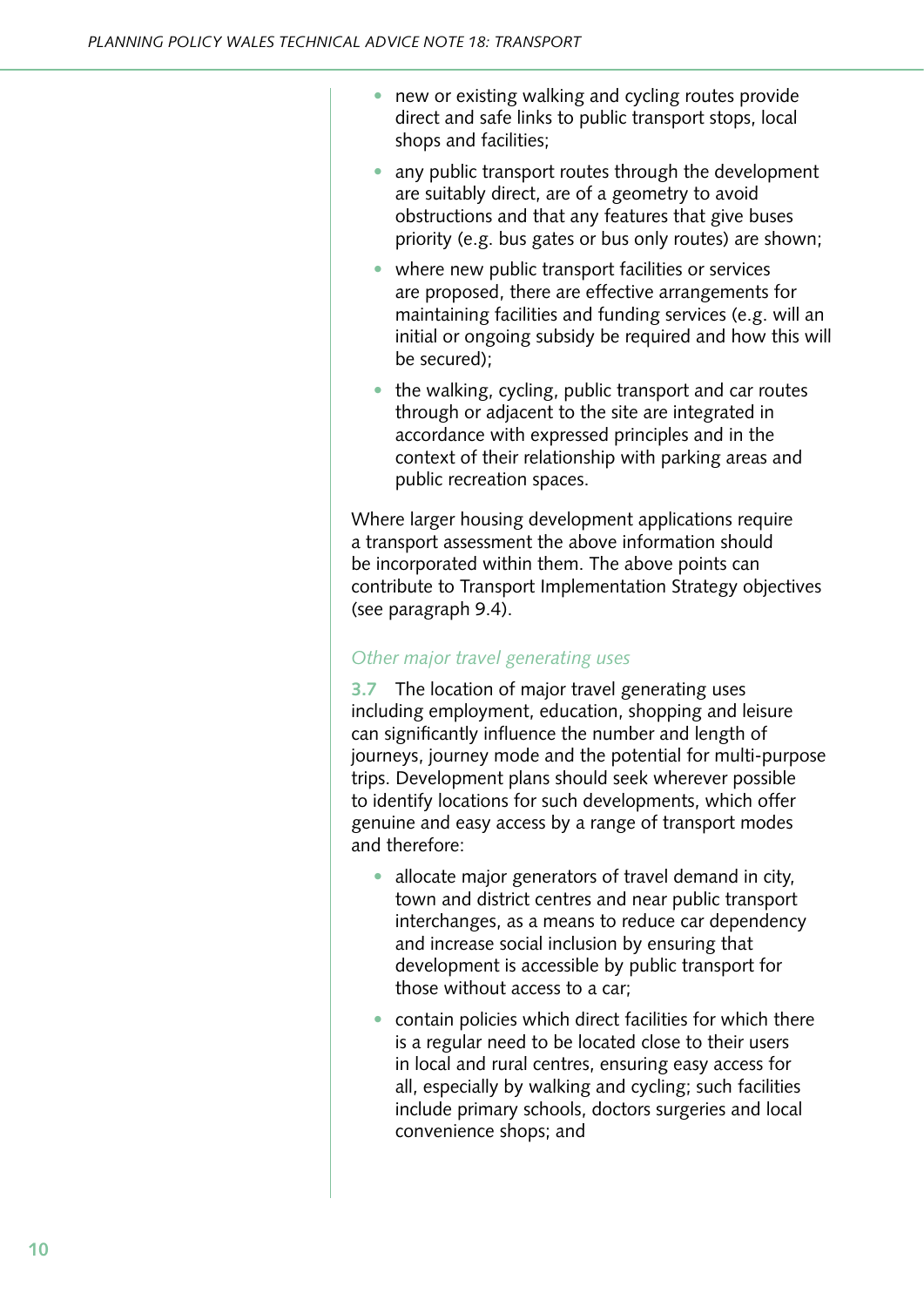- new or existing walking and cycling routes provide direct and safe links to public transport stops, local shops and facilities;
- any public transport routes through the development are suitably direct, are of a geometry to avoid obstructions and that any features that give buses priority (e.g. bus gates or bus only routes) are shown;
- where new public transport facilities or services are proposed, there are effective arrangements for maintaining facilities and funding services (e.g. will an initial or ongoing subsidy be required and how this will be secured);
- the walking, cycling, public transport and car routes through or adjacent to the site are integrated in accordance with expressed principles and in the context of their relationship with parking areas and public recreation spaces.

Where larger housing development applications require a transport assessment the above information should be incorporated within them. The above points can contribute to Transport Implementation Strategy objectives (see paragraph 9.4).

#### *Other major travel generating uses*

**3.7** The location of major travel generating uses including employment, education, shopping and leisure can significantly influence the number and length of journeys, journey mode and the potential for multi-purpose trips. Development plans should seek wherever possible to identify locations for such developments, which offer genuine and easy access by a range of transport modes and therefore:

- allocate major generators of travel demand in city, town and district centres and near public transport interchanges, as a means to reduce car dependency and increase social inclusion by ensuring that development is accessible by public transport for those without access to a car;
- contain policies which direct facilities for which there is a regular need to be located close to their users in local and rural centres, ensuring easy access for all, especially by walking and cycling; such facilities include primary schools, doctors surgeries and local convenience shops; and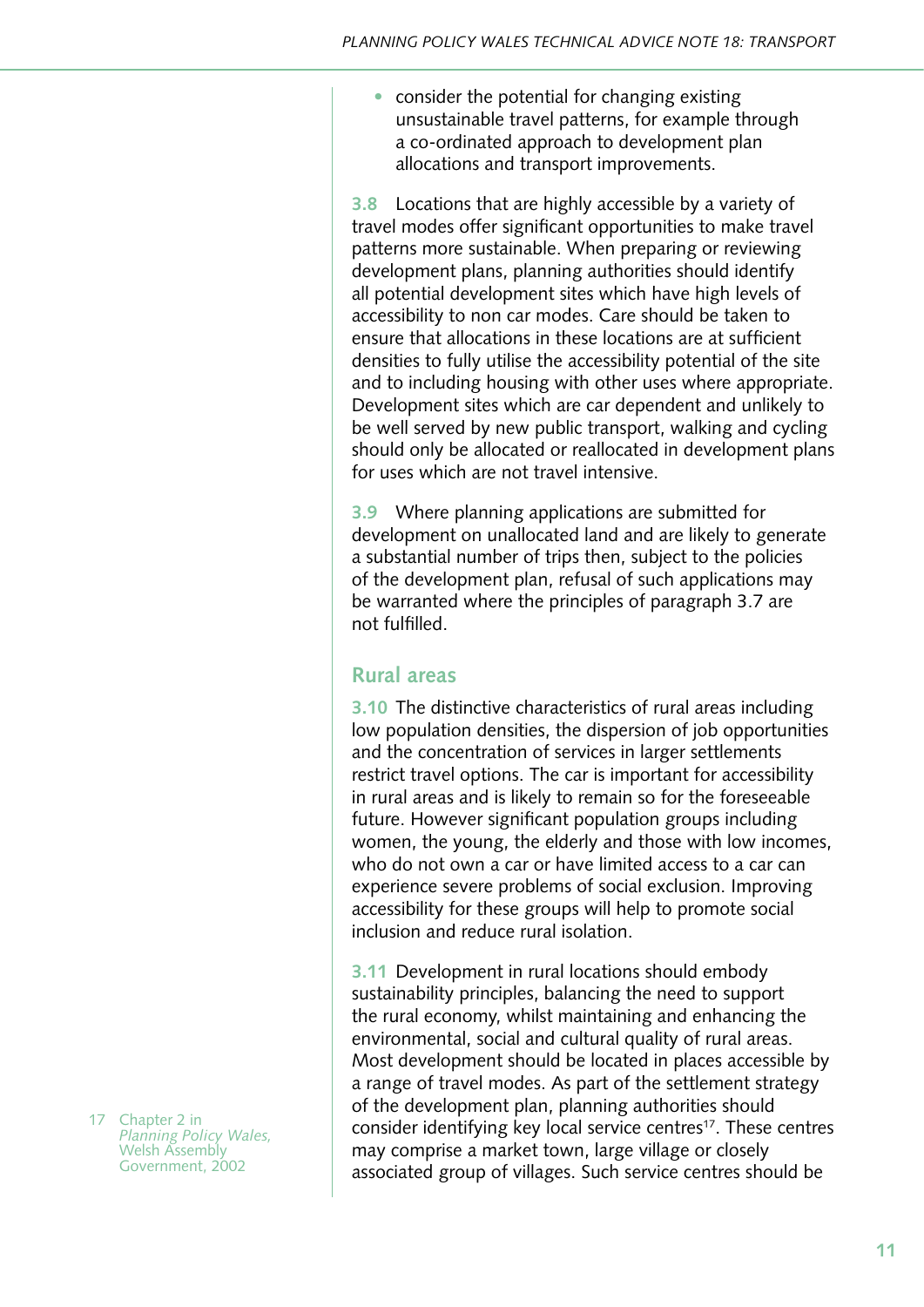• consider the potential for changing existing unsustainable travel patterns, for example through a co-ordinated approach to development plan allocations and transport improvements.

**3.8** Locations that are highly accessible by a variety of travel modes offer significant opportunities to make travel patterns more sustainable. When preparing or reviewing development plans, planning authorities should identify all potential development sites which have high levels of accessibility to non car modes. Care should be taken to ensure that allocations in these locations are at sufficient densities to fully utilise the accessibility potential of the site and to including housing with other uses where appropriate. Development sites which are car dependent and unlikely to be well served by new public transport, walking and cycling should only be allocated or reallocated in development plans for uses which are not travel intensive.

**3.9** Where planning applications are submitted for development on unallocated land and are likely to generate a substantial number of trips then, subject to the policies of the development plan, refusal of such applications may be warranted where the principles of paragraph 3.7 are not fulfilled.

#### **Rural areas**

**3.10** The distinctive characteristics of rural areas including low population densities, the dispersion of job opportunities and the concentration of services in larger settlements restrict travel options. The car is important for accessibility in rural areas and is likely to remain so for the foreseeable future. However significant population groups including women, the young, the elderly and those with low incomes, who do not own a car or have limited access to a car can experience severe problems of social exclusion. Improving accessibility for these groups will help to promote social inclusion and reduce rural isolation.

**3.11** Development in rural locations should embody sustainability principles, balancing the need to support the rural economy, whilst maintaining and enhancing the environmental, social and cultural quality of rural areas. Most development should be located in places accessible by a range of travel modes. As part of the settlement strategy of the development plan, planning authorities should consider identifying key local service centres<sup>17</sup>. These centres may comprise a market town, large village or closely associated group of villages. Such service centres should be

17 Chapter 2 in *Planning Policy Wales,*  Welsh Assembly Government, 2002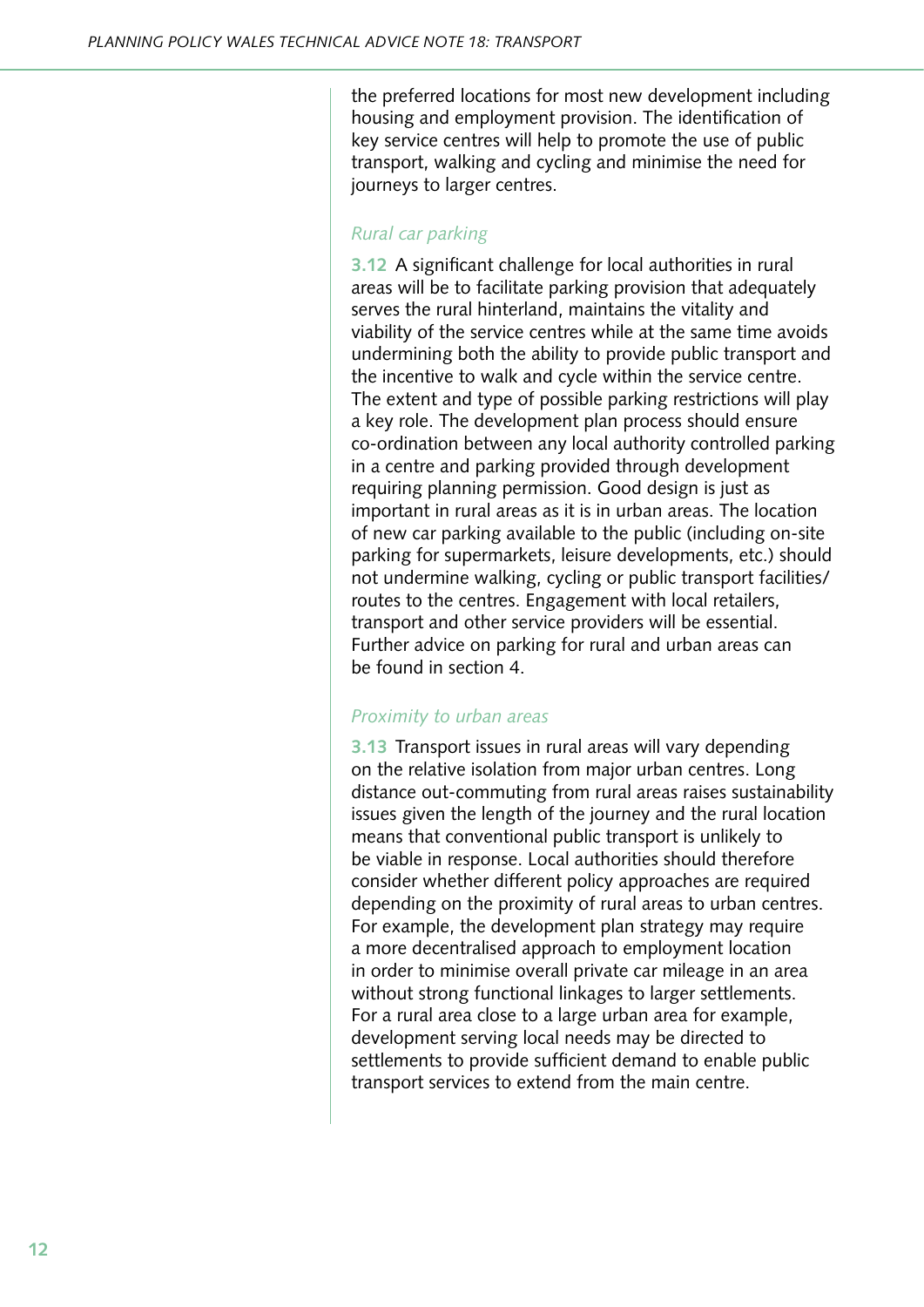the preferred locations for most new development including housing and employment provision. The identification of key service centres will help to promote the use of public transport, walking and cycling and minimise the need for journeys to larger centres.

#### *Rural car parking*

**3.12** A significant challenge for local authorities in rural areas will be to facilitate parking provision that adequately serves the rural hinterland, maintains the vitality and viability of the service centres while at the same time avoids undermining both the ability to provide public transport and the incentive to walk and cycle within the service centre. The extent and type of possible parking restrictions will play a key role. The development plan process should ensure co-ordination between any local authority controlled parking in a centre and parking provided through development requiring planning permission. Good design is just as important in rural areas as it is in urban areas. The location of new car parking available to the public (including on-site parking for supermarkets, leisure developments, etc.) should not undermine walking, cycling or public transport facilities/ routes to the centres. Engagement with local retailers, transport and other service providers will be essential. Further advice on parking for rural and urban areas can be found in section 4.

#### *Proximity to urban areas*

**3.13** Transport issues in rural areas will vary depending on the relative isolation from major urban centres. Long distance out-commuting from rural areas raises sustainability issues given the length of the journey and the rural location means that conventional public transport is unlikely to be viable in response. Local authorities should therefore consider whether different policy approaches are required depending on the proximity of rural areas to urban centres. For example, the development plan strategy may require a more decentralised approach to employment location in order to minimise overall private car mileage in an area without strong functional linkages to larger settlements. For a rural area close to a large urban area for example, development serving local needs may be directed to settlements to provide sufficient demand to enable public transport services to extend from the main centre.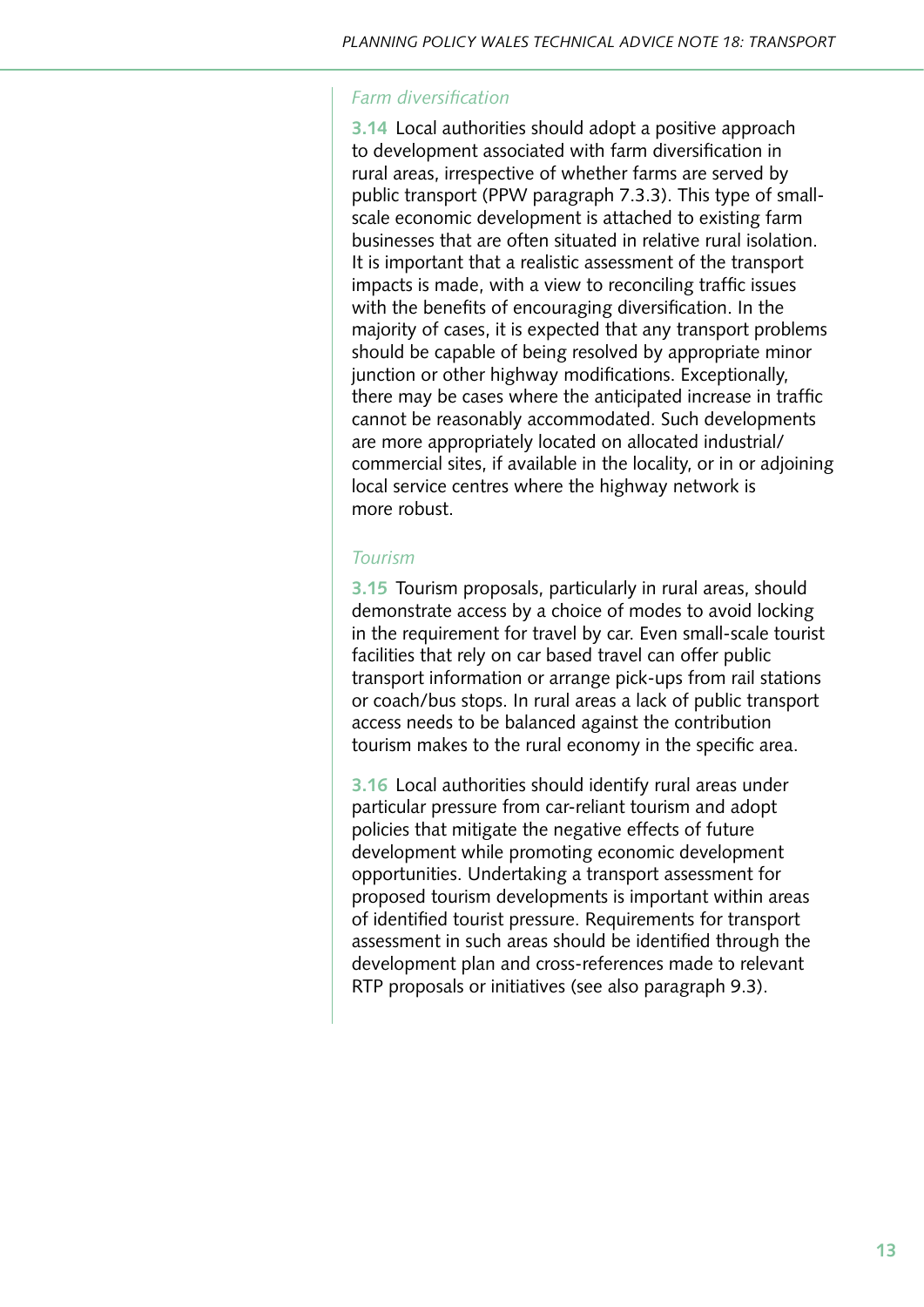#### *Farm diversification*

**3.14** Local authorities should adopt a positive approach to development associated with farm diversification in rural areas, irrespective of whether farms are served by public transport (PPW paragraph 7.3.3). This type of smallscale economic development is attached to existing farm businesses that are often situated in relative rural isolation. It is important that a realistic assessment of the transport impacts is made, with a view to reconciling traffic issues with the benefits of encouraging diversification. In the majority of cases, it is expected that any transport problems should be capable of being resolved by appropriate minor junction or other highway modifications. Exceptionally, there may be cases where the anticipated increase in traffic cannot be reasonably accommodated. Such developments are more appropriately located on allocated industrial/ commercial sites, if available in the locality, or in or adjoining local service centres where the highway network is more robust.

#### *Tourism*

**3.15** Tourism proposals, particularly in rural areas, should demonstrate access by a choice of modes to avoid locking in the requirement for travel by car. Even small-scale tourist facilities that rely on car based travel can offer public transport information or arrange pick-ups from rail stations or coach/bus stops. In rural areas a lack of public transport access needs to be balanced against the contribution tourism makes to the rural economy in the specific area.

**3.16** Local authorities should identify rural areas under particular pressure from car-reliant tourism and adopt policies that mitigate the negative effects of future development while promoting economic development opportunities. Undertaking a transport assessment for proposed tourism developments is important within areas of identified tourist pressure. Requirements for transport assessment in such areas should be identified through the development plan and cross-references made to relevant RTP proposals or initiatives (see also paragraph 9.3).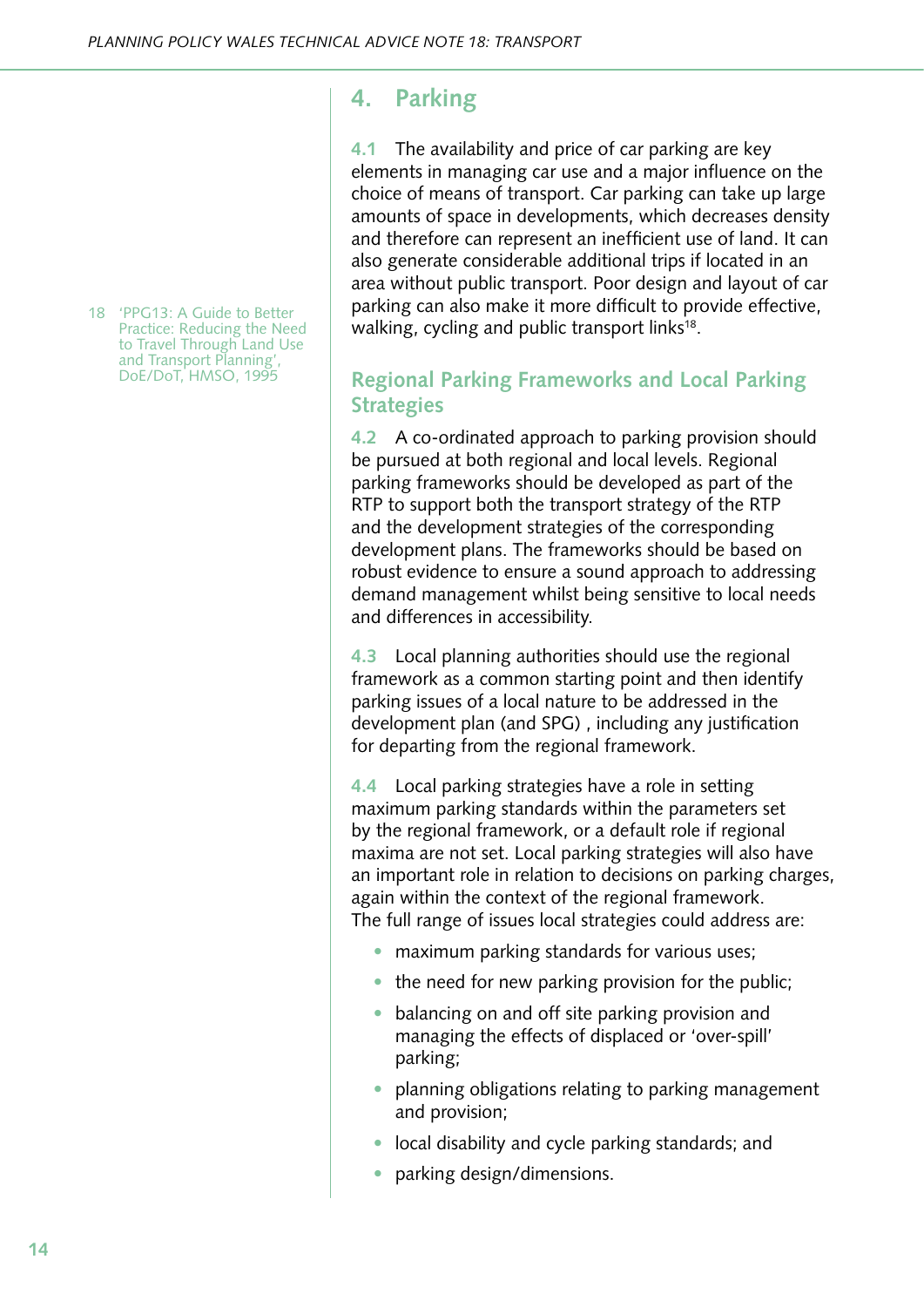18 'PPG13: A Guide to Better Practice: Reducing the Need to Travel Through Land Use and Transport Planning', DoE/DoT, HMSO, 1995

# **4. Parking**

**4.1** The availability and price of car parking are key elements in managing car use and a major influence on the choice of means of transport. Car parking can take up large amounts of space in developments, which decreases density and therefore can represent an inefficient use of land. It can also generate considerable additional trips if located in an area without public transport. Poor design and layout of car parking can also make it more difficult to provide effective, walking, cycling and public transport links<sup>18</sup>.

## **Regional Parking Frameworks and Local Parking Strategies**

**4.2** A co-ordinated approach to parking provision should be pursued at both regional and local levels. Regional parking frameworks should be developed as part of the RTP to support both the transport strategy of the RTP and the development strategies of the corresponding development plans. The frameworks should be based on robust evidence to ensure a sound approach to addressing demand management whilst being sensitive to local needs and differences in accessibility.

**4.3** Local planning authorities should use the regional framework as a common starting point and then identify parking issues of a local nature to be addressed in the development plan (and SPG) , including any justification for departing from the regional framework.

**4.4** Local parking strategies have a role in setting maximum parking standards within the parameters set by the regional framework, or a default role if regional maxima are not set. Local parking strategies will also have an important role in relation to decisions on parking charges, again within the context of the regional framework. The full range of issues local strategies could address are:

- maximum parking standards for various uses;
- the need for new parking provision for the public;
- balancing on and off site parking provision and managing the effects of displaced or 'over-spill' parking;
- planning obligations relating to parking management and provision;
- local disability and cycle parking standards; and
- parking design/dimensions.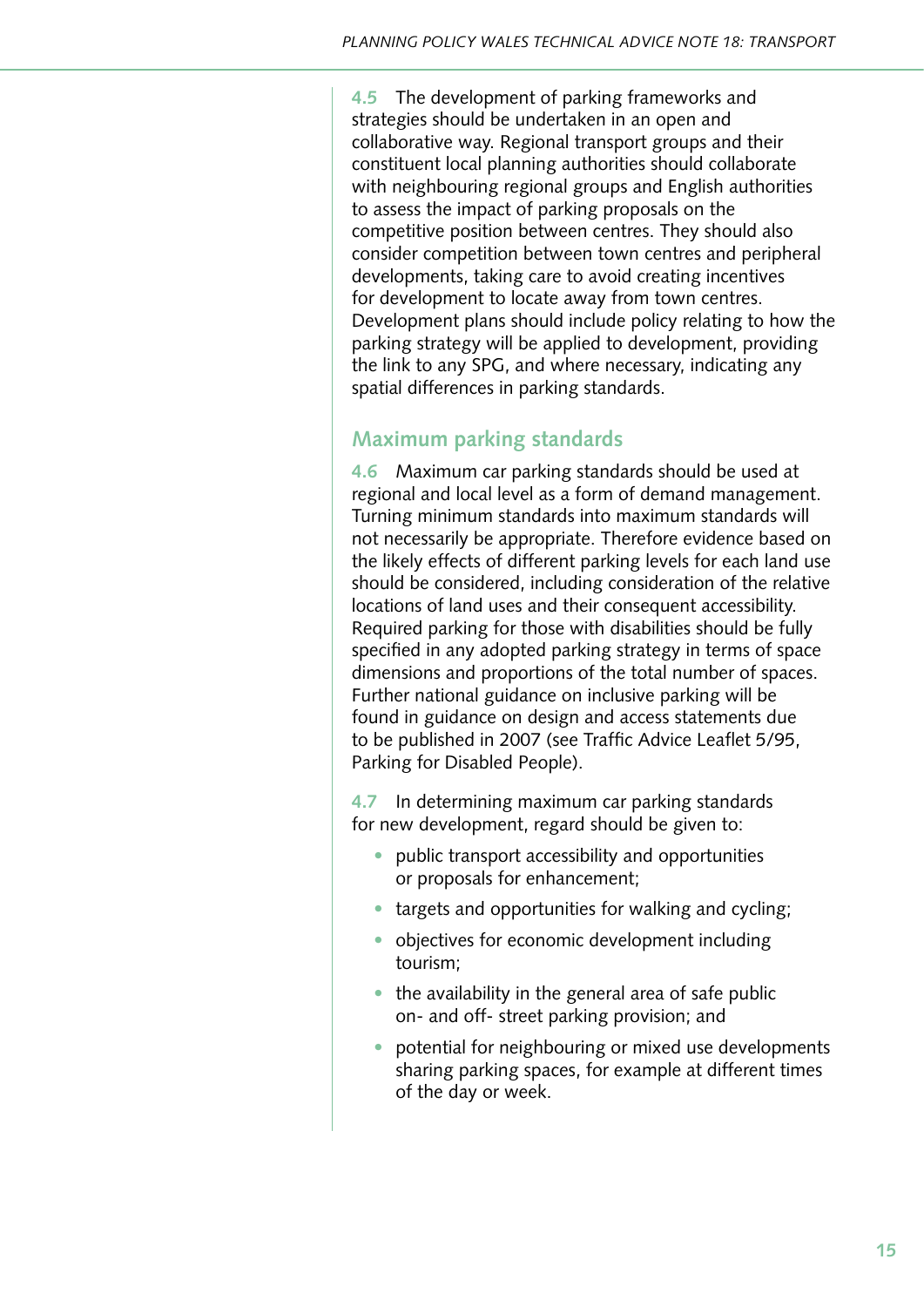**4.5** The development of parking frameworks and strategies should be undertaken in an open and collaborative way. Regional transport groups and their constituent local planning authorities should collaborate with neighbouring regional groups and English authorities to assess the impact of parking proposals on the competitive position between centres. They should also consider competition between town centres and peripheral developments, taking care to avoid creating incentives for development to locate away from town centres. Development plans should include policy relating to how the parking strategy will be applied to development, providing the link to any SPG, and where necessary, indicating any spatial differences in parking standards.

#### **Maximum parking standards**

**4.6** Maximum car parking standards should be used at regional and local level as a form of demand management. Turning minimum standards into maximum standards will not necessarily be appropriate. Therefore evidence based on the likely effects of different parking levels for each land use should be considered, including consideration of the relative locations of land uses and their consequent accessibility. Required parking for those with disabilities should be fully specified in any adopted parking strategy in terms of space dimensions and proportions of the total number of spaces. Further national guidance on inclusive parking will be found in guidance on design and access statements due to be published in 2007 (see Traffic Advice Leaflet 5/95, Parking for Disabled People).

**4.7** In determining maximum car parking standards for new development, regard should be given to:

- public transport accessibility and opportunities or proposals for enhancement;
- targets and opportunities for walking and cycling;
- objectives for economic development including tourism;
- the availability in the general area of safe public on- and off- street parking provision; and
- potential for neighbouring or mixed use developments sharing parking spaces, for example at different times of the day or week.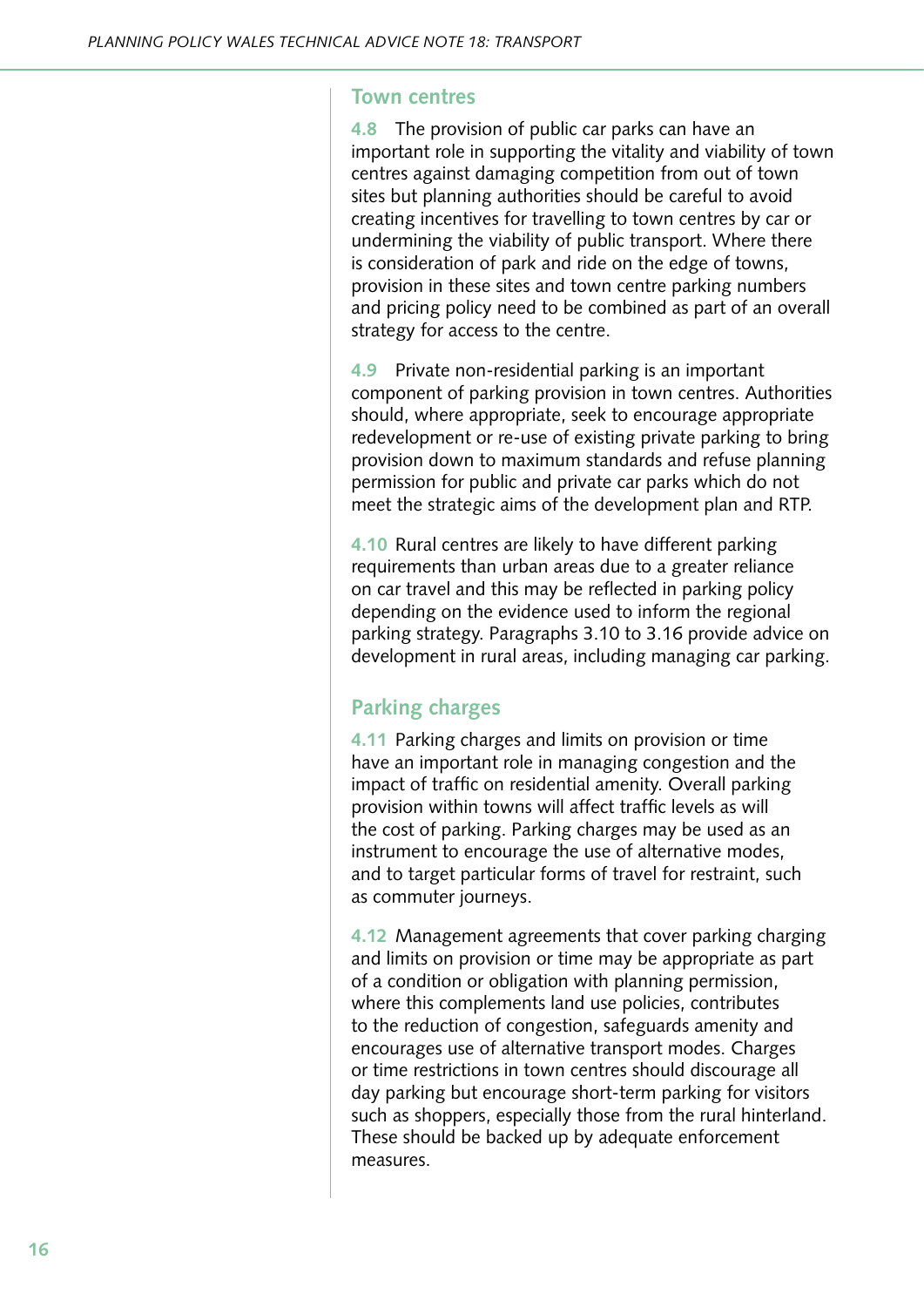#### **Town centres**

**4.8** The provision of public car parks can have an important role in supporting the vitality and viability of town centres against damaging competition from out of town sites but planning authorities should be careful to avoid creating incentives for travelling to town centres by car or undermining the viability of public transport. Where there is consideration of park and ride on the edge of towns, provision in these sites and town centre parking numbers and pricing policy need to be combined as part of an overall strategy for access to the centre.

**4.9** Private non-residential parking is an important component of parking provision in town centres. Authorities should, where appropriate, seek to encourage appropriate redevelopment or re-use of existing private parking to bring provision down to maximum standards and refuse planning permission for public and private car parks which do not meet the strategic aims of the development plan and RTP.

**4.10** Rural centres are likely to have different parking requirements than urban areas due to a greater reliance on car travel and this may be reflected in parking policy depending on the evidence used to inform the regional parking strategy. Paragraphs 3.10 to 3.16 provide advice on development in rural areas, including managing car parking.

## **Parking charges**

**4.11** Parking charges and limits on provision or time have an important role in managing congestion and the impact of traffic on residential amenity. Overall parking provision within towns will affect traffic levels as will the cost of parking. Parking charges may be used as an instrument to encourage the use of alternative modes, and to target particular forms of travel for restraint, such as commuter journeys.

**4.12** Management agreements that cover parking charging and limits on provision or time may be appropriate as part of a condition or obligation with planning permission, where this complements land use policies, contributes to the reduction of congestion, safeguards amenity and encourages use of alternative transport modes. Charges or time restrictions in town centres should discourage all day parking but encourage short-term parking for visitors such as shoppers, especially those from the rural hinterland. These should be backed up by adequate enforcement measures.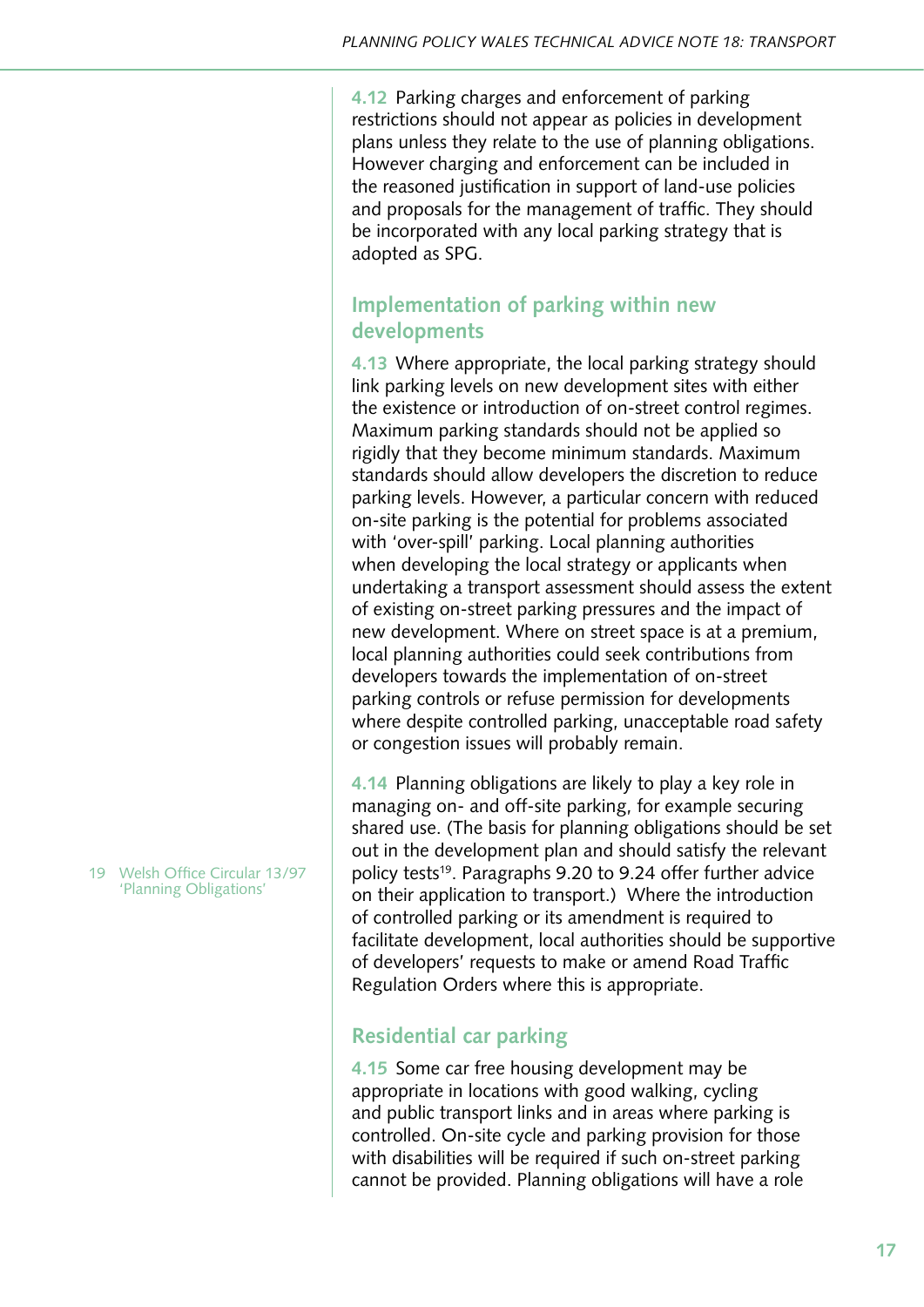**4.12** Parking charges and enforcement of parking restrictions should not appear as policies in development plans unless they relate to the use of planning obligations. However charging and enforcement can be included in the reasoned justification in support of land-use policies and proposals for the management of traffic. They should be incorporated with any local parking strategy that is adopted as SPG.

### **Implementation of parking within new developments**

**4.13** Where appropriate, the local parking strategy should link parking levels on new development sites with either the existence or introduction of on-street control regimes. Maximum parking standards should not be applied so rigidly that they become minimum standards. Maximum standards should allow developers the discretion to reduce parking levels. However, a particular concern with reduced on-site parking is the potential for problems associated with 'over-spill' parking. Local planning authorities when developing the local strategy or applicants when undertaking a transport assessment should assess the extent of existing on-street parking pressures and the impact of new development. Where on street space is at a premium, local planning authorities could seek contributions from developers towards the implementation of on-street parking controls or refuse permission for developments where despite controlled parking, unacceptable road safety or congestion issues will probably remain.

**4.14** Planning obligations are likely to play a key role in managing on- and off-site parking, for example securing shared use. (The basis for planning obligations should be set out in the development plan and should satisfy the relevant policy tests<sup>19</sup>. Paragraphs 9.20 to 9.24 offer further advice on their application to transport.) Where the introduction of controlled parking or its amendment is required to facilitate development, local authorities should be supportive of developers' requests to make or amend Road Traffic Regulation Orders where this is appropriate.

## **Residential car parking**

**4.15** Some car free housing development may be appropriate in locations with good walking, cycling and public transport links and in areas where parking is controlled. On-site cycle and parking provision for those with disabilities will be required if such on-street parking cannot be provided. Planning obligations will have a role

19 Welsh Office Circular 13/97 'Planning Obligations'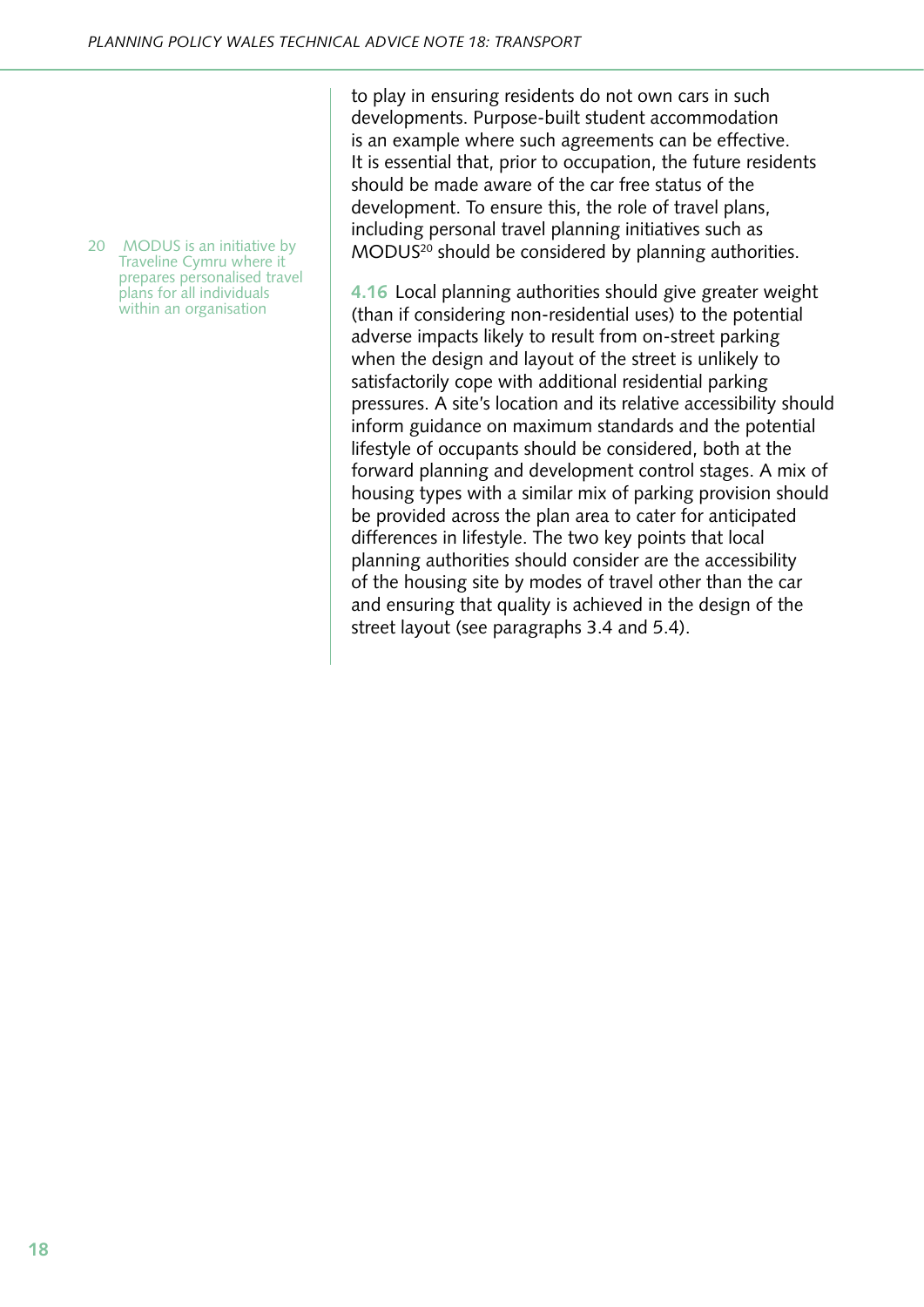20 MODUS is an initiative by Traveline Cymru where it prepares personalised travel plans for all individuals within an organisation

to play in ensuring residents do not own cars in such developments. Purpose-built student accommodation is an example where such agreements can be effective. It is essential that, prior to occupation, the future residents should be made aware of the car free status of the development. To ensure this, the role of travel plans, including personal travel planning initiatives such as MODUS20 should be considered by planning authorities.

**4.16** Local planning authorities should give greater weight (than if considering non-residential uses) to the potential adverse impacts likely to result from on-street parking when the design and layout of the street is unlikely to satisfactorily cope with additional residential parking pressures. A site's location and its relative accessibility should inform guidance on maximum standards and the potential lifestyle of occupants should be considered, both at the forward planning and development control stages. A mix of housing types with a similar mix of parking provision should be provided across the plan area to cater for anticipated differences in lifestyle. The two key points that local planning authorities should consider are the accessibility of the housing site by modes of travel other than the car and ensuring that quality is achieved in the design of the street layout (see paragraphs 3.4 and 5.4).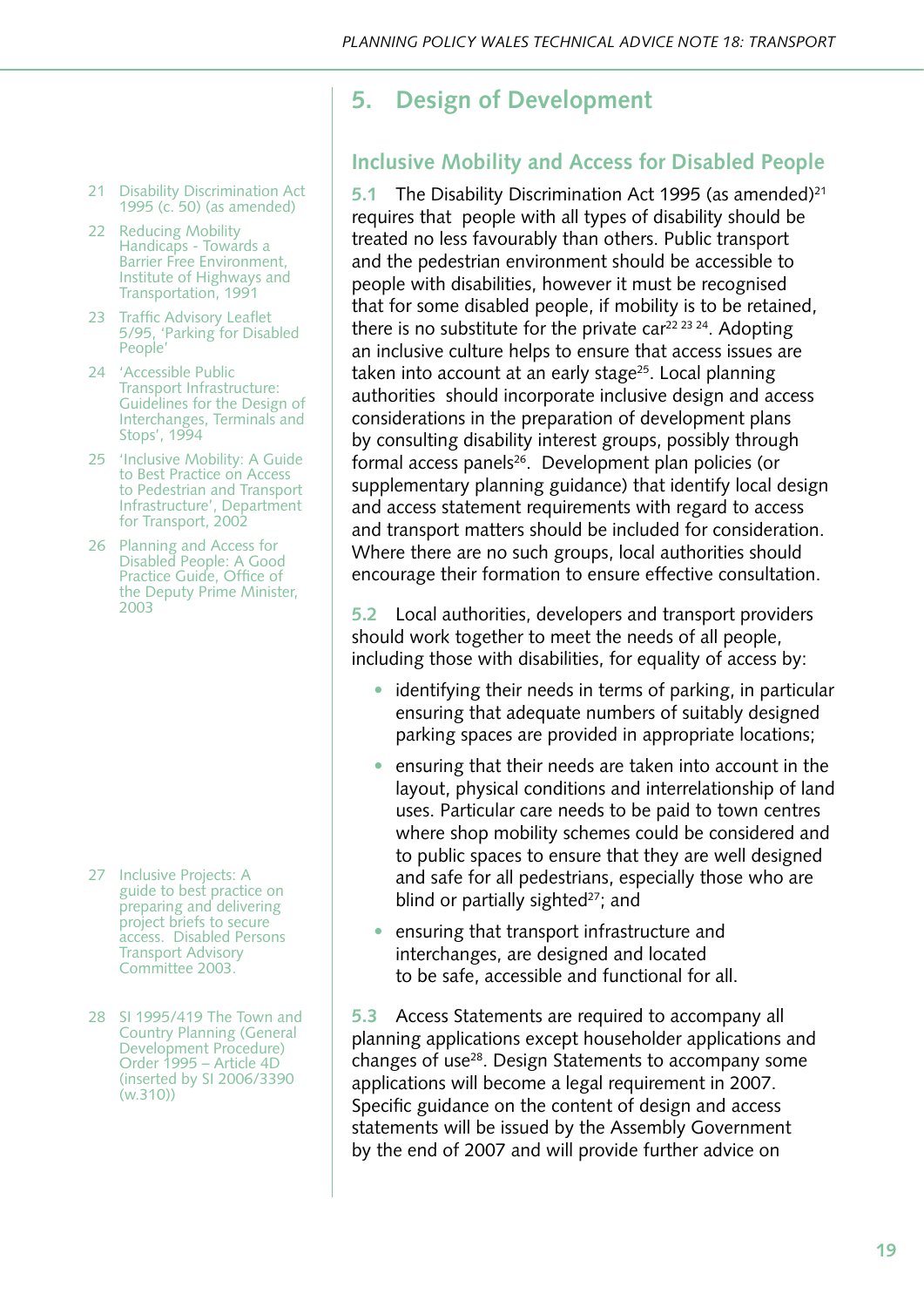- 21 Disability Discrimination Act 1995 (c. 50) (as amended)
- 22 Reducing Mobility Handicaps - Towards a Barrier Free Environment, Institute of Highways and Transportation, 1991
- 23 Traffic Advisory Leaflet 5/95, 'Parking for Disabled People'
- 24 'Accessible Public Transport Infrastructure: Guidelines for the Design of Interchanges, Terminals and Stops', 1994
- 25 'Inclusive Mobility: A Guide to Best Practice on Access to Pedestrian and Transport Infrastructure', Department for Transport, 2002
- 26 Planning and Access for Disabled People: A Good Practice Guide, Office of the Deputy Prime Minister, 2003

- 27 Inclusive Projects: A guide to best practice on preparing and delivering project briefs to secure access. Disabled Persons Transport Advisory Committee 2003.
- 28 SI 1995/419 The Town and Country Planning (General Development Procedure) Order 1995 – Article 4D (inserted by SI 2006/3390 (w.310))

# **5. Design of Development**

## **Inclusive Mobility and Access for Disabled People**

**5.1** The Disability Discrimination Act 1995 (as amended)<sup>21</sup> requires that people with all types of disability should be treated no less favourably than others. Public transport and the pedestrian environment should be accessible to people with disabilities, however it must be recognised that for some disabled people, if mobility is to be retained, there is no substitute for the private car<sup>22 23 24</sup>. Adopting an inclusive culture helps to ensure that access issues are taken into account at an early stage<sup>25</sup>. Local planning authorities should incorporate inclusive design and access considerations in the preparation of development plans by consulting disability interest groups, possibly through formal access panels<sup>26</sup>. Development plan policies (or supplementary planning guidance) that identify local design and access statement requirements with regard to access and transport matters should be included for consideration. Where there are no such groups, local authorities should encourage their formation to ensure effective consultation.

**5.2** Local authorities, developers and transport providers should work together to meet the needs of all people, including those with disabilities, for equality of access by:

- identifying their needs in terms of parking, in particular ensuring that adequate numbers of suitably designed parking spaces are provided in appropriate locations;
- ensuring that their needs are taken into account in the layout, physical conditions and interrelationship of land uses. Particular care needs to be paid to town centres where shop mobility schemes could be considered and to public spaces to ensure that they are well designed and safe for all pedestrians, especially those who are blind or partially sighted $27$ ; and
- ensuring that transport infrastructure and interchanges, are designed and located to be safe, accessible and functional for all.

**5.3** Access Statements are required to accompany all planning applications except householder applications and changes of use28. Design Statements to accompany some applications will become a legal requirement in 2007. Specific guidance on the content of design and access statements will be issued by the Assembly Government by the end of 2007 and will provide further advice on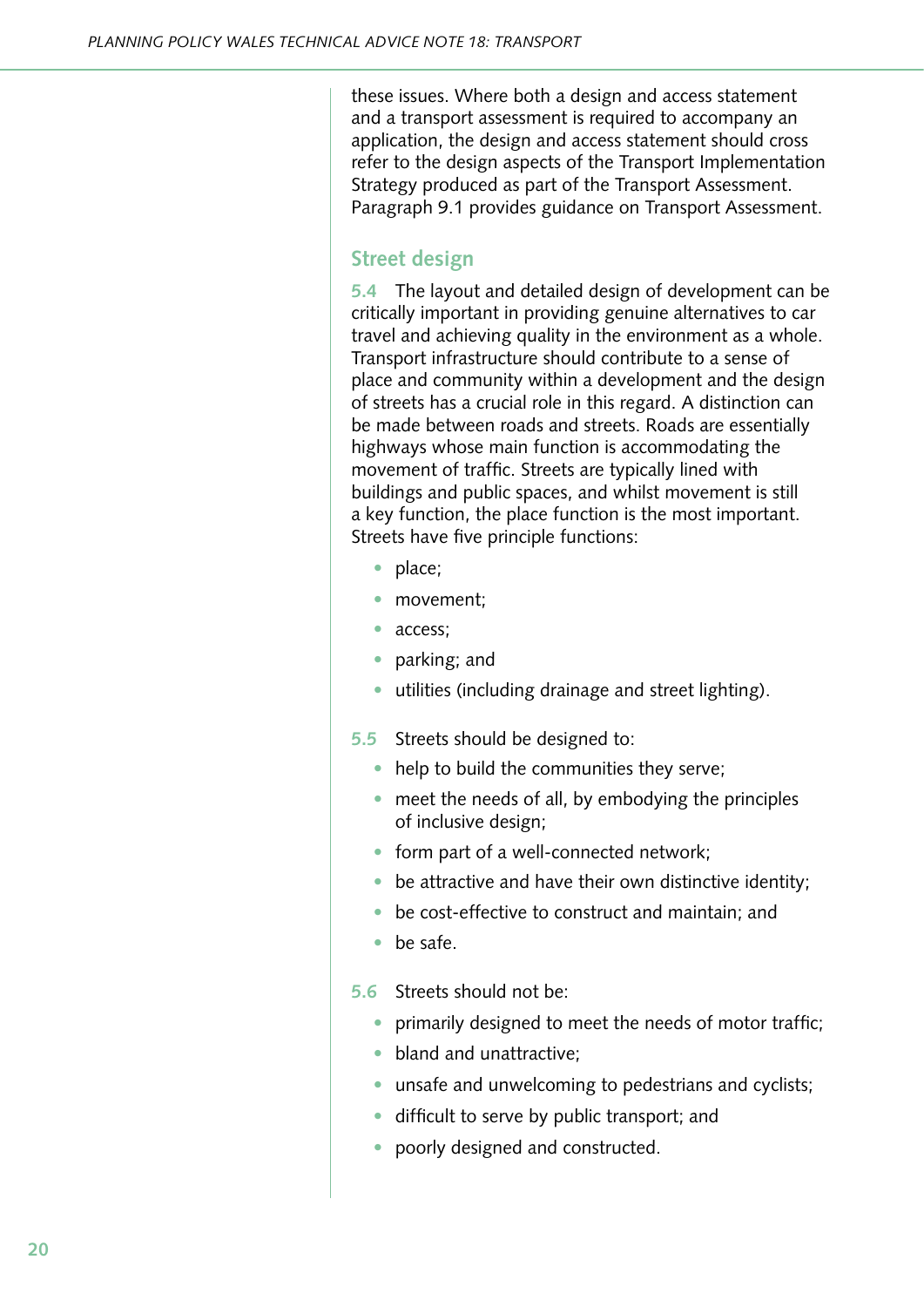these issues. Where both a design and access statement and a transport assessment is required to accompany an application, the design and access statement should cross refer to the design aspects of the Transport Implementation Strategy produced as part of the Transport Assessment. Paragraph 9.1 provides guidance on Transport Assessment.

#### **Street design**

**5.4** The layout and detailed design of development can be critically important in providing genuine alternatives to car travel and achieving quality in the environment as a whole. Transport infrastructure should contribute to a sense of place and community within a development and the design of streets has a crucial role in this regard. A distinction can be made between roads and streets. Roads are essentially highways whose main function is accommodating the movement of traffic. Streets are typically lined with buildings and public spaces, and whilst movement is still a key function, the place function is the most important. Streets have five principle functions:

- place;
- movement:
- access:
- parking; and
- utilities (including drainage and street lighting).
- **5.5** Streets should be designed to:
	- help to build the communities they serve;
	- meet the needs of all, by embodying the principles of inclusive design;
	- form part of a well-connected network;
	- be attractive and have their own distinctive identity;
	- be cost-effective to construct and maintain; and
	- be safe.
- **5.6** Streets should not be:
	- primarily designed to meet the needs of motor traffic;
	- bland and unattractive:
	- unsafe and unwelcoming to pedestrians and cyclists;
	- difficult to serve by public transport; and
	- poorly designed and constructed.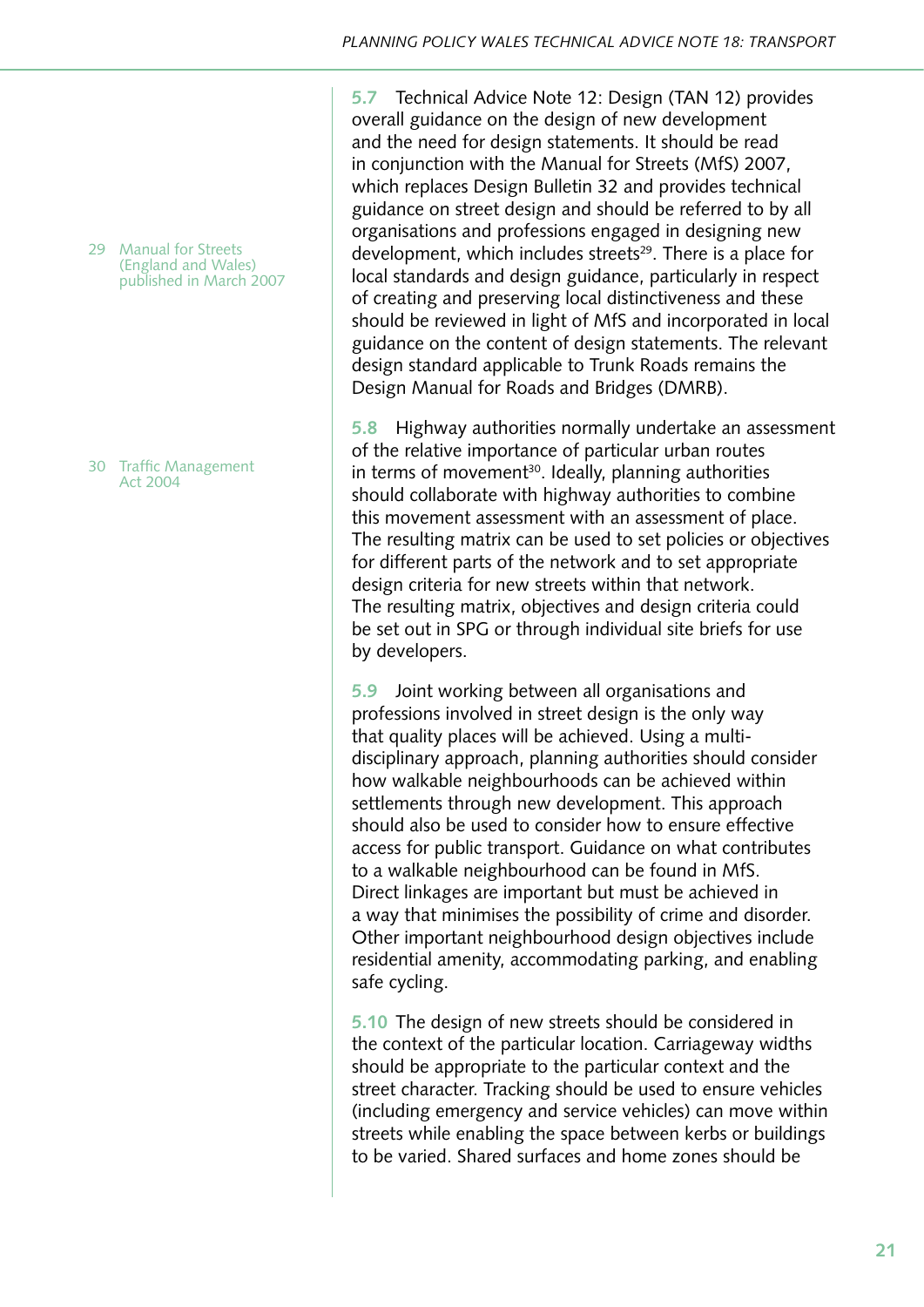29 Manual for Streets (England and Wales) published in March 2007

#### 30 Traffic Management Act 2004

**5.7** Technical Advice Note 12: Design (TAN 12) provides overall guidance on the design of new development and the need for design statements. It should be read in conjunction with the Manual for Streets (MfS) 2007, which replaces Design Bulletin 32 and provides technical guidance on street design and should be referred to by all organisations and professions engaged in designing new development, which includes streets<sup>29</sup>. There is a place for local standards and design guidance, particularly in respect of creating and preserving local distinctiveness and these should be reviewed in light of MfS and incorporated in local guidance on the content of design statements. The relevant design standard applicable to Trunk Roads remains the Design Manual for Roads and Bridges (DMRB).

**5.8** Highway authorities normally undertake an assessment of the relative importance of particular urban routes in terms of movement<sup>30</sup>. Ideally, planning authorities should collaborate with highway authorities to combine this movement assessment with an assessment of place. The resulting matrix can be used to set policies or objectives for different parts of the network and to set appropriate design criteria for new streets within that network. The resulting matrix, objectives and design criteria could be set out in SPG or through individual site briefs for use by developers.

**5.9** Joint working between all organisations and professions involved in street design is the only way that quality places will be achieved. Using a multidisciplinary approach, planning authorities should consider how walkable neighbourhoods can be achieved within settlements through new development. This approach should also be used to consider how to ensure effective access for public transport. Guidance on what contributes to a walkable neighbourhood can be found in MfS. Direct linkages are important but must be achieved in a way that minimises the possibility of crime and disorder. Other important neighbourhood design objectives include residential amenity, accommodating parking, and enabling safe cycling.

**5.10** The design of new streets should be considered in the context of the particular location. Carriageway widths should be appropriate to the particular context and the street character. Tracking should be used to ensure vehicles (including emergency and service vehicles) can move within streets while enabling the space between kerbs or buildings to be varied. Shared surfaces and home zones should be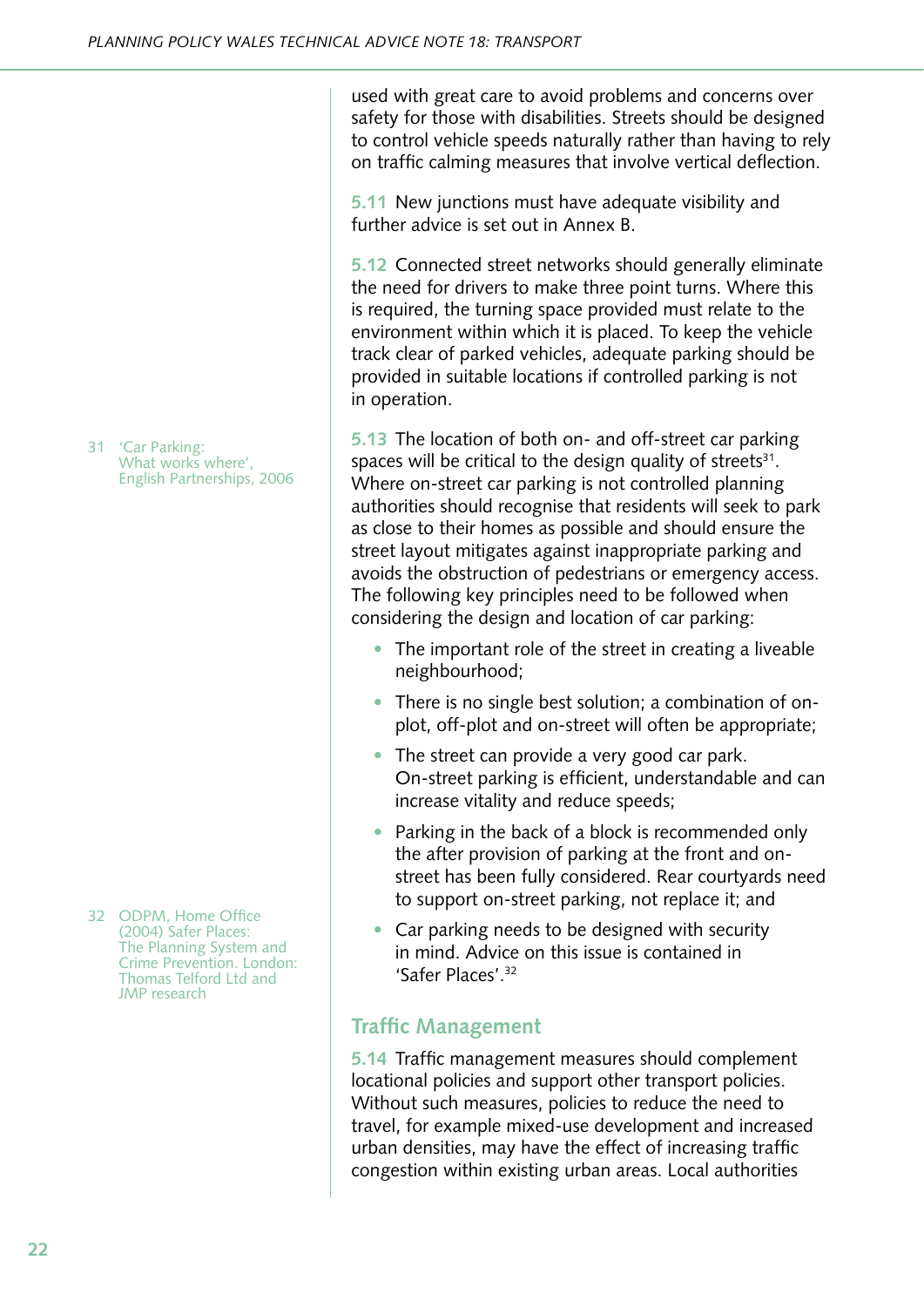used with great care to avoid problems and concerns over safety for those with disabilities. Streets should be designed to control vehicle speeds naturally rather than having to rely on traffic calming measures that involve vertical deflection.

**5.11** New junctions must have adequate visibility and further advice is set out in Annex B.

**5.12** Connected street networks should generally eliminate the need for drivers to make three point turns. Where this is required, the turning space provided must relate to the environment within which it is placed. To keep the vehicle track clear of parked vehicles, adequate parking should be provided in suitable locations if controlled parking is not in operation.

**5.13** The location of both on- and off-street car parking spaces will be critical to the design quality of streets $31$ . Where on-street car parking is not controlled planning authorities should recognise that residents will seek to park as close to their homes as possible and should ensure the street layout mitigates against inappropriate parking and avoids the obstruction of pedestrians or emergency access. The following key principles need to be followed when considering the design and location of car parking:

- The important role of the street in creating a liveable neighbourhood;
- There is no single best solution; a combination of onplot, off-plot and on-street will often be appropriate;
- The street can provide a very good car park. On-street parking is efficient, understandable and can increase vitality and reduce speeds;
- Parking in the back of a block is recommended only the after provision of parking at the front and onstreet has been fully considered. Rear courtyards need to support on-street parking, not replace it; and
- Car parking needs to be designed with security in mind. Advice on this issue is contained in 'Safer Places'.<sup>32</sup>

## **Traffic Management**

**5.14** Traffic management measures should complement locational policies and support other transport policies. Without such measures, policies to reduce the need to travel, for example mixed-use development and increased urban densities, may have the effect of increasing traffic congestion within existing urban areas. Local authorities

31 'Car Parking: What works where'. English Partnerships, 2006

32 ODPM, Home Office (2004) Safer Places: The Planning System and Crime Prevention. London: Thomas Telford Ltd and JMP research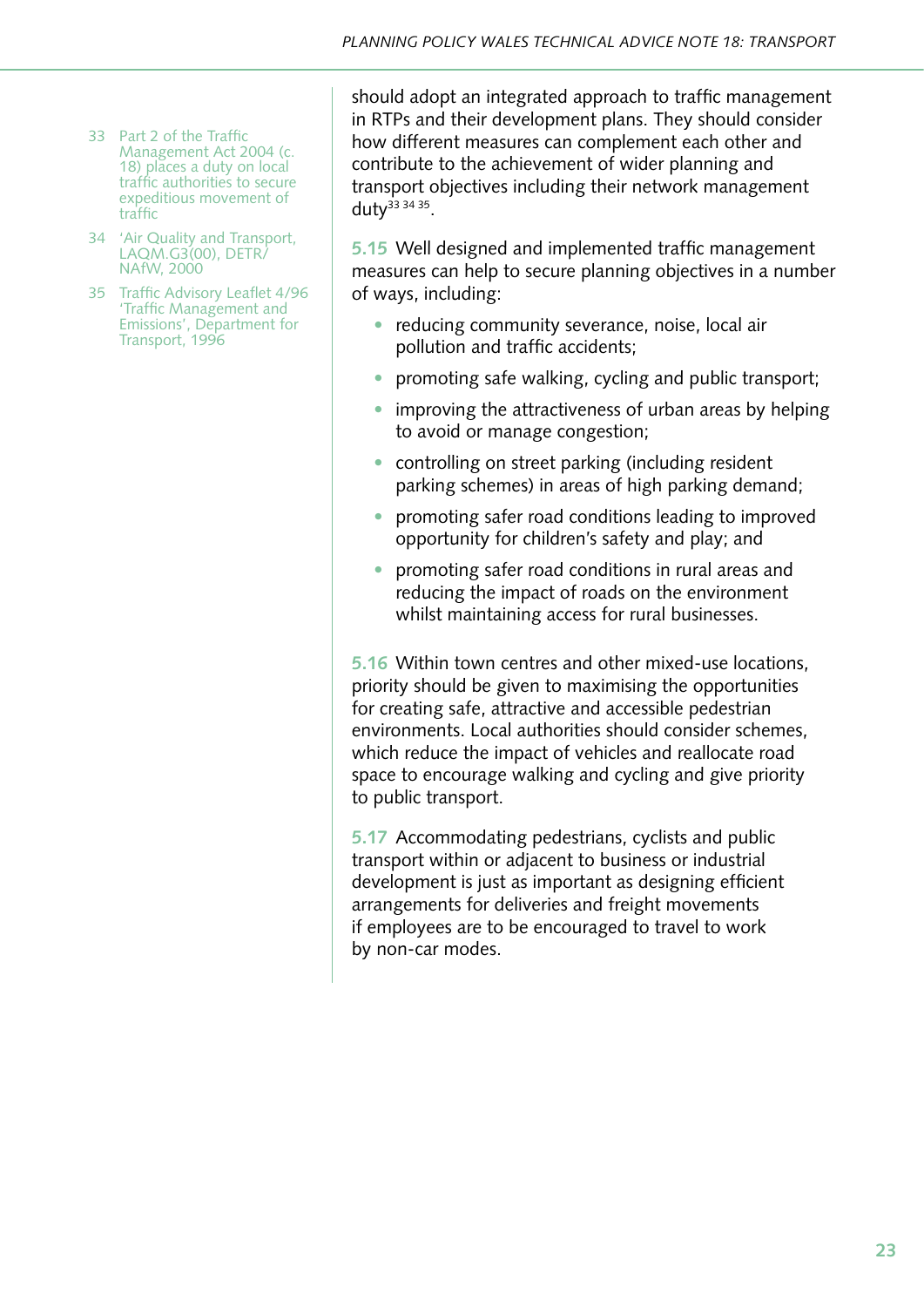- 33 Part 2 of the Traffic Management Act 2004 (c. 18) places a duty on local traffic authorities to secure expeditious movement of traffic
- 34 'Air Quality and Transport, LAQM.G3(00), DETR/ NAfW, 2000
- 35 Traffic Advisory Leaflet 4/96 'Traffic Management and Emissions', Department for Transport, 1996

should adopt an integrated approach to traffic management in RTPs and their development plans. They should consider how different measures can complement each other and contribute to the achievement of wider planning and transport objectives including their network management duty $3333435$ .

**5.15** Well designed and implemented traffic management measures can help to secure planning objectives in a number of ways, including:

- reducing community severance, noise, local air pollution and traffic accidents;
- promoting safe walking, cycling and public transport;
- improving the attractiveness of urban areas by helping to avoid or manage congestion;
- controlling on street parking (including resident parking schemes) in areas of high parking demand;
- promoting safer road conditions leading to improved opportunity for children's safety and play; and
- promoting safer road conditions in rural areas and reducing the impact of roads on the environment whilst maintaining access for rural businesses.

**5.16** Within town centres and other mixed-use locations, priority should be given to maximising the opportunities for creating safe, attractive and accessible pedestrian environments. Local authorities should consider schemes, which reduce the impact of vehicles and reallocate road space to encourage walking and cycling and give priority to public transport.

**5.17** Accommodating pedestrians, cyclists and public transport within or adjacent to business or industrial development is just as important as designing efficient arrangements for deliveries and freight movements if employees are to be encouraged to travel to work by non-car modes.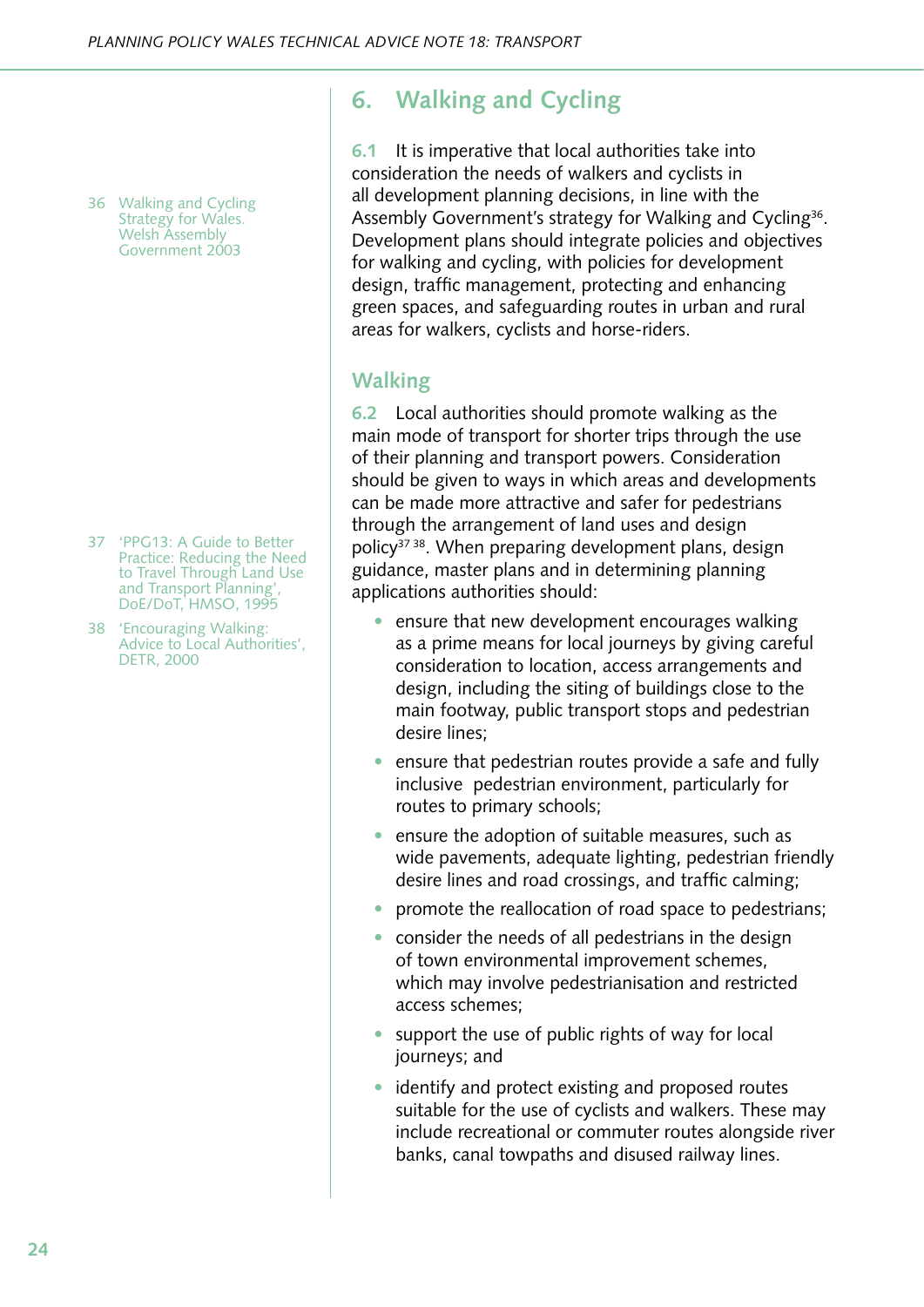36 Walking and Cycling Strategy for Wales. Welsh Assembly Government 2003

- 37 'PPG13: A Guide to Better Practice: Reducing the Need to Travel Through Land Use and Transport Planning', DoE/DoT, HMSO, 1995
- 38 'Encouraging Walking: Advice to Local Authorities', DETR, 2000

# **6. Walking and Cycling**

**6.1** It is imperative that local authorities take into consideration the needs of walkers and cyclists in all development planning decisions, in line with the Assembly Government's strategy for Walking and Cycling<sup>36</sup>. Development plans should integrate policies and objectives for walking and cycling, with policies for development design, traffic management, protecting and enhancing green spaces, and safeguarding routes in urban and rural areas for walkers, cyclists and horse-riders.

## **Walking**

**6.2** Local authorities should promote walking as the main mode of transport for shorter trips through the use of their planning and transport powers. Consideration should be given to ways in which areas and developments can be made more attractive and safer for pedestrians through the arrangement of land uses and design policy<sup>37 38</sup>. When preparing development plans, design guidance, master plans and in determining planning applications authorities should:

- ensure that new development encourages walking as a prime means for local journeys by giving careful consideration to location, access arrangements and design, including the siting of buildings close to the main footway, public transport stops and pedestrian desire lines;
- ensure that pedestrian routes provide a safe and fully inclusive pedestrian environment, particularly for routes to primary schools;
- ensure the adoption of suitable measures, such as wide pavements, adequate lighting, pedestrian friendly desire lines and road crossings, and traffic calming;
- promote the reallocation of road space to pedestrians;
- consider the needs of all pedestrians in the design of town environmental improvement schemes, which may involve pedestrianisation and restricted access schemes;
- support the use of public rights of way for local journeys; and
- identify and protect existing and proposed routes suitable for the use of cyclists and walkers. These may include recreational or commuter routes alongside river banks, canal towpaths and disused railway lines.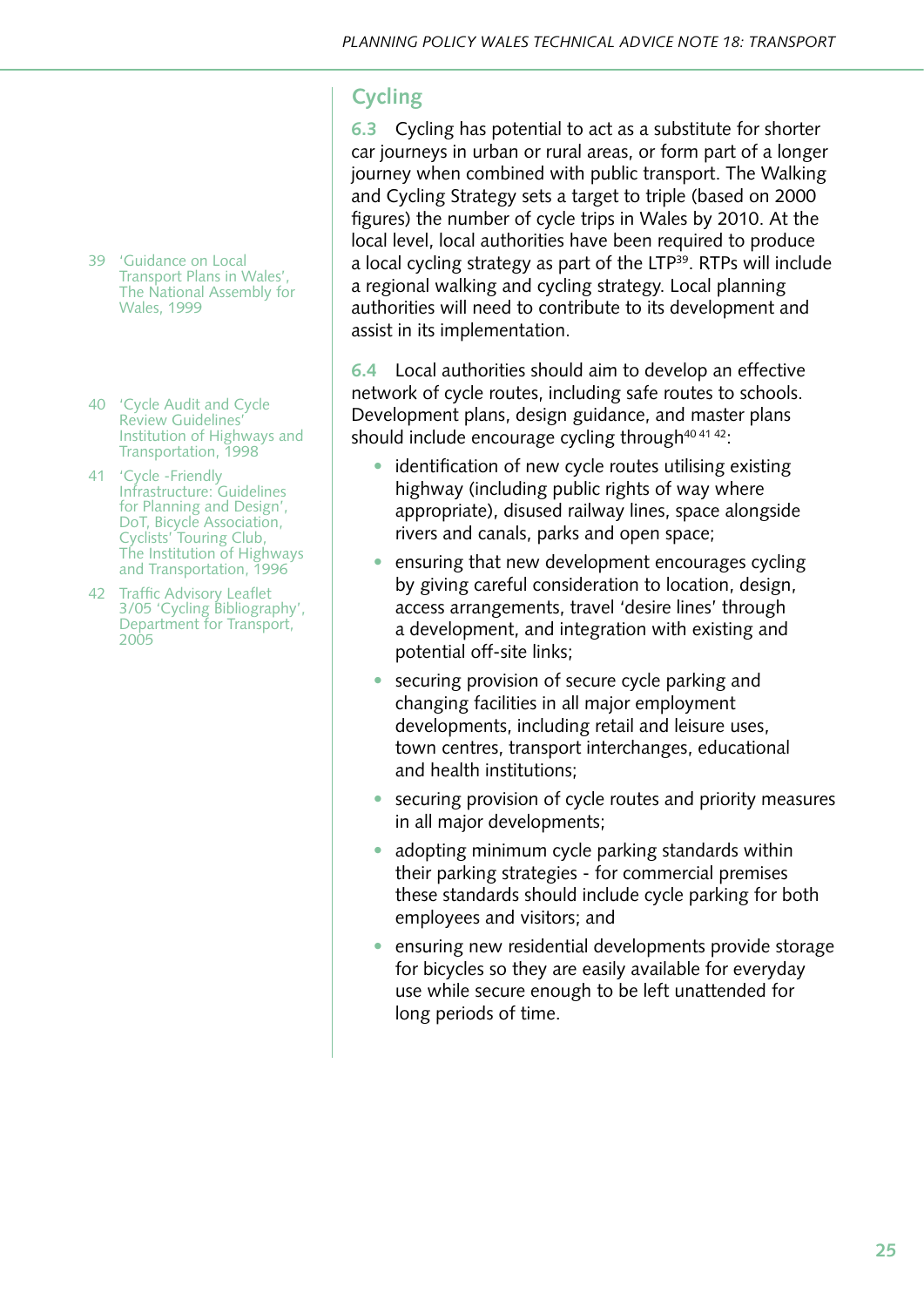- 39 'Guidance on Local Transport Plans in Wales', The National Assembly for Wales, 1999
- 40 'Cycle Audit and Cycle Review Guidelines' Institution of Highways and Transportation, 1998
- 41 'Cycle -Friendly Infrastructure: Guidelines for Planning and Design', DoT, Bicycle Association, Cyclists' Touring Club, The Institution of Highways and Transportation, 1996
- 42 Traffic Advisory Leaflet 3/05 'Cycling Bibliography', Department for Transport, 2005

# **Cycling**

**6.3** Cycling has potential to act as a substitute for shorter car journeys in urban or rural areas, or form part of a longer journey when combined with public transport. The Walking and Cycling Strategy sets a target to triple (based on 2000 figures) the number of cycle trips in Wales by 2010. At the local level, local authorities have been required to produce a local cycling strategy as part of the LTP<sup>39</sup>. RTPs will include a regional walking and cycling strategy. Local planning authorities will need to contribute to its development and assist in its implementation.

**6.4** Local authorities should aim to develop an effective network of cycle routes, including safe routes to schools. Development plans, design guidance, and master plans should include encourage cycling through<sup>40 41 42</sup>:

- identification of new cycle routes utilising existing highway (including public rights of way where appropriate), disused railway lines, space alongside rivers and canals, parks and open space;
- ensuring that new development encourages cycling by giving careful consideration to location, design, access arrangements, travel 'desire lines' through a development, and integration with existing and potential off-site links;
- securing provision of secure cycle parking and changing facilities in all major employment developments, including retail and leisure uses, town centres, transport interchanges, educational and health institutions;
- securing provision of cycle routes and priority measures in all major developments;
- adopting minimum cycle parking standards within their parking strategies - for commercial premises these standards should include cycle parking for both employees and visitors; and
- ensuring new residential developments provide storage for bicycles so they are easily available for everyday use while secure enough to be left unattended for long periods of time.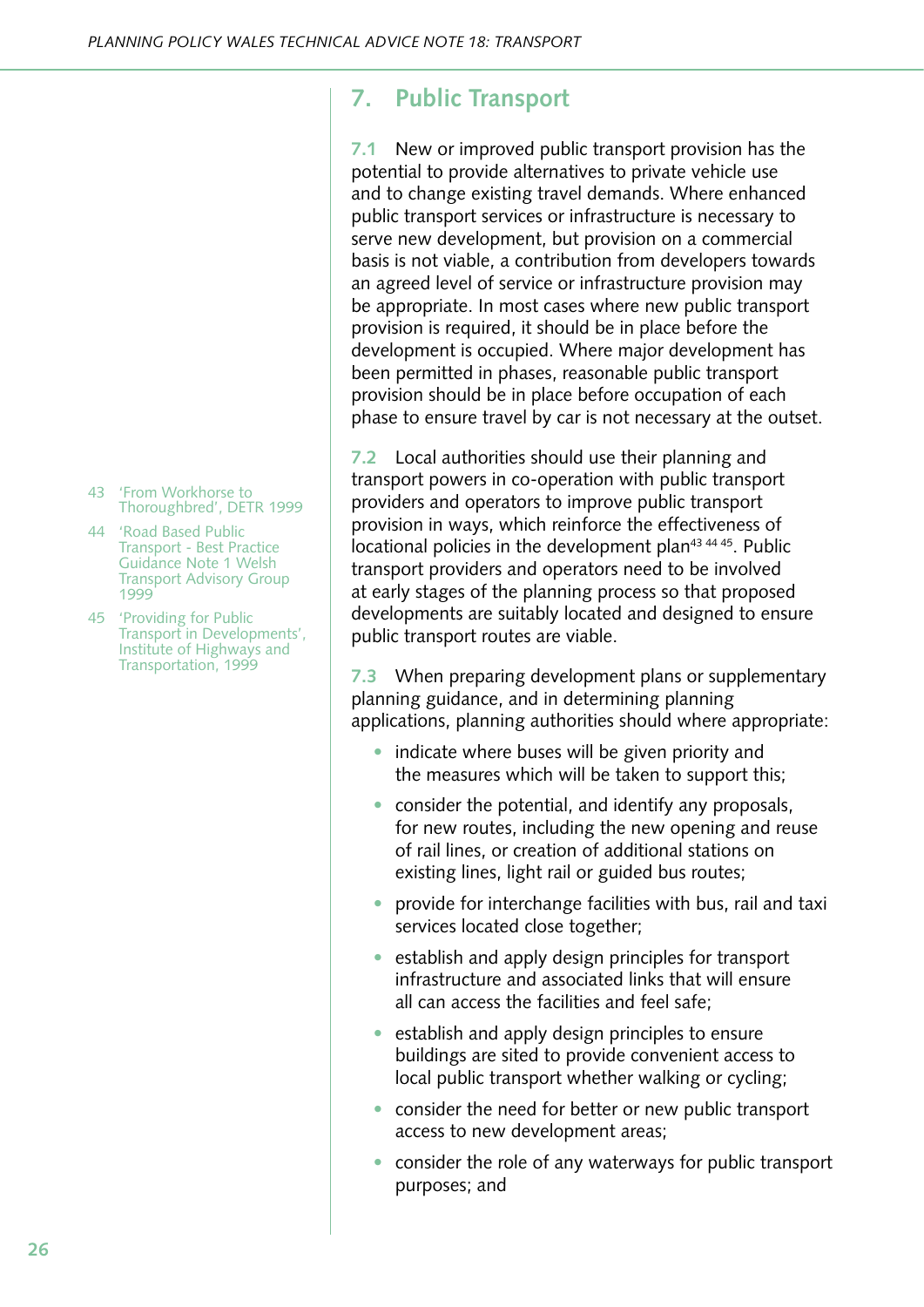- 43 'From Workhorse to Thoroughbred', DETR 1999
- 44 'Road Based Public Transport - Best Practice Guidance Note 1 Welsh Transport Advisory Group 1999
- 45 'Providing for Public Transport in Developments', Institute of Highways and Transportation, 1999

# **7. Public Transport**

**7.1** New or improved public transport provision has the potential to provide alternatives to private vehicle use and to change existing travel demands. Where enhanced public transport services or infrastructure is necessary to serve new development, but provision on a commercial basis is not viable, a contribution from developers towards an agreed level of service or infrastructure provision may be appropriate. In most cases where new public transport provision is required, it should be in place before the development is occupied. Where major development has been permitted in phases, reasonable public transport provision should be in place before occupation of each phase to ensure travel by car is not necessary at the outset.

**7.2** Local authorities should use their planning and transport powers in co-operation with public transport providers and operators to improve public transport provision in ways, which reinforce the effectiveness of locational policies in the development plan<sup>43 44 45</sup>. Public transport providers and operators need to be involved at early stages of the planning process so that proposed developments are suitably located and designed to ensure public transport routes are viable.

**7.3** When preparing development plans or supplementary planning guidance, and in determining planning applications, planning authorities should where appropriate:

- indicate where buses will be given priority and the measures which will be taken to support this;
- consider the potential, and identify any proposals, for new routes, including the new opening and reuse of rail lines, or creation of additional stations on existing lines, light rail or guided bus routes;
- provide for interchange facilities with bus, rail and taxi services located close together;
- establish and apply design principles for transport infrastructure and associated links that will ensure all can access the facilities and feel safe;
- establish and apply design principles to ensure buildings are sited to provide convenient access to local public transport whether walking or cycling;
- consider the need for better or new public transport access to new development areas;
- consider the role of any waterways for public transport purposes; and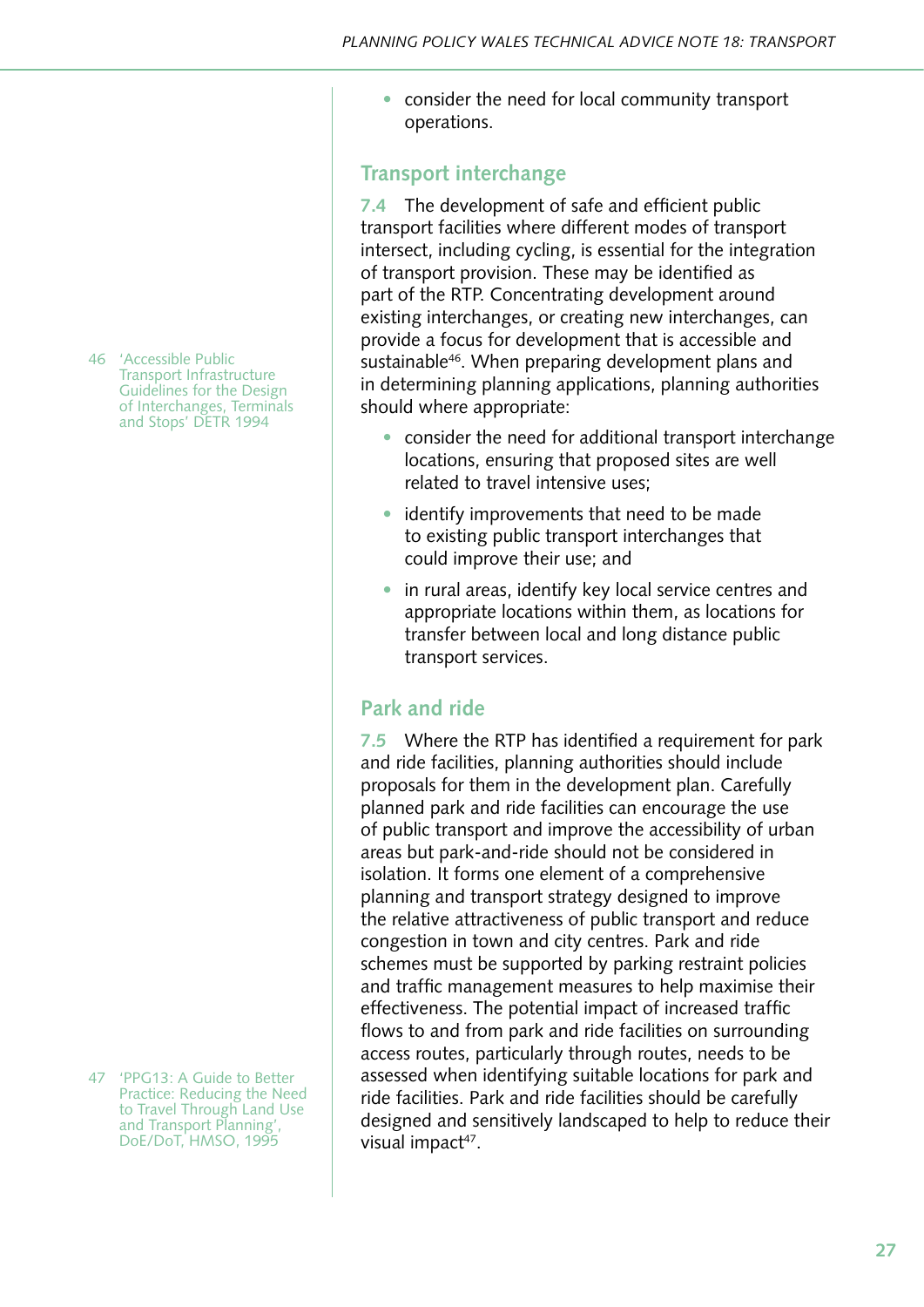• consider the need for local community transport operations.

## **Transport interchange**

**7.4** The development of safe and efficient public transport facilities where different modes of transport intersect, including cycling, is essential for the integration of transport provision. These may be identified as part of the RTP. Concentrating development around existing interchanges, or creating new interchanges, can provide a focus for development that is accessible and sustainable<sup>46</sup>. When preparing development plans and in determining planning applications, planning authorities should where appropriate:

- consider the need for additional transport interchange locations, ensuring that proposed sites are well related to travel intensive uses;
- identify improvements that need to be made to existing public transport interchanges that could improve their use; and
- in rural areas, identify key local service centres and appropriate locations within them, as locations for transfer between local and long distance public transport services.

## **Park and ride**

**7.5** Where the RTP has identified a requirement for park and ride facilities, planning authorities should include proposals for them in the development plan. Carefully planned park and ride facilities can encourage the use of public transport and improve the accessibility of urban areas but park-and-ride should not be considered in isolation. It forms one element of a comprehensive planning and transport strategy designed to improve the relative attractiveness of public transport and reduce congestion in town and city centres. Park and ride schemes must be supported by parking restraint policies and traffic management measures to help maximise their effectiveness. The potential impact of increased traffic flows to and from park and ride facilities on surrounding access routes, particularly through routes, needs to be assessed when identifying suitable locations for park and ride facilities. Park and ride facilities should be carefully designed and sensitively landscaped to help to reduce their visual impact<sup>47</sup>.

46 'Accessible Public Transport Infrastructure Guidelines for the Design of Interchanges, Terminals and Stops' DETR 1994

47 'PPG13: A Guide to Better Practice: Reducing the Need to Travel Through Land Use and Transport Planning', DoE/DoT, HMSO, 1995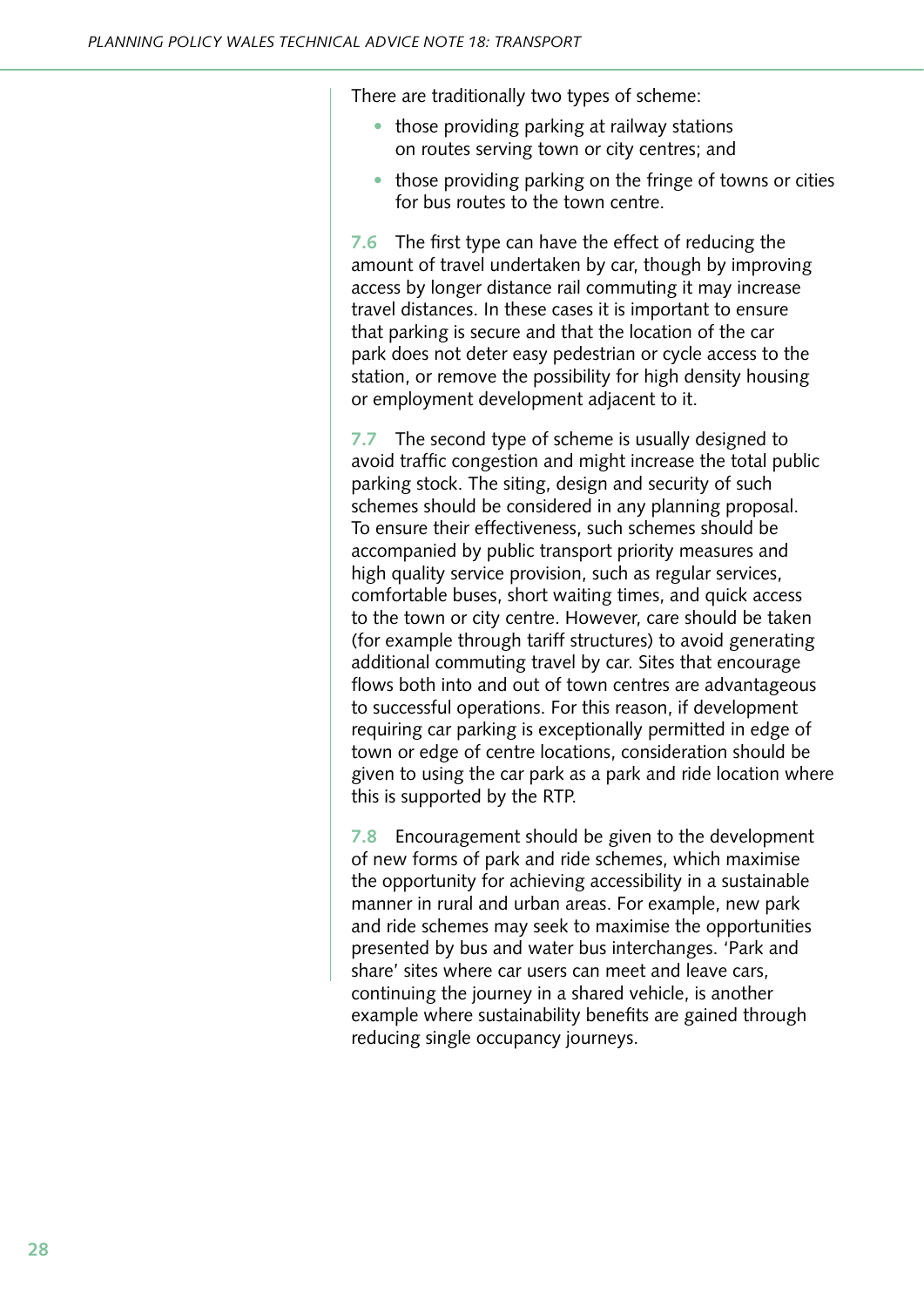There are traditionally two types of scheme:

- those providing parking at railway stations on routes serving town or city centres; and
- those providing parking on the fringe of towns or cities for bus routes to the town centre.

**7.6** The first type can have the effect of reducing the amount of travel undertaken by car, though by improving access by longer distance rail commuting it may increase travel distances. In these cases it is important to ensure that parking is secure and that the location of the car park does not deter easy pedestrian or cycle access to the station, or remove the possibility for high density housing or employment development adjacent to it.

**7.7** The second type of scheme is usually designed to avoid traffic congestion and might increase the total public parking stock. The siting, design and security of such schemes should be considered in any planning proposal. To ensure their effectiveness, such schemes should be accompanied by public transport priority measures and high quality service provision, such as regular services, comfortable buses, short waiting times, and quick access to the town or city centre. However, care should be taken (for example through tariff structures) to avoid generating additional commuting travel by car. Sites that encourage flows both into and out of town centres are advantageous to successful operations. For this reason, if development requiring car parking is exceptionally permitted in edge of town or edge of centre locations, consideration should be given to using the car park as a park and ride location where this is supported by the RTP.

**7.8** Encouragement should be given to the development of new forms of park and ride schemes, which maximise the opportunity for achieving accessibility in a sustainable manner in rural and urban areas. For example, new park and ride schemes may seek to maximise the opportunities presented by bus and water bus interchanges. 'Park and share' sites where car users can meet and leave cars, continuing the journey in a shared vehicle, is another example where sustainability benefits are gained through reducing single occupancy journeys.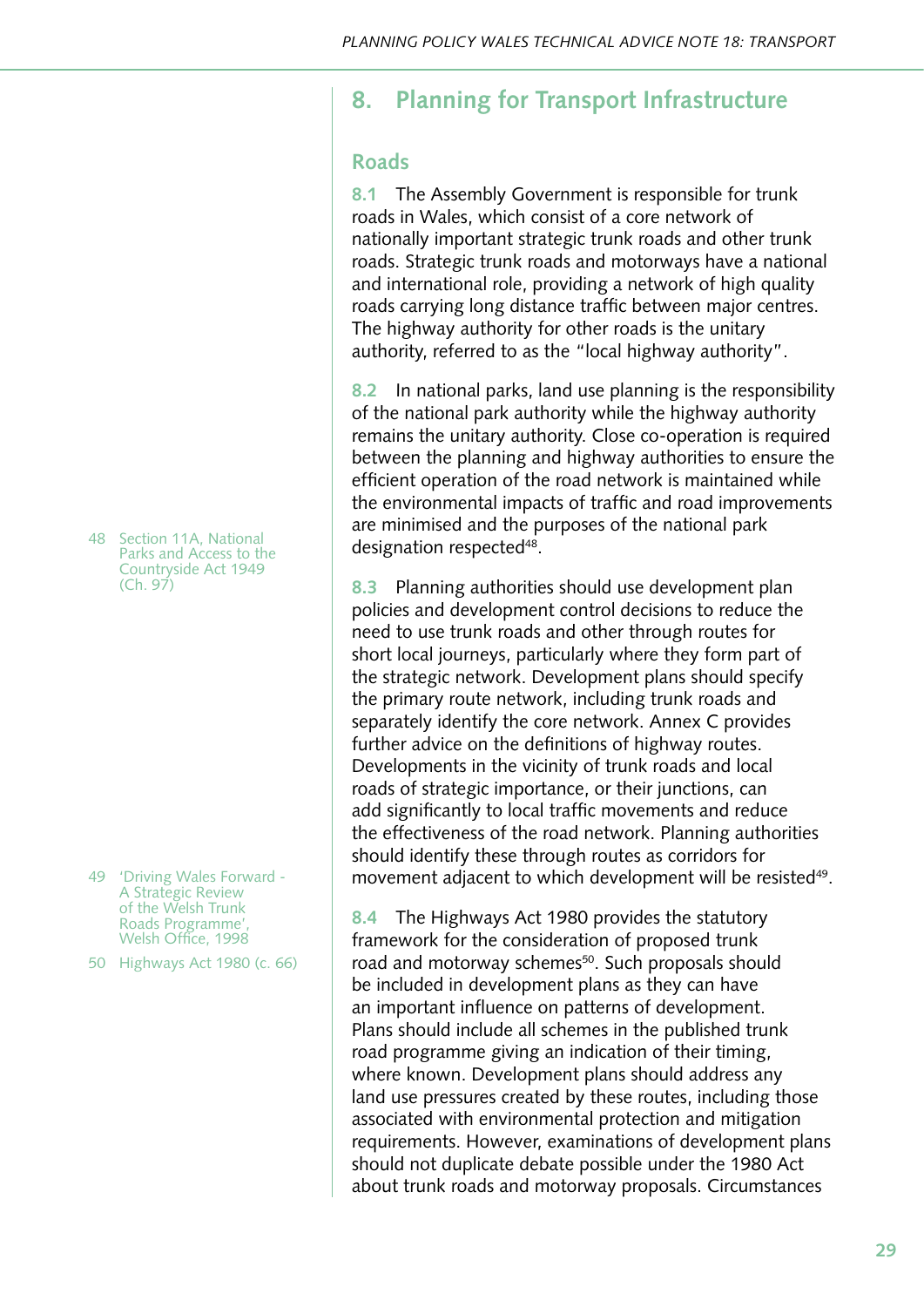# **8. Planning for Transport Infrastructure**

#### **Roads**

**8.1** The Assembly Government is responsible for trunk roads in Wales, which consist of a core network of nationally important strategic trunk roads and other trunk roads. Strategic trunk roads and motorways have a national and international role, providing a network of high quality roads carrying long distance traffic between major centres. The highway authority for other roads is the unitary authority, referred to as the "local highway authority".

**8.2** In national parks, land use planning is the responsibility of the national park authority while the highway authority remains the unitary authority. Close co-operation is required between the planning and highway authorities to ensure the efficient operation of the road network is maintained while the environmental impacts of traffic and road improvements are minimised and the purposes of the national park designation respected<sup>48</sup>.

**8.3** Planning authorities should use development plan policies and development control decisions to reduce the need to use trunk roads and other through routes for short local journeys, particularly where they form part of the strategic network. Development plans should specify the primary route network, including trunk roads and separately identify the core network. Annex C provides further advice on the definitions of highway routes. Developments in the vicinity of trunk roads and local roads of strategic importance, or their junctions, can add significantly to local traffic movements and reduce the effectiveness of the road network. Planning authorities should identify these through routes as corridors for movement adjacent to which development will be resisted<sup>49</sup>.

**8.4** The Highways Act 1980 provides the statutory framework for the consideration of proposed trunk road and motorway schemes<sup>50</sup>. Such proposals should be included in development plans as they can have an important influence on patterns of development. Plans should include all schemes in the published trunk road programme giving an indication of their timing, where known. Development plans should address any land use pressures created by these routes, including those associated with environmental protection and mitigation requirements. However, examinations of development plans should not duplicate debate possible under the 1980 Act about trunk roads and motorway proposals. Circumstances

48 Section 11A, National Parks and Access to the Countryside Act 1949 (Ch. 97)

- 49 'Driving Wales Forward A Strategic Review of the Welsh Trunk Roads Programme' Welsh Office, 1998
- 50 Highways Act 1980 (c. 66)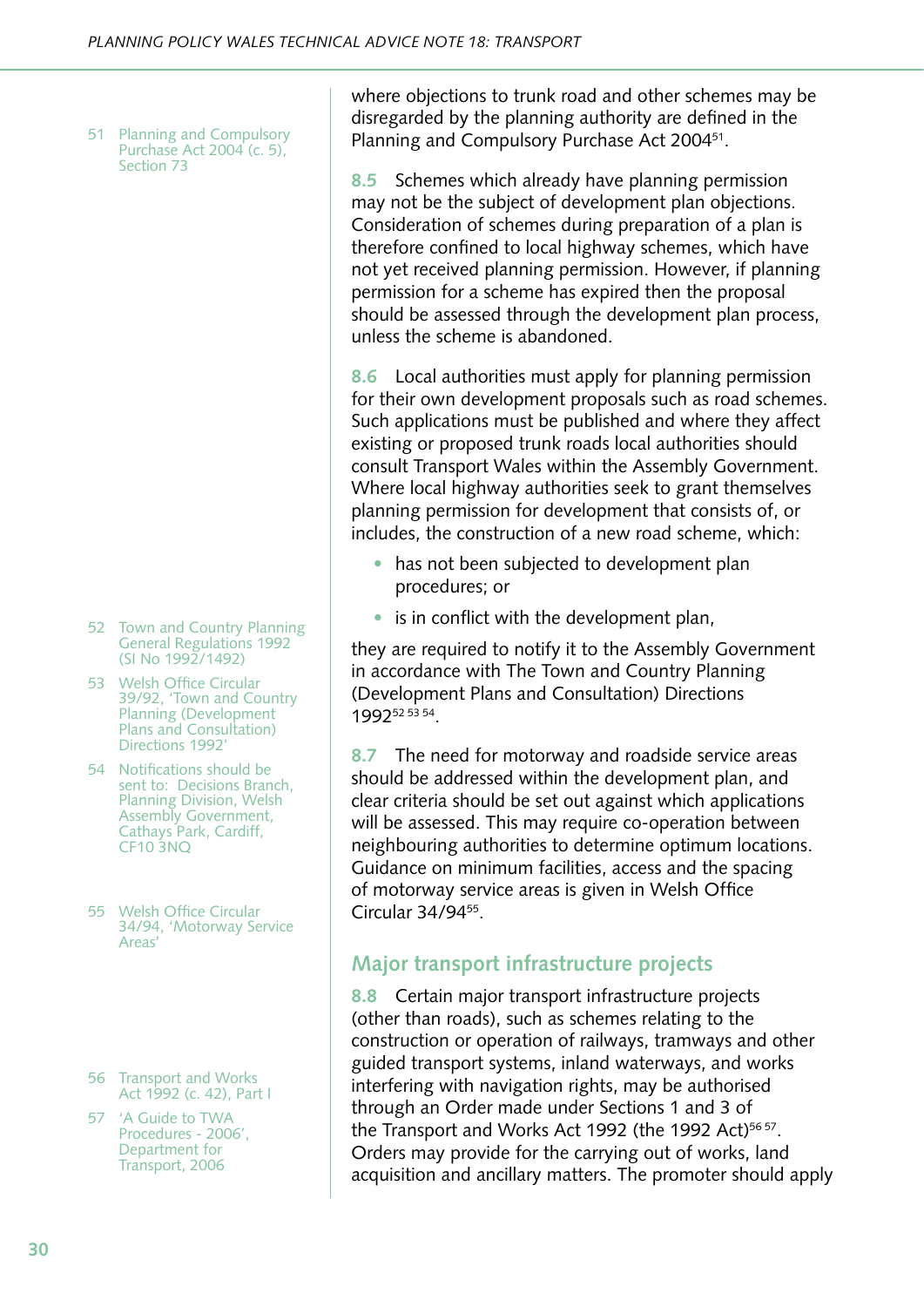51 Planning and Compulsory Purchase Act 2004<sup>'</sup> (c. 5)<sup>'</sup>, Section 73

- 52 Town and Country Planning General Regulations 1992 (SI No 1992/1492)
- 53 Welsh Office Circular 39/92, 'Town and Country Planning (Development Plans and Consultation) Directions 1992'
- 54 Notifications should be sent to: Decisions Branch, Planning Division, Welsh Assembly Government, Cathays Park, Cardiff, CF10 3NQ
- 55 Welsh Office Circular 34/94, 'Motorway Service Areas'
- 56 Transport and Works Act 1992 (c. 42), Part I
- 57 'A Guide to TWA Procedures - 2006', Department for Transport, 2006

where objections to trunk road and other schemes may be disregarded by the planning authority are defined in the Planning and Compulsory Purchase Act 2004<sup>51</sup>.

**8.5** Schemes which already have planning permission may not be the subject of development plan objections. Consideration of schemes during preparation of a plan is therefore confined to local highway schemes, which have not yet received planning permission. However, if planning permission for a scheme has expired then the proposal should be assessed through the development plan process, unless the scheme is abandoned.

**8.6** Local authorities must apply for planning permission for their own development proposals such as road schemes. Such applications must be published and where they affect existing or proposed trunk roads local authorities should consult Transport Wales within the Assembly Government. Where local highway authorities seek to grant themselves planning permission for development that consists of, or includes, the construction of a new road scheme, which:

- has not been subjected to development plan procedures; or
- is in conflict with the development plan,

they are required to notify it to the Assembly Government in accordance with The Town and Country Planning (Development Plans and Consultation) Directions 199252 53 54.

**8.7** The need for motorway and roadside service areas should be addressed within the development plan, and clear criteria should be set out against which applications will be assessed. This may require co-operation between neighbouring authorities to determine optimum locations. Guidance on minimum facilities, access and the spacing of motorway service areas is given in Welsh Office Circular 34/9455.

#### **Major transport infrastructure projects**

**8.8** Certain major transport infrastructure projects (other than roads), such as schemes relating to the construction or operation of railways, tramways and other guided transport systems, inland waterways, and works interfering with navigation rights, may be authorised through an Order made under Sections 1 and 3 of the Transport and Works Act 1992 (the 1992 Act)<sup>5657</sup>. Orders may provide for the carrying out of works, land acquisition and ancillary matters. The promoter should apply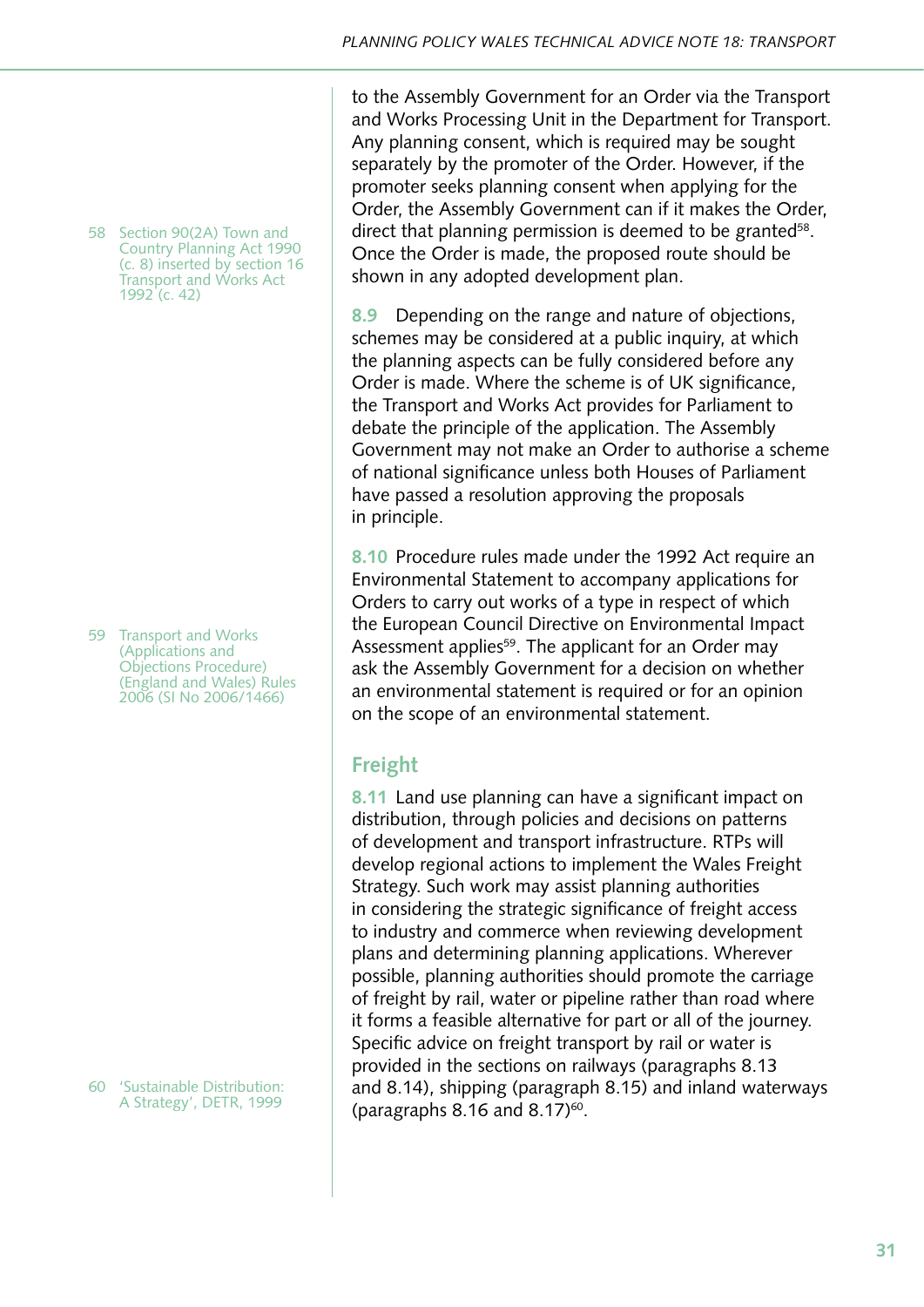58 Section 90(2A) Town and Country Planning Act 1990 (c. 8) inserted by section 16 Transport and Works Act 1992 (c. 42)

59 Transport and Works (Applications and Objections Procedure) (England and Wales) Rules 2006 (SI No 2006/1466)

60 'Sustainable Distribution: A Strategy', DETR, 1999

to the Assembly Government for an Order via the Transport and Works Processing Unit in the Department for Transport. Any planning consent, which is required may be sought separately by the promoter of the Order. However, if the promoter seeks planning consent when applying for the Order, the Assembly Government can if it makes the Order, direct that planning permission is deemed to be granted<sup>58</sup>. Once the Order is made, the proposed route should be shown in any adopted development plan.

**8.9** Depending on the range and nature of objections, schemes may be considered at a public inquiry, at which the planning aspects can be fully considered before any Order is made. Where the scheme is of UK significance, the Transport and Works Act provides for Parliament to debate the principle of the application. The Assembly Government may not make an Order to authorise a scheme of national significance unless both Houses of Parliament have passed a resolution approving the proposals in principle.

**8.10** Procedure rules made under the 1992 Act require an Environmental Statement to accompany applications for Orders to carry out works of a type in respect of which the European Council Directive on Environmental Impact Assessment applies<sup>59</sup>. The applicant for an Order may ask the Assembly Government for a decision on whether an environmental statement is required or for an opinion on the scope of an environmental statement.

# **Freight**

**8.11** Land use planning can have a significant impact on distribution, through policies and decisions on patterns of development and transport infrastructure. RTPs will develop regional actions to implement the Wales Freight Strategy. Such work may assist planning authorities in considering the strategic significance of freight access to industry and commerce when reviewing development plans and determining planning applications. Wherever possible, planning authorities should promote the carriage of freight by rail, water or pipeline rather than road where it forms a feasible alternative for part or all of the journey. Specific advice on freight transport by rail or water is provided in the sections on railways (paragraphs 8.13 and 8.14), shipping (paragraph 8.15) and inland waterways (paragraphs 8.16 and  $8.17$ )<sup>60</sup>.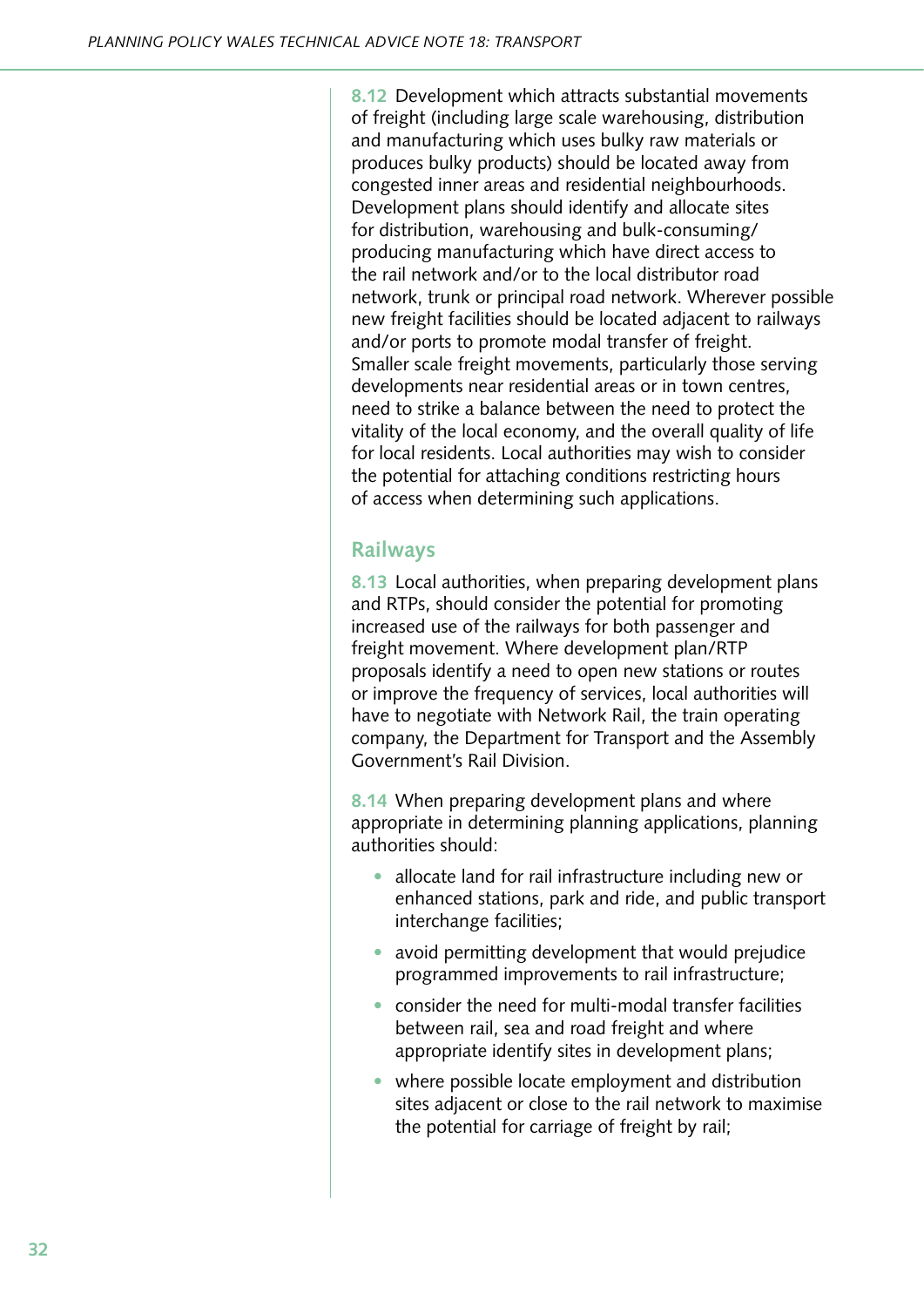**8.12** Development which attracts substantial movements of freight (including large scale warehousing, distribution and manufacturing which uses bulky raw materials or produces bulky products) should be located away from congested inner areas and residential neighbourhoods. Development plans should identify and allocate sites for distribution, warehousing and bulk-consuming/ producing manufacturing which have direct access to the rail network and/or to the local distributor road network, trunk or principal road network. Wherever possible new freight facilities should be located adjacent to railways and/or ports to promote modal transfer of freight. Smaller scale freight movements, particularly those serving developments near residential areas or in town centres, need to strike a balance between the need to protect the vitality of the local economy, and the overall quality of life for local residents. Local authorities may wish to consider the potential for attaching conditions restricting hours of access when determining such applications.

### **Railways**

**8.13** Local authorities, when preparing development plans and RTPs, should consider the potential for promoting increased use of the railways for both passenger and freight movement. Where development plan/RTP proposals identify a need to open new stations or routes or improve the frequency of services, local authorities will have to negotiate with Network Rail, the train operating company, the Department for Transport and the Assembly Government's Rail Division.

**8.14** When preparing development plans and where appropriate in determining planning applications, planning authorities should:

- allocate land for rail infrastructure including new or enhanced stations, park and ride, and public transport interchange facilities;
- avoid permitting development that would prejudice programmed improvements to rail infrastructure;
- consider the need for multi-modal transfer facilities between rail, sea and road freight and where appropriate identify sites in development plans;
- where possible locate employment and distribution sites adjacent or close to the rail network to maximise the potential for carriage of freight by rail;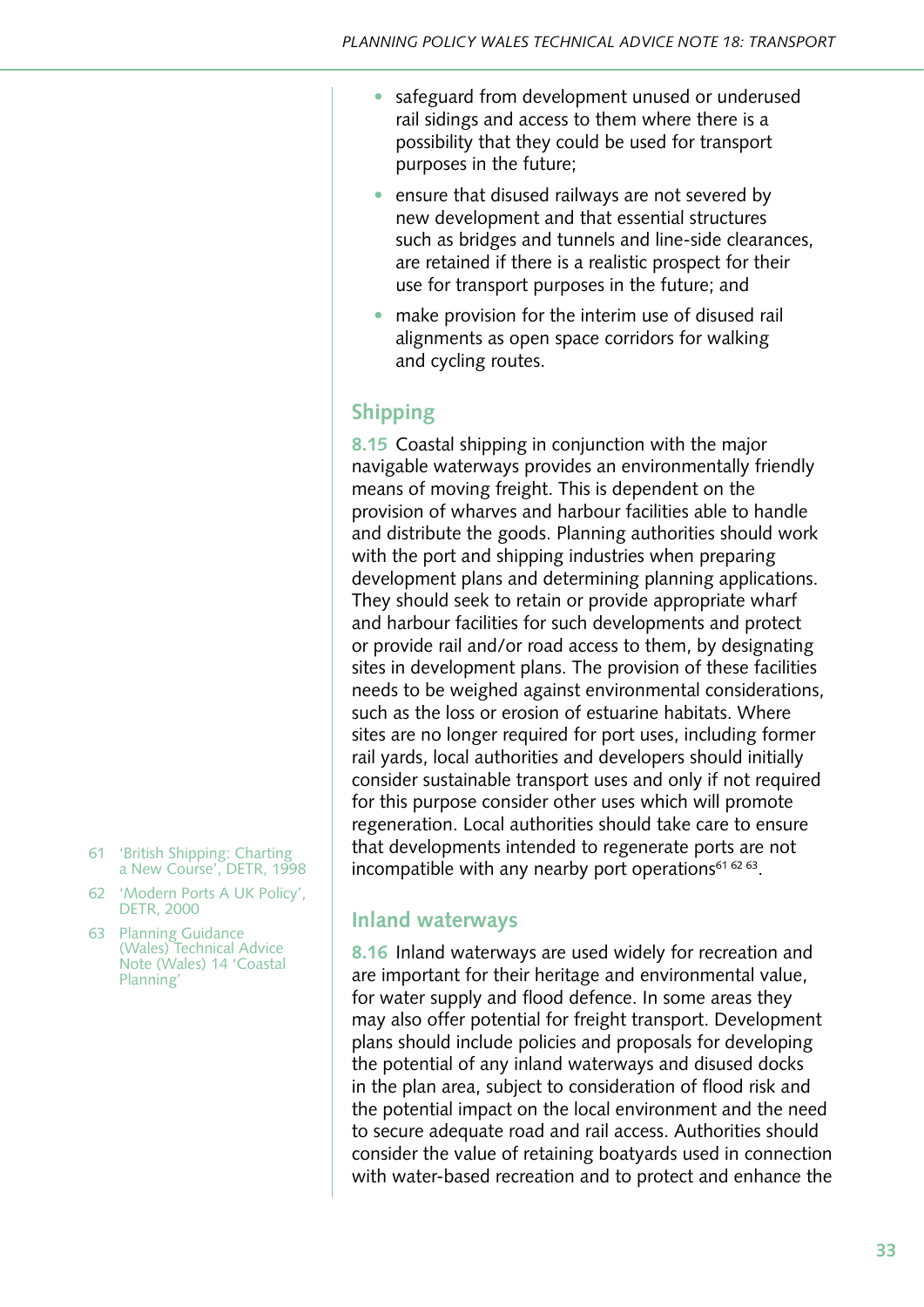- safeguard from development unused or underused rail sidings and access to them where there is a possibility that they could be used for transport purposes in the future;
- ensure that disused railways are not severed by new development and that essential structures such as bridges and tunnels and line-side clearances, are retained if there is a realistic prospect for their use for transport purposes in the future; and
- make provision for the interim use of disused rail alignments as open space corridors for walking and cycling routes.

# **Shipping**

**8.15** Coastal shipping in conjunction with the major navigable waterways provides an environmentally friendly means of moving freight. This is dependent on the provision of wharves and harbour facilities able to handle and distribute the goods. Planning authorities should work with the port and shipping industries when preparing development plans and determining planning applications. They should seek to retain or provide appropriate wharf and harbour facilities for such developments and protect or provide rail and/or road access to them, by designating sites in development plans. The provision of these facilities needs to be weighed against environmental considerations, such as the loss or erosion of estuarine habitats. Where sites are no longer required for port uses, including former rail yards, local authorities and developers should initially consider sustainable transport uses and only if not required for this purpose consider other uses which will promote regeneration. Local authorities should take care to ensure that developments intended to regenerate ports are not incompatible with any nearby port operations<sup>61 62 63</sup>.

#### 61 'British Shipping: Charting a New Course', DETR, 1998

- 62 'Modern Ports A UK Policy', DETR, 2000
- 63 Planning Guidance (Wales) Technical Advice Note (Wales) 14 'Coastal Planning'

## **Inland waterways**

**8.16** Inland waterways are used widely for recreation and are important for their heritage and environmental value, for water supply and flood defence. In some areas they may also offer potential for freight transport. Development plans should include policies and proposals for developing the potential of any inland waterways and disused docks in the plan area, subject to consideration of flood risk and the potential impact on the local environment and the need to secure adequate road and rail access. Authorities should consider the value of retaining boatyards used in connection with water-based recreation and to protect and enhance the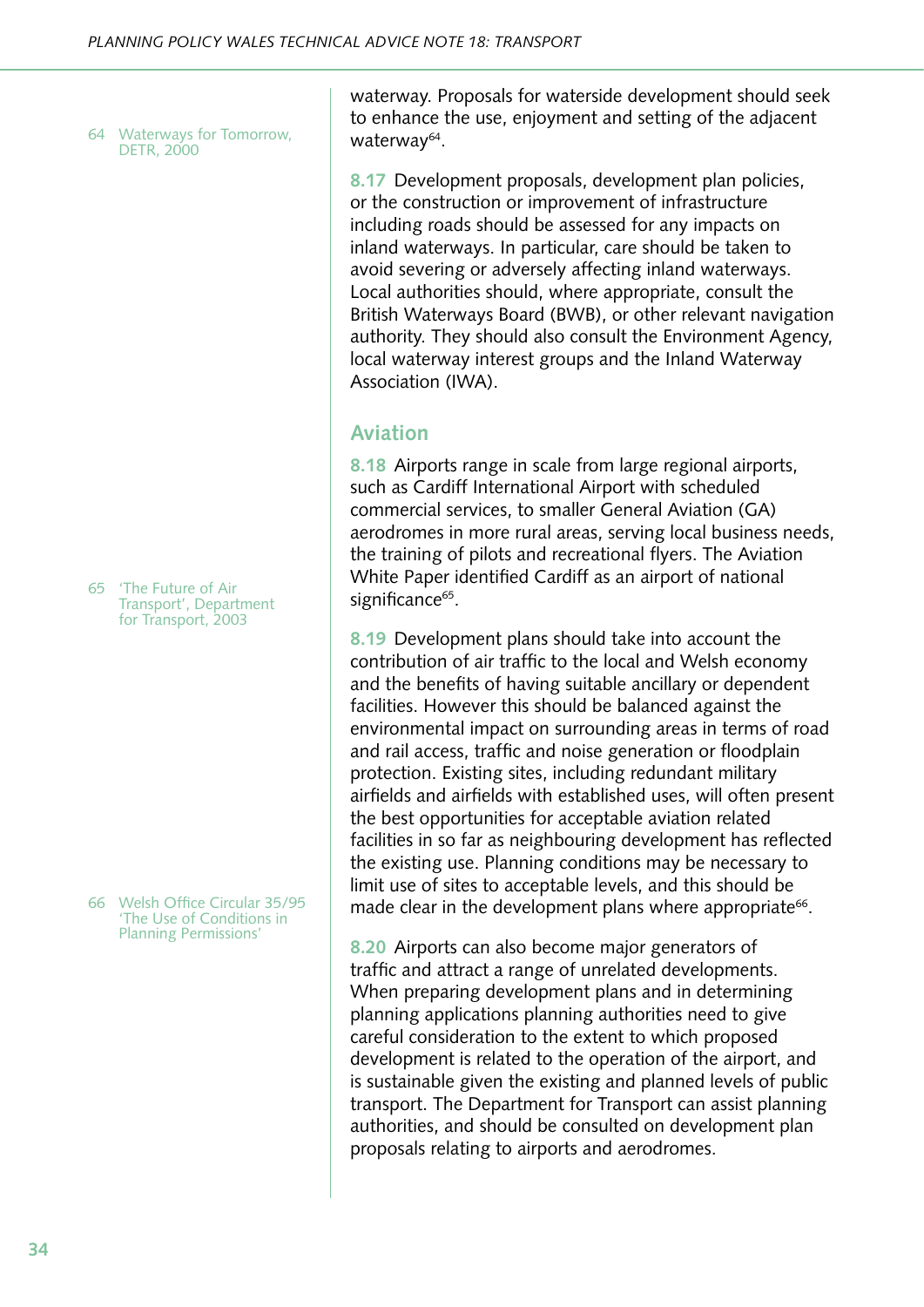64 Waterways for Tomorrow, DETR, 2000

65 'The Future of Air Transport', Department for Transport, 2003

66 Welsh Office Circular 35/95 'The Use of Conditions in Planning Permissions'

waterway. Proposals for waterside development should seek to enhance the use, enjoyment and setting of the adjacent waterway<sup>64</sup>.

**8.17** Development proposals, development plan policies, or the construction or improvement of infrastructure including roads should be assessed for any impacts on inland waterways. In particular, care should be taken to avoid severing or adversely affecting inland waterways. Local authorities should, where appropriate, consult the British Waterways Board (BWB), or other relevant navigation authority. They should also consult the Environment Agency, local waterway interest groups and the Inland Waterway Association (IWA).

#### **Aviation**

**8.18** Airports range in scale from large regional airports, such as Cardiff International Airport with scheduled commercial services, to smaller General Aviation (GA) aerodromes in more rural areas, serving local business needs, the training of pilots and recreational flyers. The Aviation White Paper identified Cardiff as an airport of national significance<sup>65</sup>.

**8.19** Development plans should take into account the contribution of air traffic to the local and Welsh economy and the benefits of having suitable ancillary or dependent facilities. However this should be balanced against the environmental impact on surrounding areas in terms of road and rail access, traffic and noise generation or floodplain protection. Existing sites, including redundant military airfields and airfields with established uses, will often present the best opportunities for acceptable aviation related facilities in so far as neighbouring development has reflected the existing use. Planning conditions may be necessary to limit use of sites to acceptable levels, and this should be made clear in the development plans where appropriate<sup>66</sup>.

**8.20** Airports can also become major generators of traffic and attract a range of unrelated developments. When preparing development plans and in determining planning applications planning authorities need to give careful consideration to the extent to which proposed development is related to the operation of the airport, and is sustainable given the existing and planned levels of public transport. The Department for Transport can assist planning authorities, and should be consulted on development plan proposals relating to airports and aerodromes.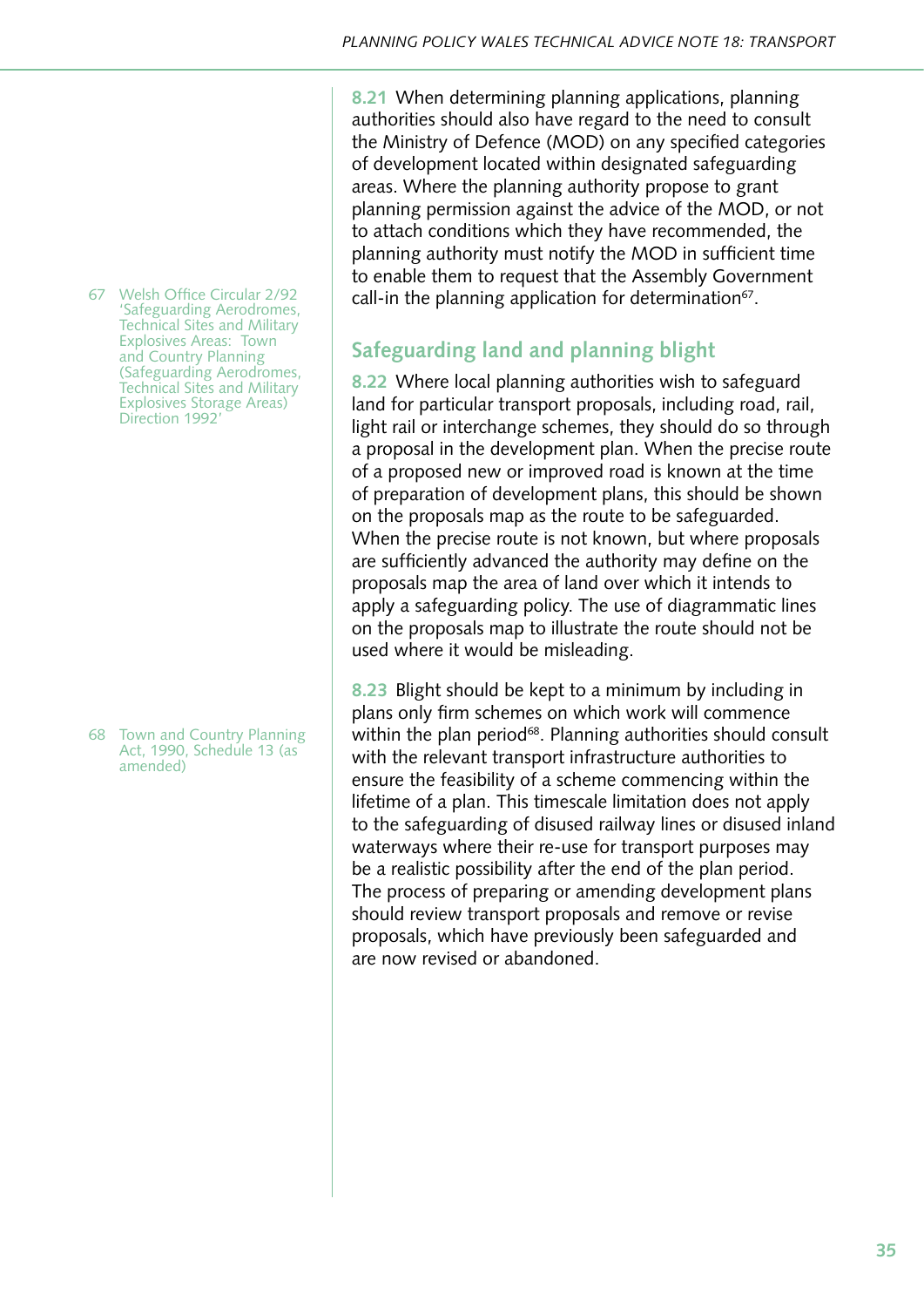**8.21** When determining planning applications, planning authorities should also have regard to the need to consult the Ministry of Defence (MOD) on any specified categories of development located within designated safeguarding areas. Where the planning authority propose to grant planning permission against the advice of the MOD, or not to attach conditions which they have recommended, the planning authority must notify the MOD in sufficient time to enable them to request that the Assembly Government call-in the planning application for determination<sup>67</sup>.

## **Safeguarding land and planning blight**

**8.22** Where local planning authorities wish to safeguard land for particular transport proposals, including road, rail, light rail or interchange schemes, they should do so through a proposal in the development plan. When the precise route of a proposed new or improved road is known at the time of preparation of development plans, this should be shown on the proposals map as the route to be safeguarded. When the precise route is not known, but where proposals are sufficiently advanced the authority may define on the proposals map the area of land over which it intends to apply a safeguarding policy. The use of diagrammatic lines on the proposals map to illustrate the route should not be used where it would be misleading.

**8.23** Blight should be kept to a minimum by including in plans only firm schemes on which work will commence within the plan period<sup>68</sup>. Planning authorities should consult with the relevant transport infrastructure authorities to ensure the feasibility of a scheme commencing within the lifetime of a plan. This timescale limitation does not apply to the safeguarding of disused railway lines or disused inland waterways where their re-use for transport purposes may be a realistic possibility after the end of the plan period. The process of preparing or amending development plans should review transport proposals and remove or revise proposals, which have previously been safeguarded and are now revised or abandoned.

67 Welsh Office Circular 2/92 'Safeguarding Aerodromes, Technical Sites and Military Explosives Areas: Town and Country Planning (Safeguarding Aerodromes, Technical Sites and Military Explosives Storage Areas) Direction 1992'

68 Town and Country Planning Act, 1990, Schedule 13 (as amended)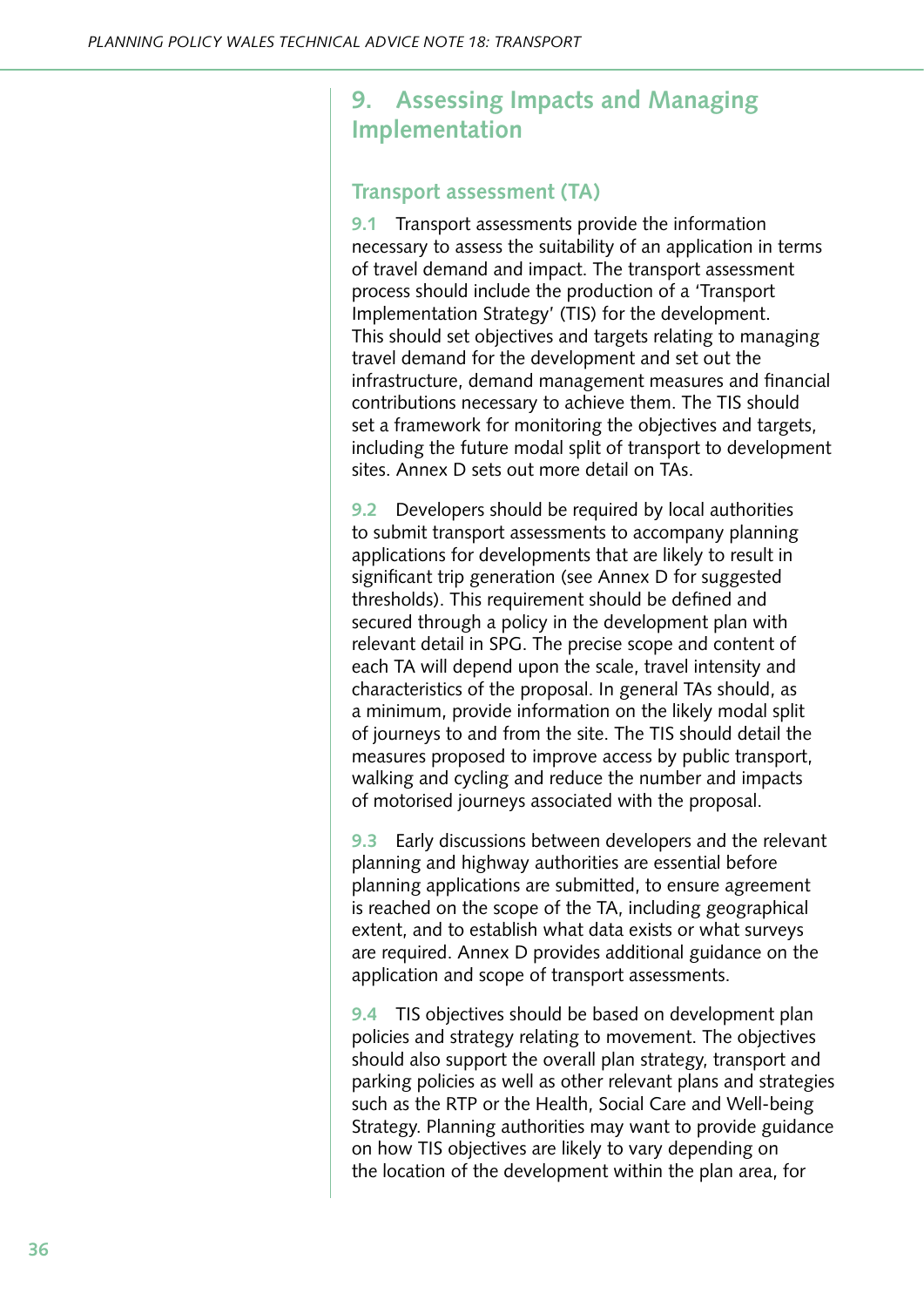# **9. Assessing Impacts and Managing Implementation**

#### **Transport assessment (TA)**

**9.1** Transport assessments provide the information necessary to assess the suitability of an application in terms of travel demand and impact. The transport assessment process should include the production of a 'Transport Implementation Strategy' (TIS) for the development. This should set objectives and targets relating to managing travel demand for the development and set out the infrastructure, demand management measures and financial contributions necessary to achieve them. The TIS should set a framework for monitoring the objectives and targets, including the future modal split of transport to development sites. Annex D sets out more detail on TAs.

**9.2** Developers should be required by local authorities to submit transport assessments to accompany planning applications for developments that are likely to result in significant trip generation (see Annex D for suggested thresholds). This requirement should be defined and secured through a policy in the development plan with relevant detail in SPG. The precise scope and content of each TA will depend upon the scale, travel intensity and characteristics of the proposal. In general TAs should, as a minimum, provide information on the likely modal split of journeys to and from the site. The TIS should detail the measures proposed to improve access by public transport, walking and cycling and reduce the number and impacts of motorised journeys associated with the proposal.

**9.3** Early discussions between developers and the relevant planning and highway authorities are essential before planning applications are submitted, to ensure agreement is reached on the scope of the TA, including geographical extent, and to establish what data exists or what surveys are required. Annex D provides additional guidance on the application and scope of transport assessments.

**9.4** TIS objectives should be based on development plan policies and strategy relating to movement. The objectives should also support the overall plan strategy, transport and parking policies as well as other relevant plans and strategies such as the RTP or the Health, Social Care and Well-being Strategy. Planning authorities may want to provide guidance on how TIS objectives are likely to vary depending on the location of the development within the plan area, for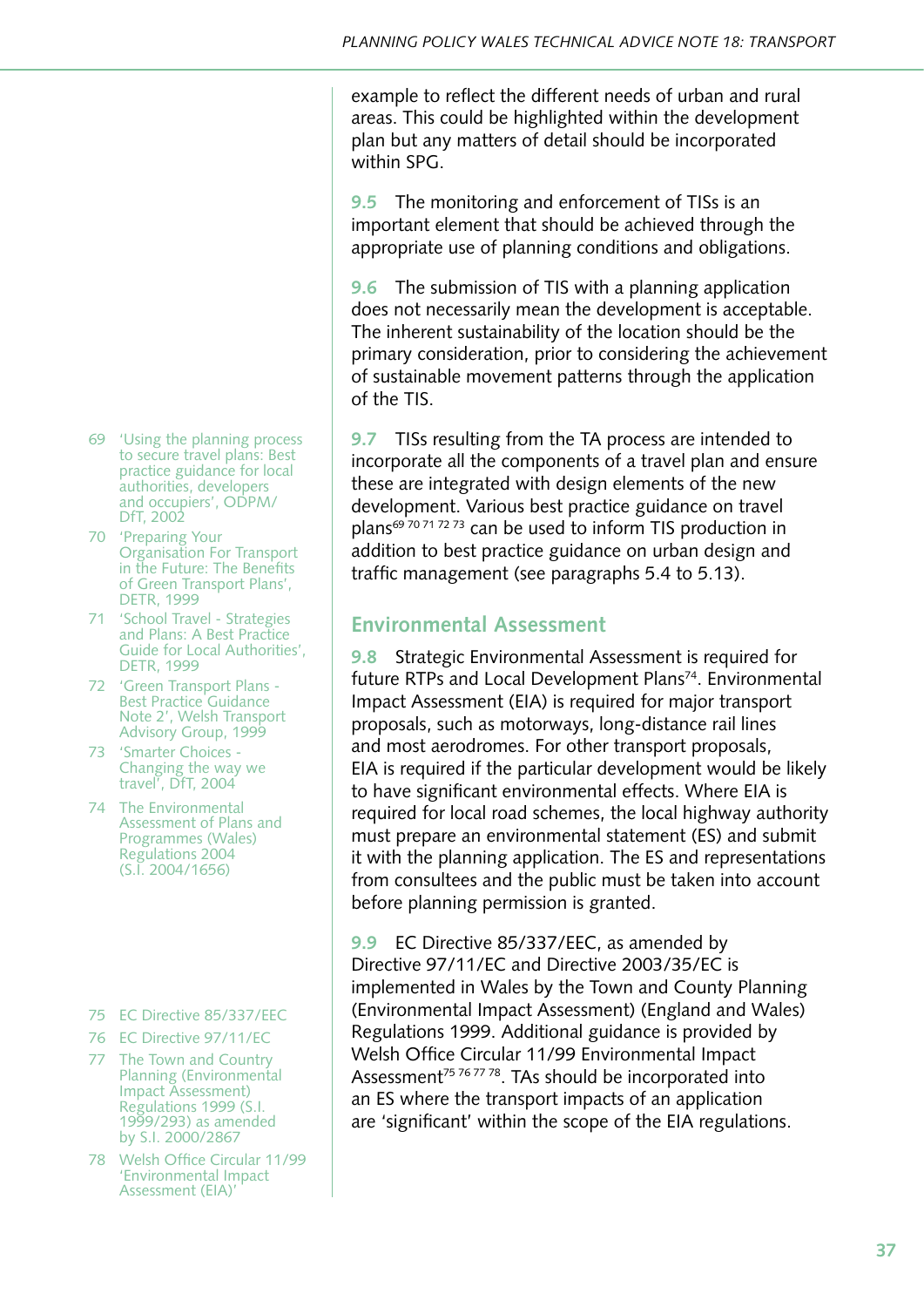example to reflect the different needs of urban and rural areas. This could be highlighted within the development plan but any matters of detail should be incorporated within SPG.

**9.5** The monitoring and enforcement of TISs is an important element that should be achieved through the appropriate use of planning conditions and obligations.

**9.6** The submission of TIS with a planning application does not necessarily mean the development is acceptable. The inherent sustainability of the location should be the primary consideration, prior to considering the achievement of sustainable movement patterns through the application of the TIS.

**9.7** TISs resulting from the TA process are intended to incorporate all the components of a travel plan and ensure these are integrated with design elements of the new development. Various best practice guidance on travel plans<sup>69 70 71 72 73</sup> can be used to inform TIS production in addition to best practice guidance on urban design and traffic management (see paragraphs 5.4 to 5.13).

#### **Environmental Assessment**

**9.8** Strategic Environmental Assessment is required for future RTPs and Local Development Plans<sup>74</sup>. Environmental Impact Assessment (EIA) is required for major transport proposals, such as motorways, long-distance rail lines and most aerodromes. For other transport proposals, EIA is required if the particular development would be likely to have significant environmental effects. Where EIA is required for local road schemes, the local highway authority must prepare an environmental statement (ES) and submit it with the planning application. The ES and representations from consultees and the public must be taken into account before planning permission is granted.

**9.9** EC Directive 85/337/EEC, as amended by Directive 97/11/EC and Directive 2003/35/EC is implemented in Wales by the Town and County Planning (Environmental Impact Assessment) (England and Wales) Regulations 1999. Additional guidance is provided by Welsh Office Circular 11/99 Environmental Impact Assessment<sup>75 76 77 78</sup>. TAs should be incorporated into an ES where the transport impacts of an application are 'significant' within the scope of the EIA regulations.

- 69 'Using the planning process to secure travel plans: Best practice guidance for local authorities, developers and occupiers', ODPM/ DfT, 2002
- 70 'Preparing Your Organisation For Transport in the Future: The Benefits of Green Transport Plans', DETR, 1999
- 71 'School Travel Strategies and Plans: A Best Practice Guide for Local Authorities', DETR, 1999
- 72 'Green Transport Plans Best Practice Guidance Note 2', Welsh Transport Advisory Group, 1999
- 73 'Smarter Choices Changing the way we travel', DfT, 2004
- 74 The Environmental Assessment of Plans and Programmes (Wales) Regulations 2004 (S.I. 2004/1656)
- 75 EC Directive 85/337/EEC
- 76 EC Directive 97/11/EC
- 77 The Town and Country Planning (Environmental Impact Assessment) Regulations 1999 (S.I. 1999/293) as amended by S.I. 2000/2867
- 78 Welsh Office Circular 11/99 'Environmental Impact Assessment (EIA)'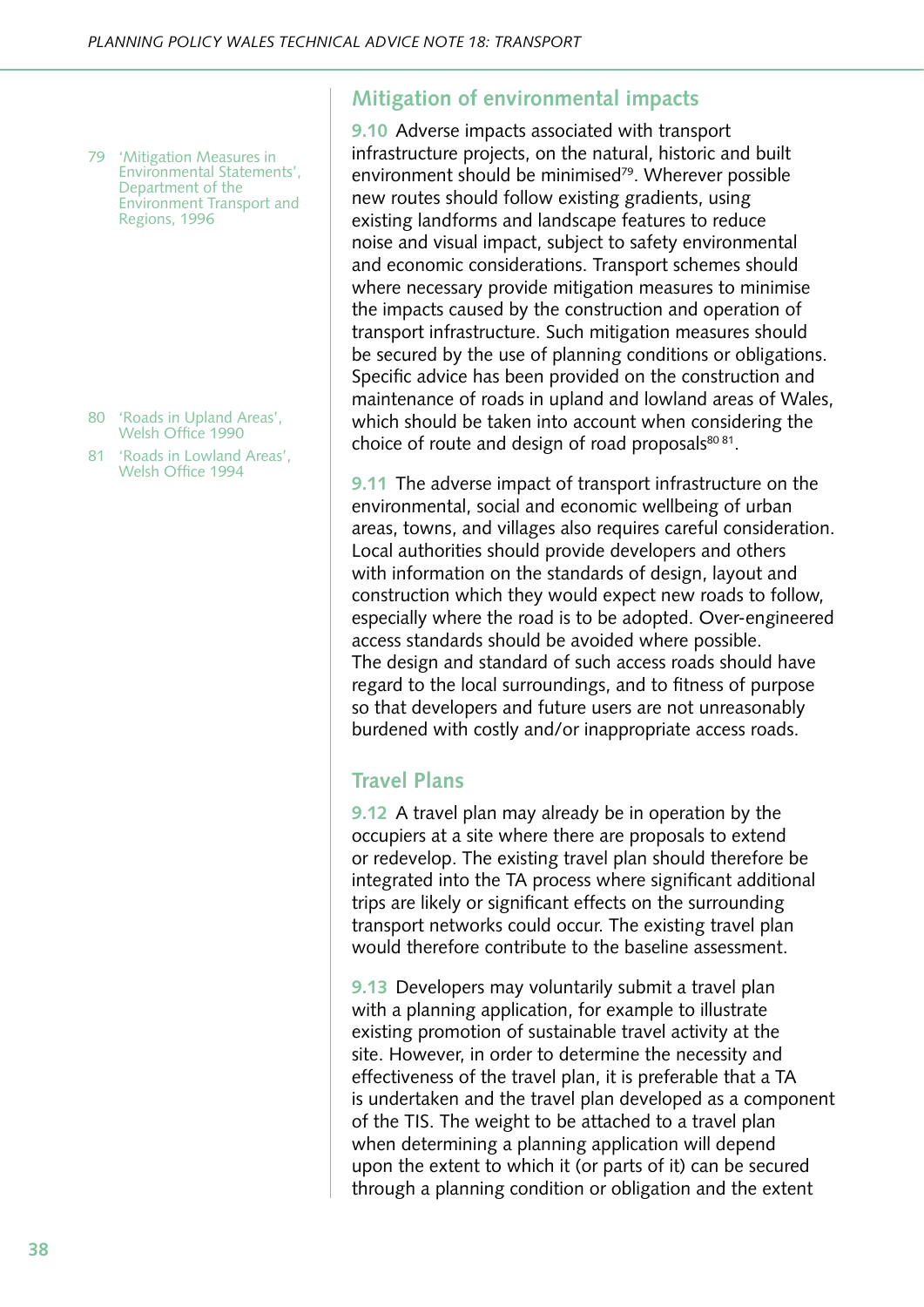79 'Mitigation Measures in Environmental Statements', Department of the Environment Transport and Regions, 1996

- 80 'Roads in Upland Areas', Welsh Office 1990
- 81 'Roads in Lowland Areas', Welsh Office 1994

#### **Mitigation of environmental impacts**

**9.10** Adverse impacts associated with transport infrastructure projects, on the natural, historic and built environment should be minimised<sup>79</sup>. Wherever possible new routes should follow existing gradients, using existing landforms and landscape features to reduce noise and visual impact, subject to safety environmental and economic considerations. Transport schemes should where necessary provide mitigation measures to minimise the impacts caused by the construction and operation of transport infrastructure. Such mitigation measures should be secured by the use of planning conditions or obligations. Specific advice has been provided on the construction and maintenance of roads in upland and lowland areas of Wales, which should be taken into account when considering the choice of route and design of road proposals<sup>80 81</sup>.

**9.11** The adverse impact of transport infrastructure on the environmental, social and economic wellbeing of urban areas, towns, and villages also requires careful consideration. Local authorities should provide developers and others with information on the standards of design, layout and construction which they would expect new roads to follow, especially where the road is to be adopted. Over-engineered access standards should be avoided where possible. The design and standard of such access roads should have regard to the local surroundings, and to fitness of purpose so that developers and future users are not unreasonably burdened with costly and/or inappropriate access roads.

#### **Travel Plans**

**9.12** A travel plan may already be in operation by the occupiers at a site where there are proposals to extend or redevelop. The existing travel plan should therefore be integrated into the TA process where significant additional trips are likely or significant effects on the surrounding transport networks could occur. The existing travel plan would therefore contribute to the baseline assessment.

**9.13** Developers may voluntarily submit a travel plan with a planning application, for example to illustrate existing promotion of sustainable travel activity at the site. However, in order to determine the necessity and effectiveness of the travel plan, it is preferable that a TA is undertaken and the travel plan developed as a component of the TIS. The weight to be attached to a travel plan when determining a planning application will depend upon the extent to which it (or parts of it) can be secured through a planning condition or obligation and the extent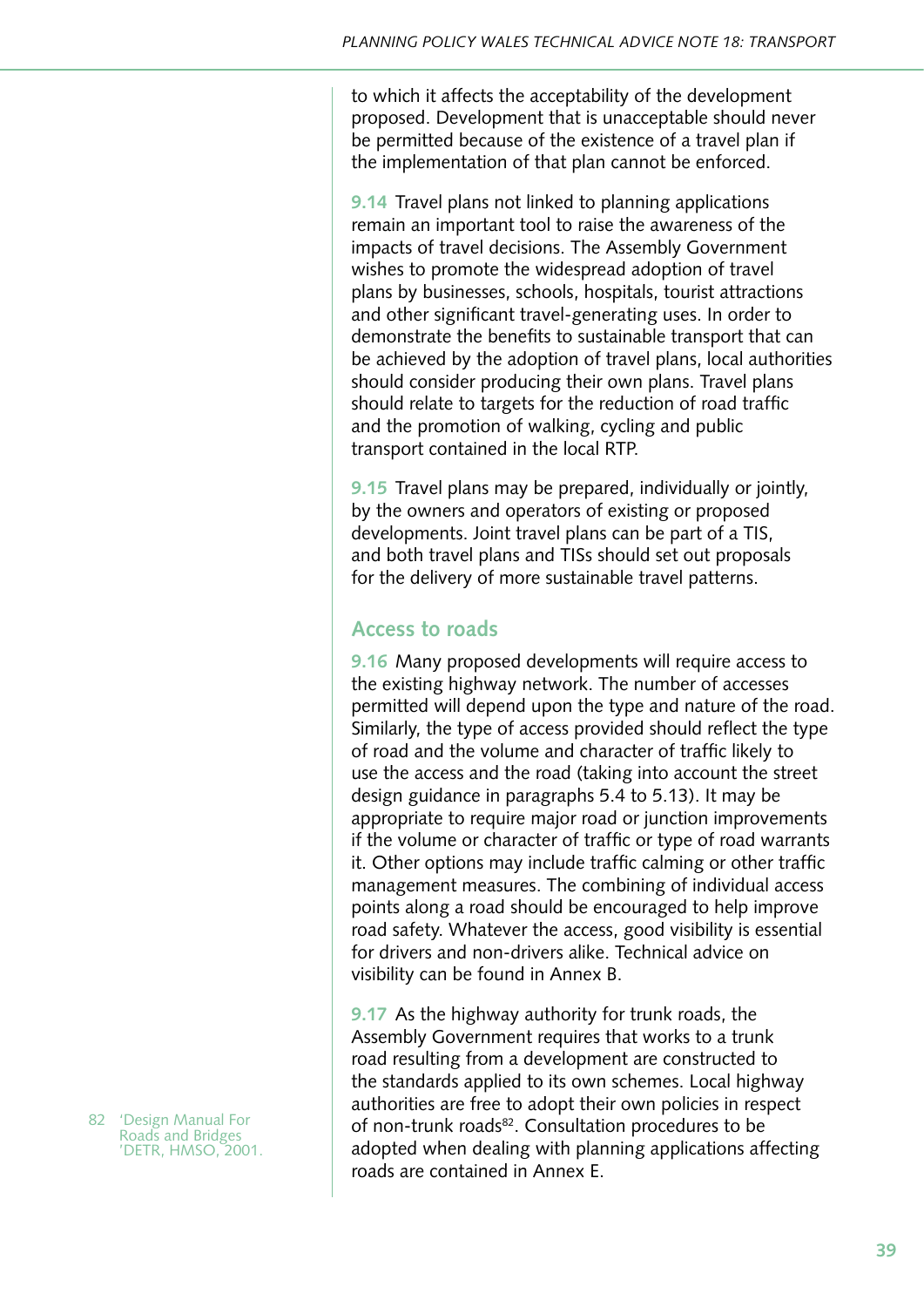to which it affects the acceptability of the development proposed. Development that is unacceptable should never be permitted because of the existence of a travel plan if the implementation of that plan cannot be enforced.

**9.14** Travel plans not linked to planning applications remain an important tool to raise the awareness of the impacts of travel decisions. The Assembly Government wishes to promote the widespread adoption of travel plans by businesses, schools, hospitals, tourist attractions and other significant travel-generating uses. In order to demonstrate the benefits to sustainable transport that can be achieved by the adoption of travel plans, local authorities should consider producing their own plans. Travel plans should relate to targets for the reduction of road traffic and the promotion of walking, cycling and public transport contained in the local RTP.

**9.15** Travel plans may be prepared, individually or jointly, by the owners and operators of existing or proposed developments. Joint travel plans can be part of a TIS, and both travel plans and TISs should set out proposals for the delivery of more sustainable travel patterns.

### **Access to roads**

**9.16** Many proposed developments will require access to the existing highway network. The number of accesses permitted will depend upon the type and nature of the road. Similarly, the type of access provided should reflect the type of road and the volume and character of traffic likely to use the access and the road (taking into account the street design guidance in paragraphs 5.4 to 5.13). It may be appropriate to require major road or junction improvements if the volume or character of traffic or type of road warrants it. Other options may include traffic calming or other traffic management measures. The combining of individual access points along a road should be encouraged to help improve road safety. Whatever the access, good visibility is essential for drivers and non-drivers alike. Technical advice on visibility can be found in Annex B.

**9.17** As the highway authority for trunk roads, the Assembly Government requires that works to a trunk road resulting from a development are constructed to the standards applied to its own schemes. Local highway authorities are free to adopt their own policies in respect of non-trunk roads<sup>82</sup>. Consultation procedures to be adopted when dealing with planning applications affecting roads are contained in Annex E.

82 'Design Manual For Roads and Bridges 'DETR, HMSO, 2001.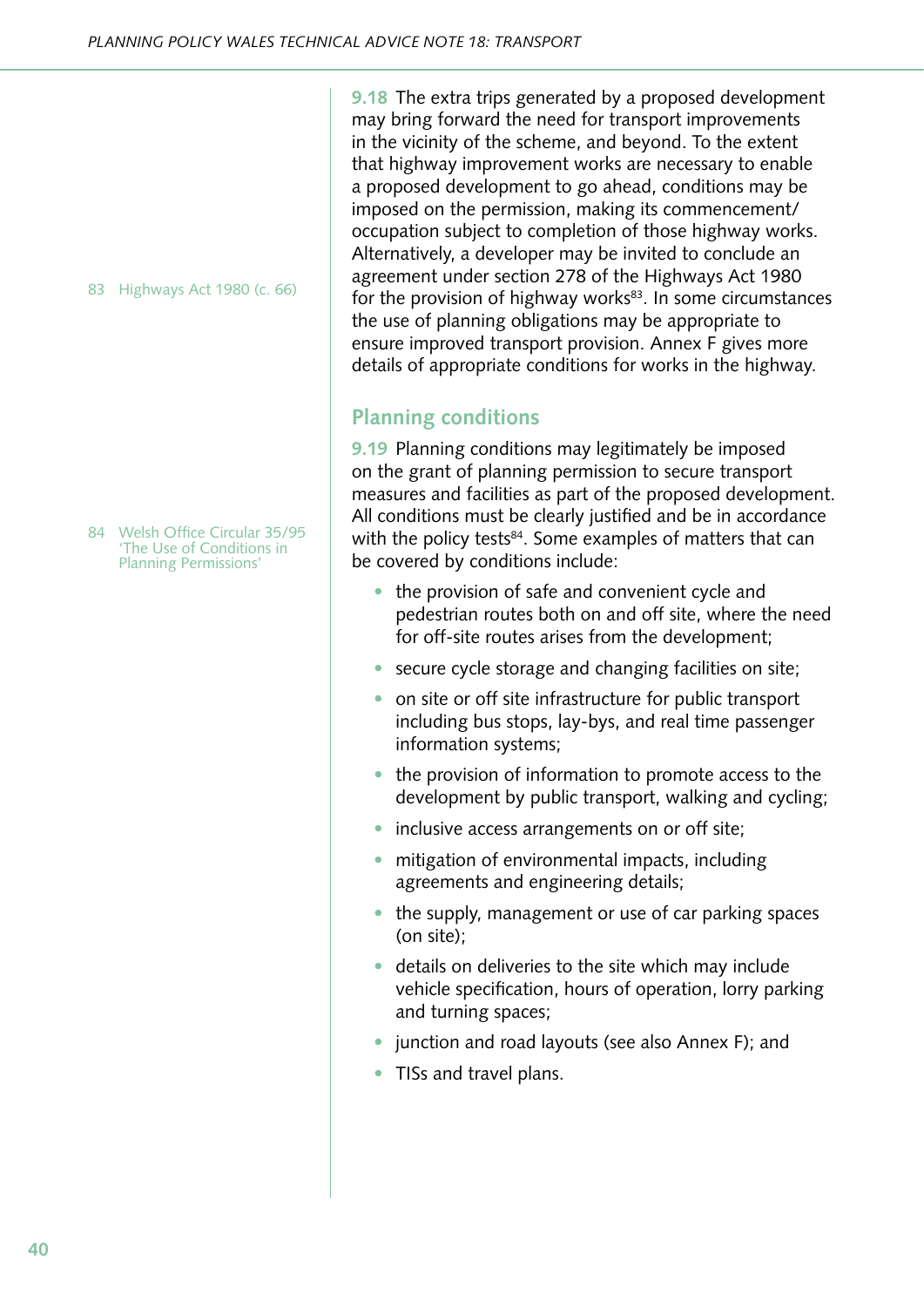83 Highways Act 1980 (c. 66)

84 Welsh Office Circular 35/95 'The Use of Conditions in Planning Permissions'

**9.18** The extra trips generated by a proposed development may bring forward the need for transport improvements in the vicinity of the scheme, and beyond. To the extent that highway improvement works are necessary to enable a proposed development to go ahead, conditions may be imposed on the permission, making its commencement/ occupation subject to completion of those highway works. Alternatively, a developer may be invited to conclude an agreement under section 278 of the Highways Act 1980 for the provision of highway works $83$ . In some circumstances the use of planning obligations may be appropriate to ensure improved transport provision. Annex F gives more details of appropriate conditions for works in the highway.

## **Planning conditions**

**9.19** Planning conditions may legitimately be imposed on the grant of planning permission to secure transport measures and facilities as part of the proposed development. All conditions must be clearly justified and be in accordance with the policy tests<sup>84</sup>. Some examples of matters that can be covered by conditions include:

- the provision of safe and convenient cycle and pedestrian routes both on and off site, where the need for off-site routes arises from the development;
- secure cycle storage and changing facilities on site;
- on site or off site infrastructure for public transport including bus stops, lay-bys, and real time passenger information systems;
- the provision of information to promote access to the development by public transport, walking and cycling;
- inclusive access arrangements on or off site;
- mitigation of environmental impacts, including agreements and engineering details;
- the supply, management or use of car parking spaces (on site);
- details on deliveries to the site which may include vehicle specification, hours of operation, lorry parking and turning spaces;
- junction and road layouts (see also Annex F); and
- TISs and travel plans.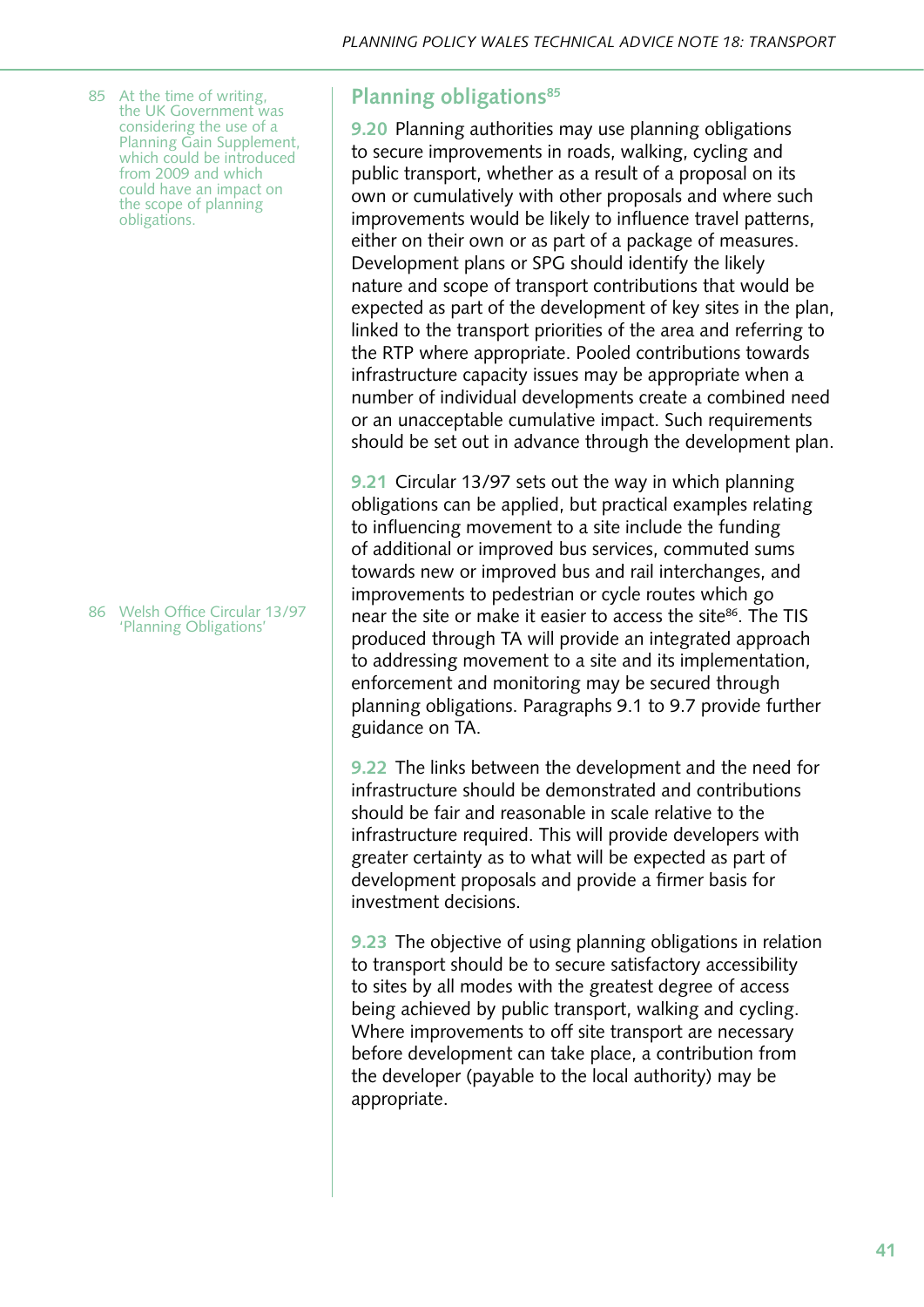85 At the time of writing, the UK Government was considering the use of a Planning Gain Supplement, which could be introduced from 2009 and which could have an impact on the scope of planning obligations.

86 Welsh Office Circular 13/97 'Planning Obligations'

## **Planning obligations**85

**9.20** Planning authorities may use planning obligations to secure improvements in roads, walking, cycling and public transport, whether as a result of a proposal on its own or cumulatively with other proposals and where such improvements would be likely to influence travel patterns, either on their own or as part of a package of measures. Development plans or SPG should identify the likely nature and scope of transport contributions that would be expected as part of the development of key sites in the plan, linked to the transport priorities of the area and referring to the RTP where appropriate. Pooled contributions towards infrastructure capacity issues may be appropriate when a number of individual developments create a combined need or an unacceptable cumulative impact. Such requirements should be set out in advance through the development plan.

**9.21** Circular 13/97 sets out the way in which planning obligations can be applied, but practical examples relating to influencing movement to a site include the funding of additional or improved bus services, commuted sums towards new or improved bus and rail interchanges, and improvements to pedestrian or cycle routes which go near the site or make it easier to access the site<sup>86</sup>. The TIS produced through TA will provide an integrated approach to addressing movement to a site and its implementation, enforcement and monitoring may be secured through planning obligations. Paragraphs 9.1 to 9.7 provide further guidance on TA.

**9.22** The links between the development and the need for infrastructure should be demonstrated and contributions should be fair and reasonable in scale relative to the infrastructure required. This will provide developers with greater certainty as to what will be expected as part of development proposals and provide a firmer basis for investment decisions.

**9.23** The objective of using planning obligations in relation to transport should be to secure satisfactory accessibility to sites by all modes with the greatest degree of access being achieved by public transport, walking and cycling. Where improvements to off site transport are necessary before development can take place, a contribution from the developer (payable to the local authority) may be appropriate.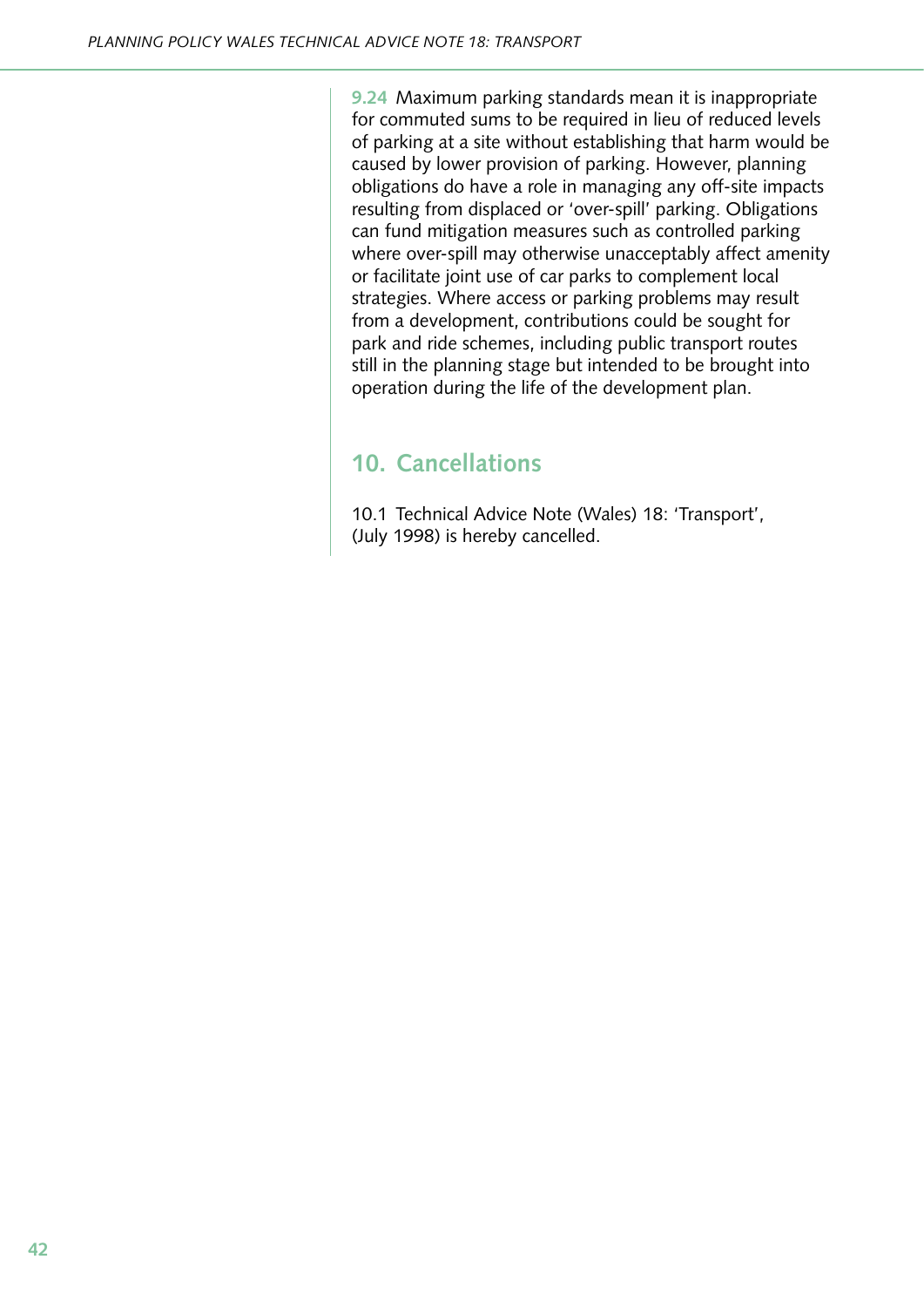**9.24** Maximum parking standards mean it is inappropriate for commuted sums to be required in lieu of reduced levels of parking at a site without establishing that harm would be caused by lower provision of parking. However, planning obligations do have a role in managing any off-site impacts resulting from displaced or 'over-spill' parking. Obligations can fund mitigation measures such as controlled parking where over-spill may otherwise unacceptably affect amenity or facilitate joint use of car parks to complement local strategies. Where access or parking problems may result from a development, contributions could be sought for park and ride schemes, including public transport routes still in the planning stage but intended to be brought into operation during the life of the development plan.

# **10. Cancellations**

10.1 Technical Advice Note (Wales) 18: 'Transport', (July 1998) is hereby cancelled.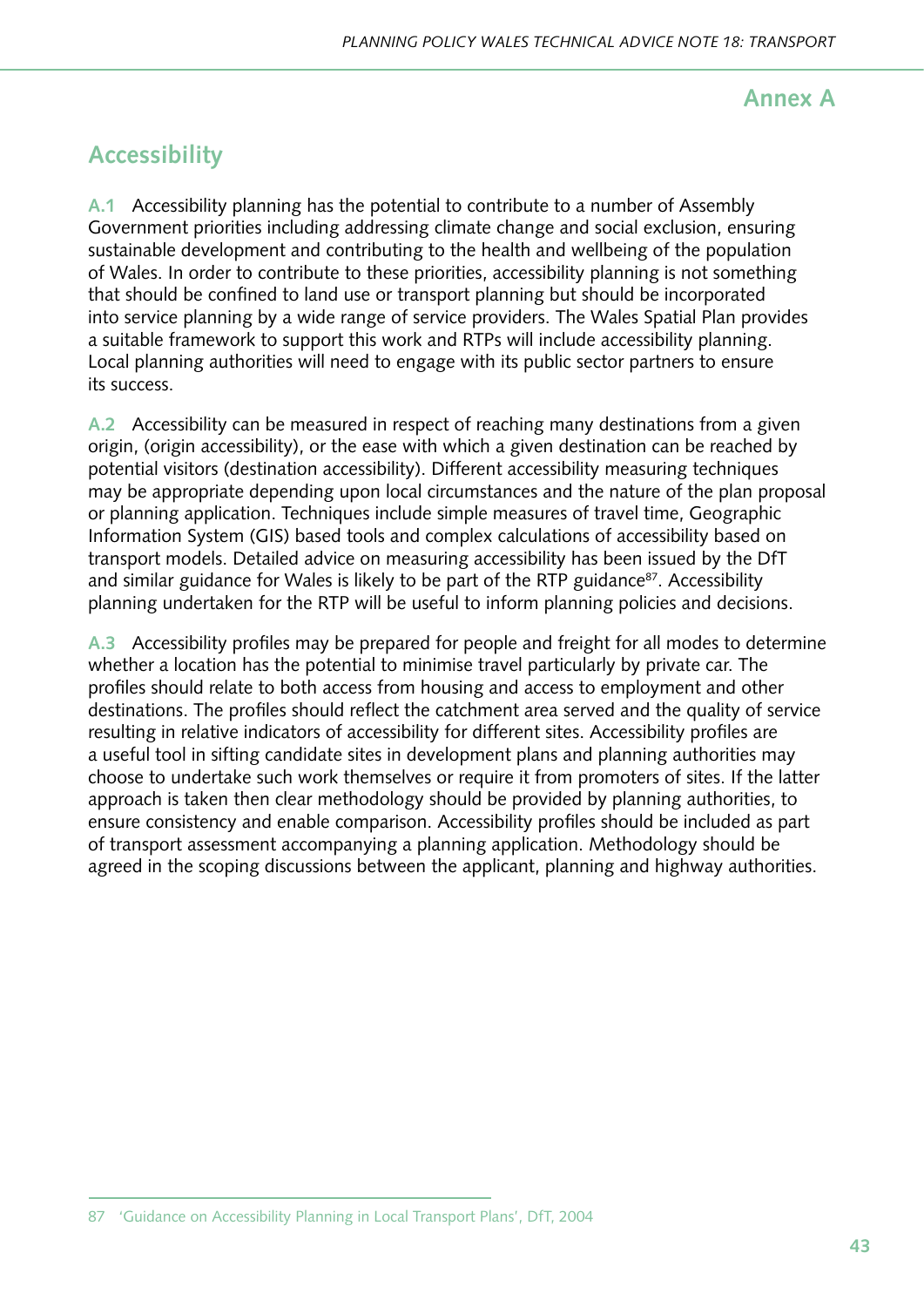## **Annex A**

# **Accessibility**

**A.1** Accessibility planning has the potential to contribute to a number of Assembly Government priorities including addressing climate change and social exclusion, ensuring sustainable development and contributing to the health and wellbeing of the population of Wales. In order to contribute to these priorities, accessibility planning is not something that should be confined to land use or transport planning but should be incorporated into service planning by a wide range of service providers. The Wales Spatial Plan provides a suitable framework to support this work and RTPs will include accessibility planning. Local planning authorities will need to engage with its public sector partners to ensure its success.

**A.2** Accessibility can be measured in respect of reaching many destinations from a given origin, (origin accessibility), or the ease with which a given destination can be reached by potential visitors (destination accessibility). Different accessibility measuring techniques may be appropriate depending upon local circumstances and the nature of the plan proposal or planning application. Techniques include simple measures of travel time, Geographic Information System (GIS) based tools and complex calculations of accessibility based on transport models. Detailed advice on measuring accessibility has been issued by the DfT and similar guidance for Wales is likely to be part of the RTP guidance<sup>87</sup>. Accessibility planning undertaken for the RTP will be useful to inform planning policies and decisions.

**A.3** Accessibility profiles may be prepared for people and freight for all modes to determine whether a location has the potential to minimise travel particularly by private car. The profiles should relate to both access from housing and access to employment and other destinations. The profiles should reflect the catchment area served and the quality of service resulting in relative indicators of accessibility for different sites. Accessibility profiles are a useful tool in sifting candidate sites in development plans and planning authorities may choose to undertake such work themselves or require it from promoters of sites. If the latter approach is taken then clear methodology should be provided by planning authorities, to ensure consistency and enable comparison. Accessibility profiles should be included as part of transport assessment accompanying a planning application. Methodology should be agreed in the scoping discussions between the applicant, planning and highway authorities.

<sup>87</sup> 'Guidance on Accessibility Planning in Local Transport Plans', DfT, 2004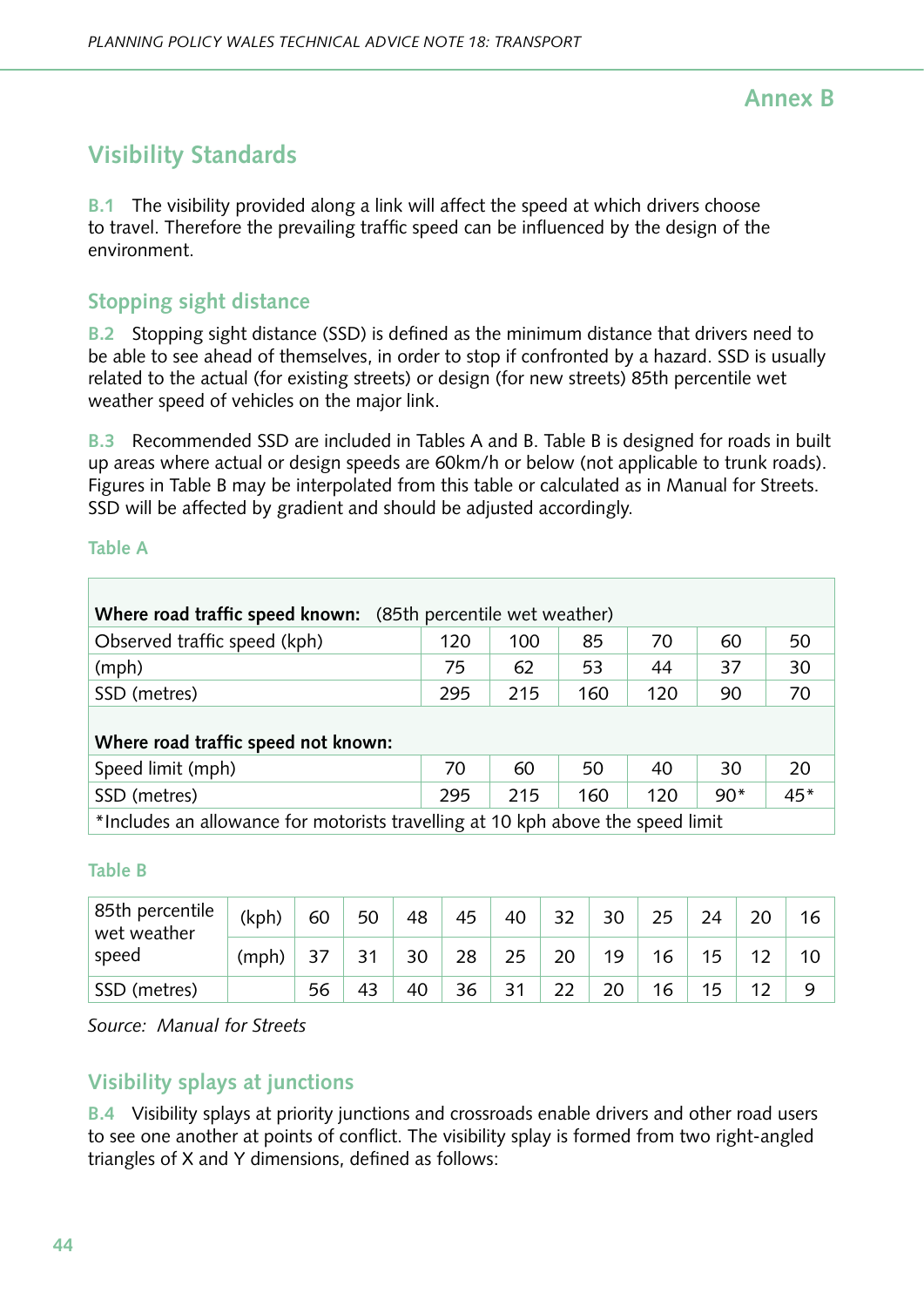# **Visibility Standards**

**B.1** The visibility provided along a link will affect the speed at which drivers choose to travel. Therefore the prevailing traffic speed can be influenced by the design of the environment.

### **Stopping sight distance**

**B.2** Stopping sight distance (SSD) is defined as the minimum distance that drivers need to be able to see ahead of themselves, in order to stop if confronted by a hazard. SSD is usually related to the actual (for existing streets) or design (for new streets) 85th percentile wet weather speed of vehicles on the major link.

**B.3** Recommended SSD are included in Tables A and B. Table B is designed for roads in built up areas where actual or design speeds are 60km/h or below (not applicable to trunk roads). Figures in Table B may be interpolated from this table or calculated as in Manual for Streets. SSD will be affected by gradient and should be adjusted accordingly.

#### **Table A**

| <b>Where road traffic speed known:</b> (85th percentile wet weather)            |     |     |     |     |       |       |  |
|---------------------------------------------------------------------------------|-----|-----|-----|-----|-------|-------|--|
| Observed traffic speed (kph)<br>85<br>120<br>70<br>100<br>60<br>50              |     |     |     |     |       |       |  |
| (mph)                                                                           | 75  | 62  | 53  | 44  | 37    | 30    |  |
| SSD (metres)<br>215<br>295<br>160<br>70<br>120<br>90                            |     |     |     |     |       |       |  |
| Where road traffic speed not known:                                             |     |     |     |     |       |       |  |
| Speed limit (mph)                                                               | 70  | 60  | 50  | 40  | 30    | 20    |  |
| SSD (metres)                                                                    | 295 | 215 | 160 | 120 | $90*$ | $45*$ |  |
| *Includes an allowance for motorists travelling at 10 kph above the speed limit |     |     |     |     |       |       |  |

#### **Table B**

| 85th percentile<br>wet weather | (kph) | 60 | 50 | 48 | 45 | 40 | 32 | 30 |    |  |  |
|--------------------------------|-------|----|----|----|----|----|----|----|----|--|--|
| speed                          | (mph) |    |    | 30 | 28 | つに | 20 | 10 |    |  |  |
| SSD (metres)                   |       | 56 | 43 | 40 | 36 |    | າາ | າດ | 16 |  |  |

*Source: Manual for Streets*

## **Visibility splays at junctions**

**B.4** Visibility splays at priority junctions and crossroads enable drivers and other road users to see one another at points of conflict. The visibility splay is formed from two right-angled triangles of X and Y dimensions, defined as follows: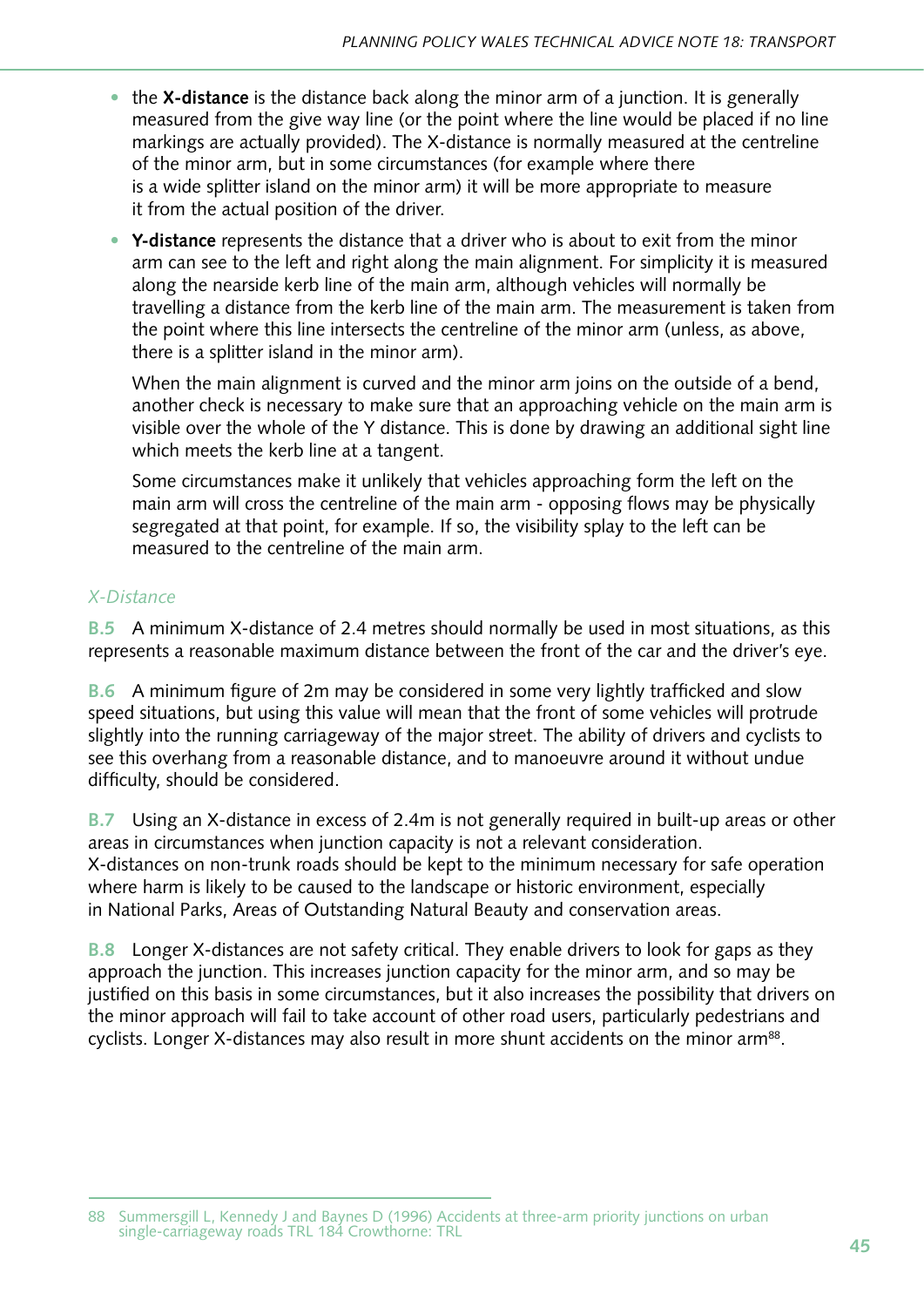- the **X-distance** is the distance back along the minor arm of a junction. It is generally measured from the give way line (or the point where the line would be placed if no line markings are actually provided). The X-distance is normally measured at the centreline of the minor arm, but in some circumstances (for example where there is a wide splitter island on the minor arm) it will be more appropriate to measure it from the actual position of the driver.
- **Y-distance** represents the distance that a driver who is about to exit from the minor arm can see to the left and right along the main alignment. For simplicity it is measured along the nearside kerb line of the main arm, although vehicles will normally be travelling a distance from the kerb line of the main arm. The measurement is taken from the point where this line intersects the centreline of the minor arm (unless, as above, there is a splitter island in the minor arm).

When the main alignment is curved and the minor arm joins on the outside of a bend, another check is necessary to make sure that an approaching vehicle on the main arm is visible over the whole of the Y distance. This is done by drawing an additional sight line which meets the kerb line at a tangent.

Some circumstances make it unlikely that vehicles approaching form the left on the main arm will cross the centreline of the main arm - opposing flows may be physically segregated at that point, for example. If so, the visibility splay to the left can be measured to the centreline of the main arm.

#### *X-Distance*

**B.5** A minimum X-distance of 2.4 metres should normally be used in most situations, as this represents a reasonable maximum distance between the front of the car and the driver's eye.

**B.6** A minimum figure of 2m may be considered in some very lightly trafficked and slow speed situations, but using this value will mean that the front of some vehicles will protrude slightly into the running carriageway of the major street. The ability of drivers and cyclists to see this overhang from a reasonable distance, and to manoeuvre around it without undue difficulty, should be considered.

**B.7** Using an X-distance in excess of 2.4m is not generally required in built-up areas or other areas in circumstances when junction capacity is not a relevant consideration. X-distances on non-trunk roads should be kept to the minimum necessary for safe operation where harm is likely to be caused to the landscape or historic environment, especially in National Parks, Areas of Outstanding Natural Beauty and conservation areas.

**B.8** Longer X-distances are not safety critical. They enable drivers to look for gaps as they approach the junction. This increases junction capacity for the minor arm, and so may be justified on this basis in some circumstances, but it also increases the possibility that drivers on the minor approach will fail to take account of other road users, particularly pedestrians and cyclists. Longer X-distances may also result in more shunt accidents on the minor arm<sup>88</sup>.

<sup>88</sup> Summersgill L, Kennedy J and Baynes D (1996) Accidents at three-arm priority junctions on urban single-carriageway roads TRL 184 Crowthorne: TRL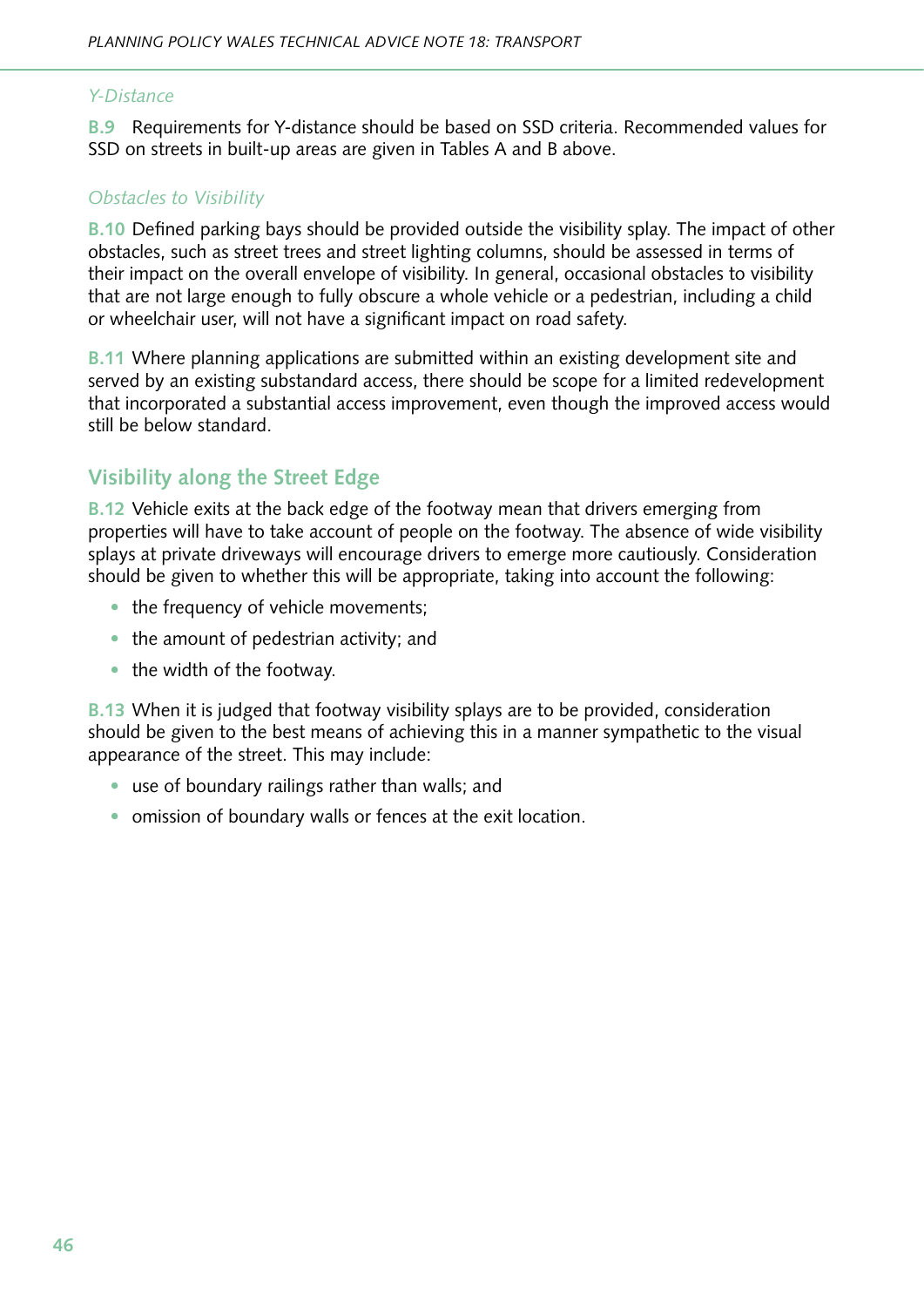#### *Y-Distance*

**B.9** Requirements for Y-distance should be based on SSD criteria. Recommended values for SSD on streets in built-up areas are given in Tables A and B above.

#### *Obstacles to Visibility*

**B.10** Defined parking bays should be provided outside the visibility splay. The impact of other obstacles, such as street trees and street lighting columns, should be assessed in terms of their impact on the overall envelope of visibility. In general, occasional obstacles to visibility that are not large enough to fully obscure a whole vehicle or a pedestrian, including a child or wheelchair user, will not have a significant impact on road safety.

**B.11** Where planning applications are submitted within an existing development site and served by an existing substandard access, there should be scope for a limited redevelopment that incorporated a substantial access improvement, even though the improved access would still be below standard.

### **Visibility along the Street Edge**

**B.12** Vehicle exits at the back edge of the footway mean that drivers emerging from properties will have to take account of people on the footway. The absence of wide visibility splays at private driveways will encourage drivers to emerge more cautiously. Consideration should be given to whether this will be appropriate, taking into account the following:

- the frequency of vehicle movements;
- the amount of pedestrian activity; and
- the width of the footway.

**B.13** When it is judged that footway visibility splays are to be provided, consideration should be given to the best means of achieving this in a manner sympathetic to the visual appearance of the street. This may include:

- use of boundary railings rather than walls; and
- omission of boundary walls or fences at the exit location.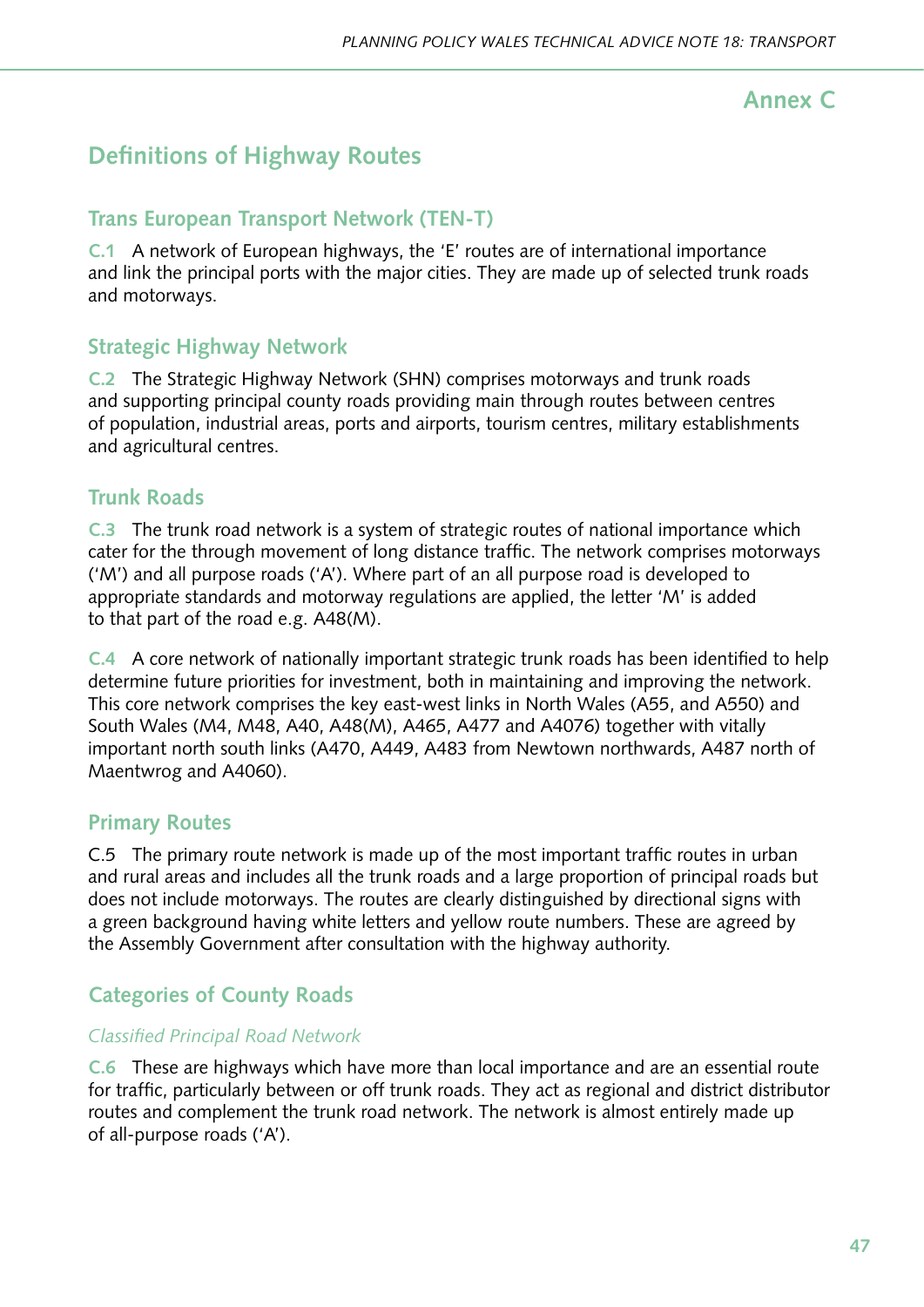# **Annex C**

# **Definitions of Highway Routes**

## **Trans European Transport Network (TEN-T)**

**C.1** A network of European highways, the 'E' routes are of international importance and link the principal ports with the major cities. They are made up of selected trunk roads and motorways.

## **Strategic Highway Network**

**C.2** The Strategic Highway Network (SHN) comprises motorways and trunk roads and supporting principal county roads providing main through routes between centres of population, industrial areas, ports and airports, tourism centres, military establishments and agricultural centres.

## **Trunk Roads**

**C.3** The trunk road network is a system of strategic routes of national importance which cater for the through movement of long distance traffic. The network comprises motorways ('M') and all purpose roads ('A'). Where part of an all purpose road is developed to appropriate standards and motorway regulations are applied, the letter 'M' is added to that part of the road e.g. A48(M).

**C.4** A core network of nationally important strategic trunk roads has been identified to help determine future priorities for investment, both in maintaining and improving the network. This core network comprises the key east-west links in North Wales (A55, and A550) and South Wales (M4, M48, A40, A48(M), A465, A477 and A4076) together with vitally important north south links (A470, A449, A483 from Newtown northwards, A487 north of Maentwrog and A4060).

## **Primary Routes**

C.5 The primary route network is made up of the most important traffic routes in urban and rural areas and includes all the trunk roads and a large proportion of principal roads but does not include motorways. The routes are clearly distinguished by directional signs with a green background having white letters and yellow route numbers. These are agreed by the Assembly Government after consultation with the highway authority.

# **Categories of County Roads**

#### *Classified Principal Road Network*

**C.6** These are highways which have more than local importance and are an essential route for traffic, particularly between or off trunk roads. They act as regional and district distributor routes and complement the trunk road network. The network is almost entirely made up of all-purpose roads ('A').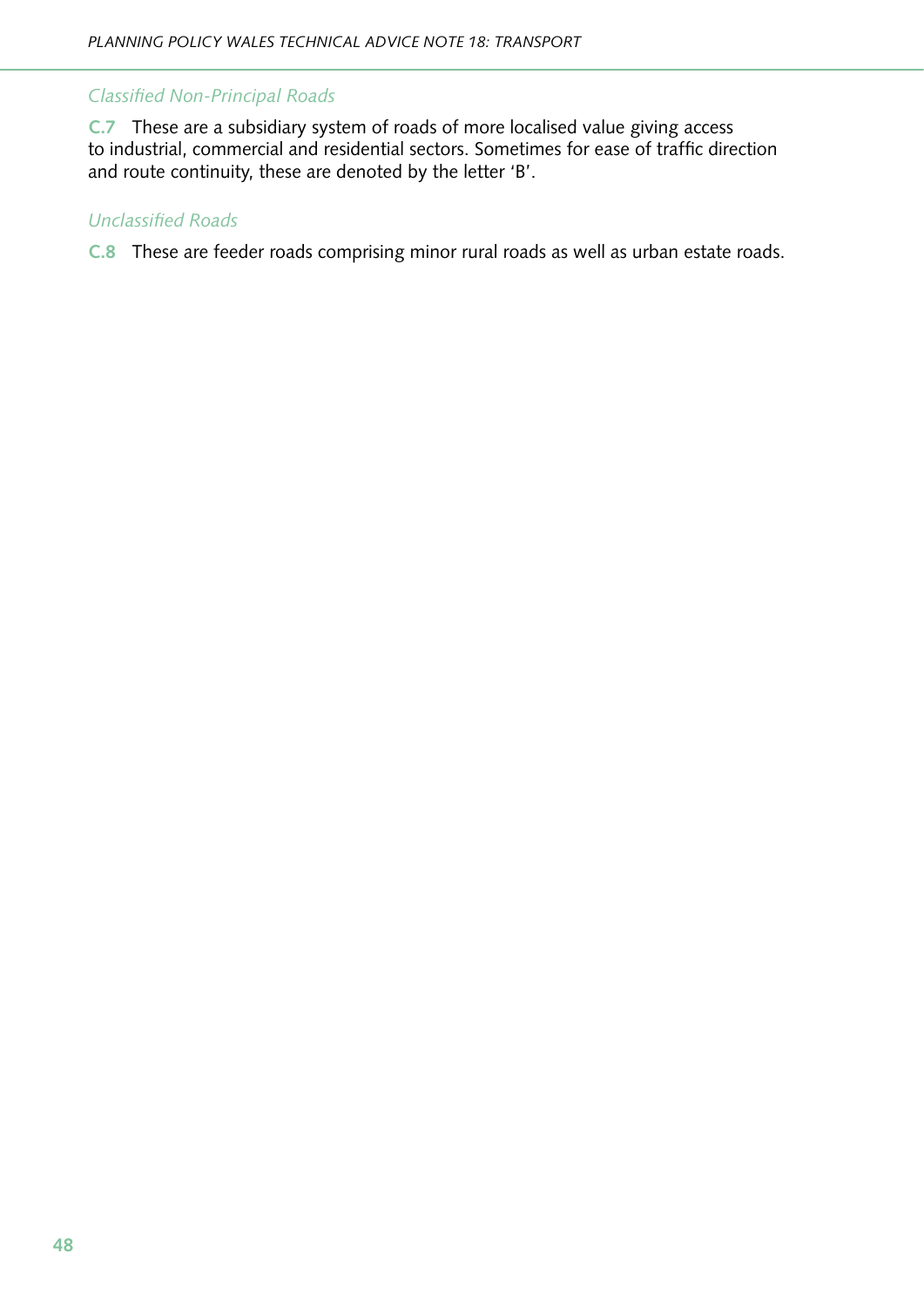#### *Classified Non-Principal Roads*

**C.7** These are a subsidiary system of roads of more localised value giving access to industrial, commercial and residential sectors. Sometimes for ease of traffic direction and route continuity, these are denoted by the letter 'B'.

#### *Unclassified Roads*

**C.8** These are feeder roads comprising minor rural roads as well as urban estate roads.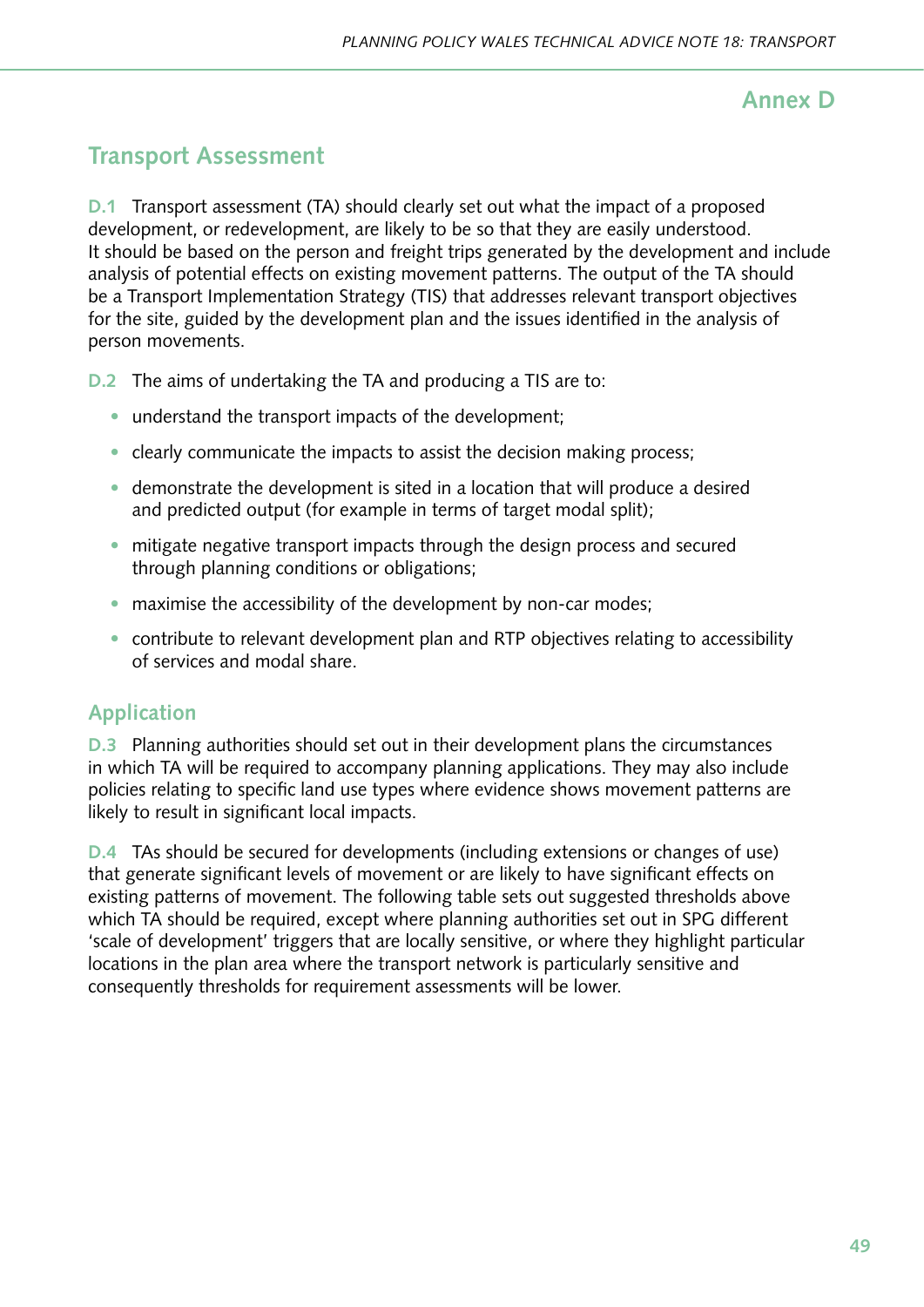## **Annex D**

# **Transport Assessment**

**D.1** Transport assessment (TA) should clearly set out what the impact of a proposed development, or redevelopment, are likely to be so that they are easily understood. It should be based on the person and freight trips generated by the development and include analysis of potential effects on existing movement patterns. The output of the TA should be a Transport Implementation Strategy (TIS) that addresses relevant transport objectives for the site, guided by the development plan and the issues identified in the analysis of person movements.

**D.2** The aims of undertaking the TA and producing a TIS are to:

- understand the transport impacts of the development:
- clearly communicate the impacts to assist the decision making process;
- demonstrate the development is sited in a location that will produce a desired and predicted output (for example in terms of target modal split);
- mitigate negative transport impacts through the design process and secured through planning conditions or obligations;
- maximise the accessibility of the development by non-car modes;
- contribute to relevant development plan and RTP objectives relating to accessibility of services and modal share.

## **Application**

**D.3** Planning authorities should set out in their development plans the circumstances in which TA will be required to accompany planning applications. They may also include policies relating to specific land use types where evidence shows movement patterns are likely to result in significant local impacts.

**D.4** TAs should be secured for developments (including extensions or changes of use) that generate significant levels of movement or are likely to have significant effects on existing patterns of movement. The following table sets out suggested thresholds above which TA should be required, except where planning authorities set out in SPG different 'scale of development' triggers that are locally sensitive, or where they highlight particular locations in the plan area where the transport network is particularly sensitive and consequently thresholds for requirement assessments will be lower.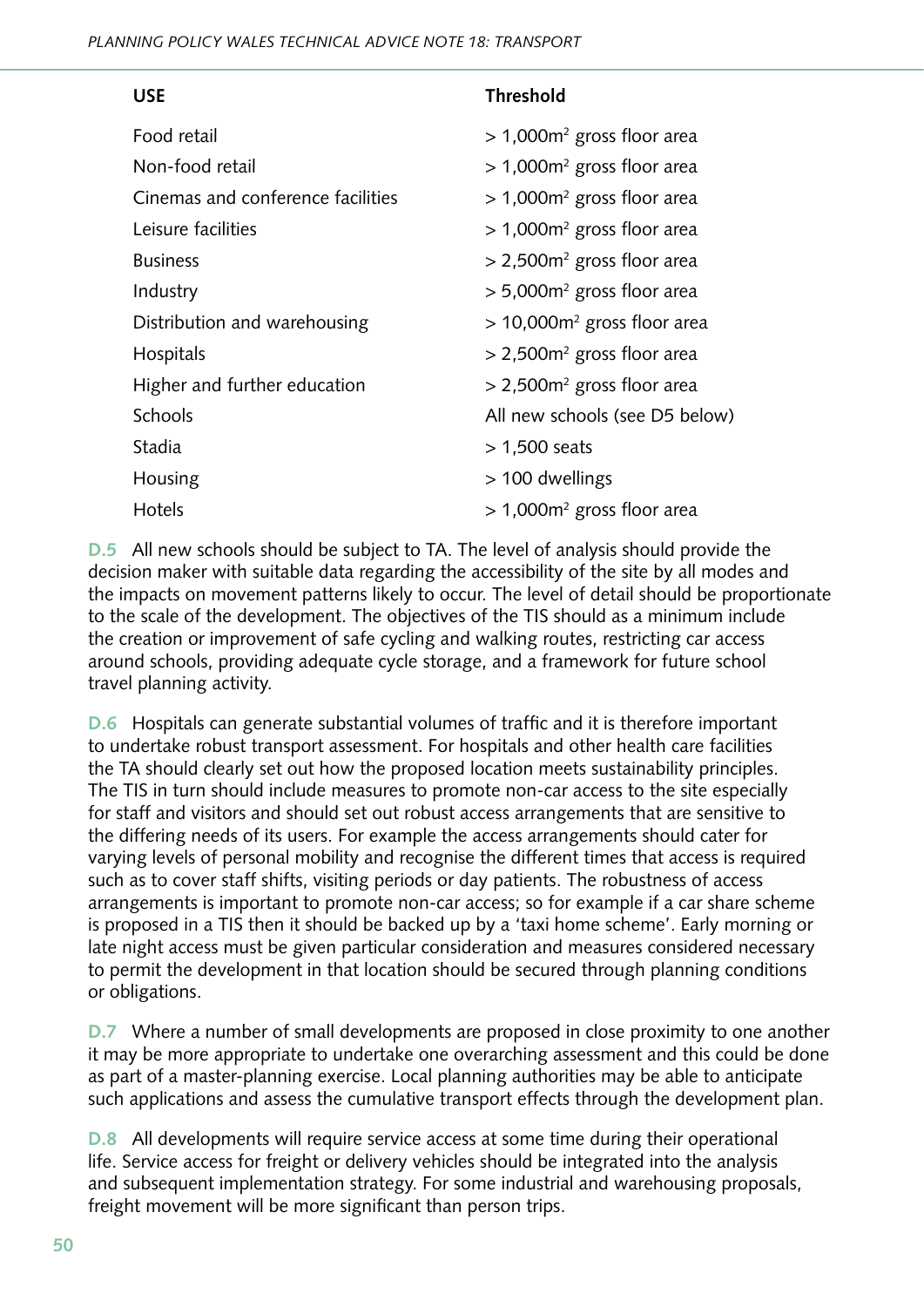| <b>USE</b>                        | <b>Threshold</b>                 |
|-----------------------------------|----------------------------------|
| Food retail                       | $>$ 1,000 $m2$ gross floor area  |
| Non-food retail                   | $>$ 1,000 $m2$ gross floor area  |
| Cinemas and conference facilities | $>$ 1,000 $m2$ gross floor area  |
| Leisure facilities                | $>$ 1,000 $m2$ gross floor area  |
| <b>Business</b>                   | $>$ 2,500 $m2$ gross floor area  |
| Industry                          | $>$ 5,000 $m2$ gross floor area  |
| Distribution and warehousing      | $>$ 10,000 $m2$ gross floor area |
| Hospitals                         | $>$ 2,500 $m2$ gross floor area  |
| Higher and further education      | $>$ 2,500 $m2$ gross floor area  |
| <b>Schools</b>                    | All new schools (see D5 below)   |
| Stadia                            | $> 1,500$ seats                  |
| Housing                           | > 100 dwellings                  |
| <b>Hotels</b>                     | $>$ 1,000 $m2$ gross floor area  |

**D.5** All new schools should be subject to TA. The level of analysis should provide the decision maker with suitable data regarding the accessibility of the site by all modes and the impacts on movement patterns likely to occur. The level of detail should be proportionate to the scale of the development. The objectives of the TIS should as a minimum include the creation or improvement of safe cycling and walking routes, restricting car access around schools, providing adequate cycle storage, and a framework for future school travel planning activity.

**D.6** Hospitals can generate substantial volumes of traffic and it is therefore important to undertake robust transport assessment. For hospitals and other health care facilities the TA should clearly set out how the proposed location meets sustainability principles. The TIS in turn should include measures to promote non-car access to the site especially for staff and visitors and should set out robust access arrangements that are sensitive to the differing needs of its users. For example the access arrangements should cater for varying levels of personal mobility and recognise the different times that access is required such as to cover staff shifts, visiting periods or day patients. The robustness of access arrangements is important to promote non-car access; so for example if a car share scheme is proposed in a TIS then it should be backed up by a 'taxi home scheme'. Early morning or late night access must be given particular consideration and measures considered necessary to permit the development in that location should be secured through planning conditions or obligations.

**D.7** Where a number of small developments are proposed in close proximity to one another it may be more appropriate to undertake one overarching assessment and this could be done as part of a master-planning exercise. Local planning authorities may be able to anticipate such applications and assess the cumulative transport effects through the development plan.

**D.8** All developments will require service access at some time during their operational life. Service access for freight or delivery vehicles should be integrated into the analysis and subsequent implementation strategy. For some industrial and warehousing proposals, freight movement will be more significant than person trips.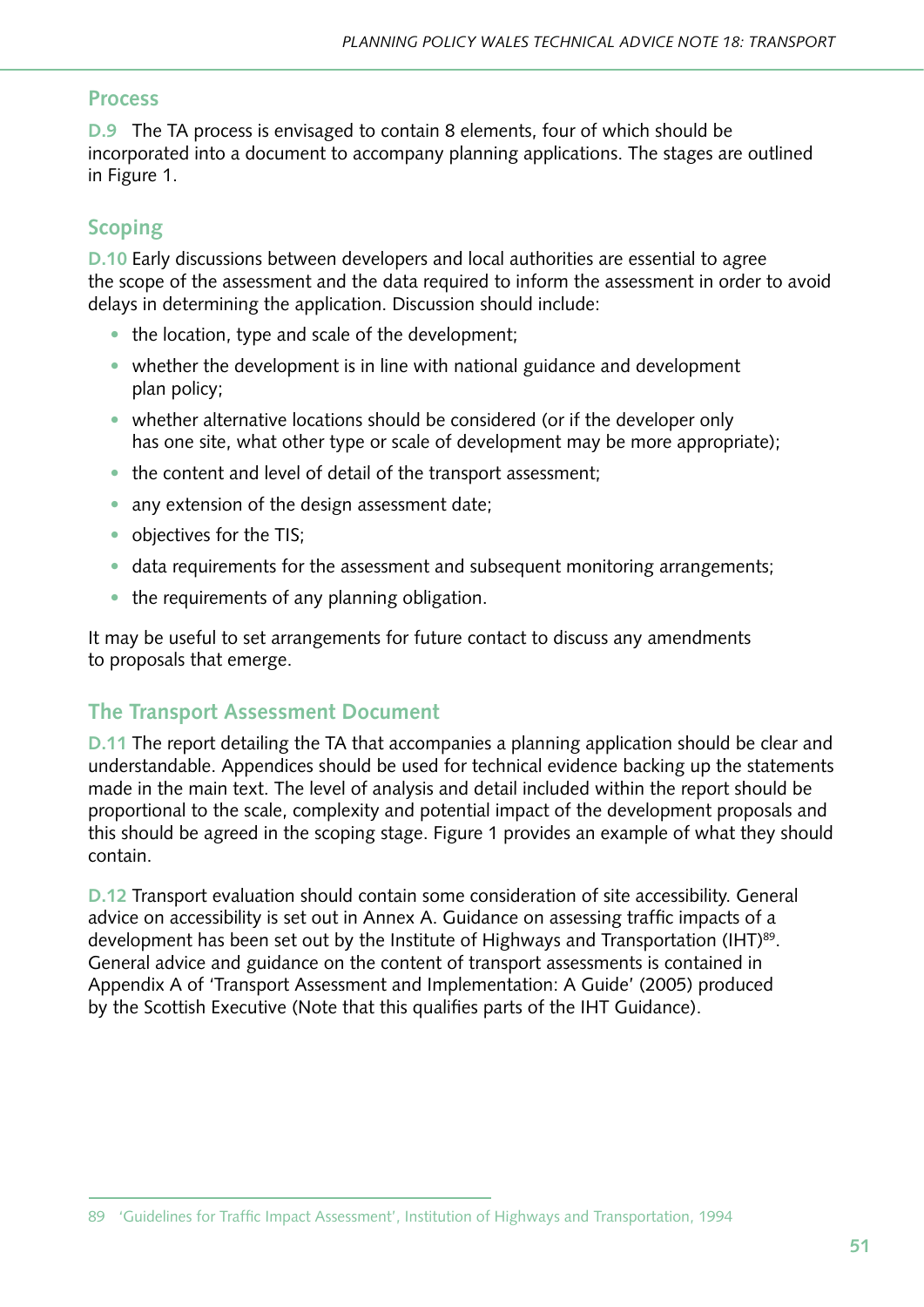#### **Process**

**D.9** The TA process is envisaged to contain 8 elements, four of which should be incorporated into a document to accompany planning applications. The stages are outlined in Figure 1.

## **Scoping**

**D.10** Early discussions between developers and local authorities are essential to agree the scope of the assessment and the data required to inform the assessment in order to avoid delays in determining the application. Discussion should include:

- the location, type and scale of the development:
- whether the development is in line with national guidance and development plan policy;
- whether alternative locations should be considered (or if the developer only has one site, what other type or scale of development may be more appropriate);
- the content and level of detail of the transport assessment;
- any extension of the design assessment date;
- objectives for the TIS;
- data requirements for the assessment and subsequent monitoring arrangements;
- the requirements of any planning obligation.

It may be useful to set arrangements for future contact to discuss any amendments to proposals that emerge.

## **The Transport Assessment Document**

**D.11** The report detailing the TA that accompanies a planning application should be clear and understandable. Appendices should be used for technical evidence backing up the statements made in the main text. The level of analysis and detail included within the report should be proportional to the scale, complexity and potential impact of the development proposals and this should be agreed in the scoping stage. Figure 1 provides an example of what they should contain.

**D.12** Transport evaluation should contain some consideration of site accessibility. General advice on accessibility is set out in Annex A. Guidance on assessing traffic impacts of a development has been set out by the Institute of Highways and Transportation (IHT)<sup>89</sup>. General advice and guidance on the content of transport assessments is contained in Appendix A of 'Transport Assessment and Implementation: A Guide' (2005) produced by the Scottish Executive (Note that this qualifies parts of the IHT Guidance).

<sup>89</sup> 'Guidelines for Traffic Impact Assessment', Institution of Highways and Transportation, 1994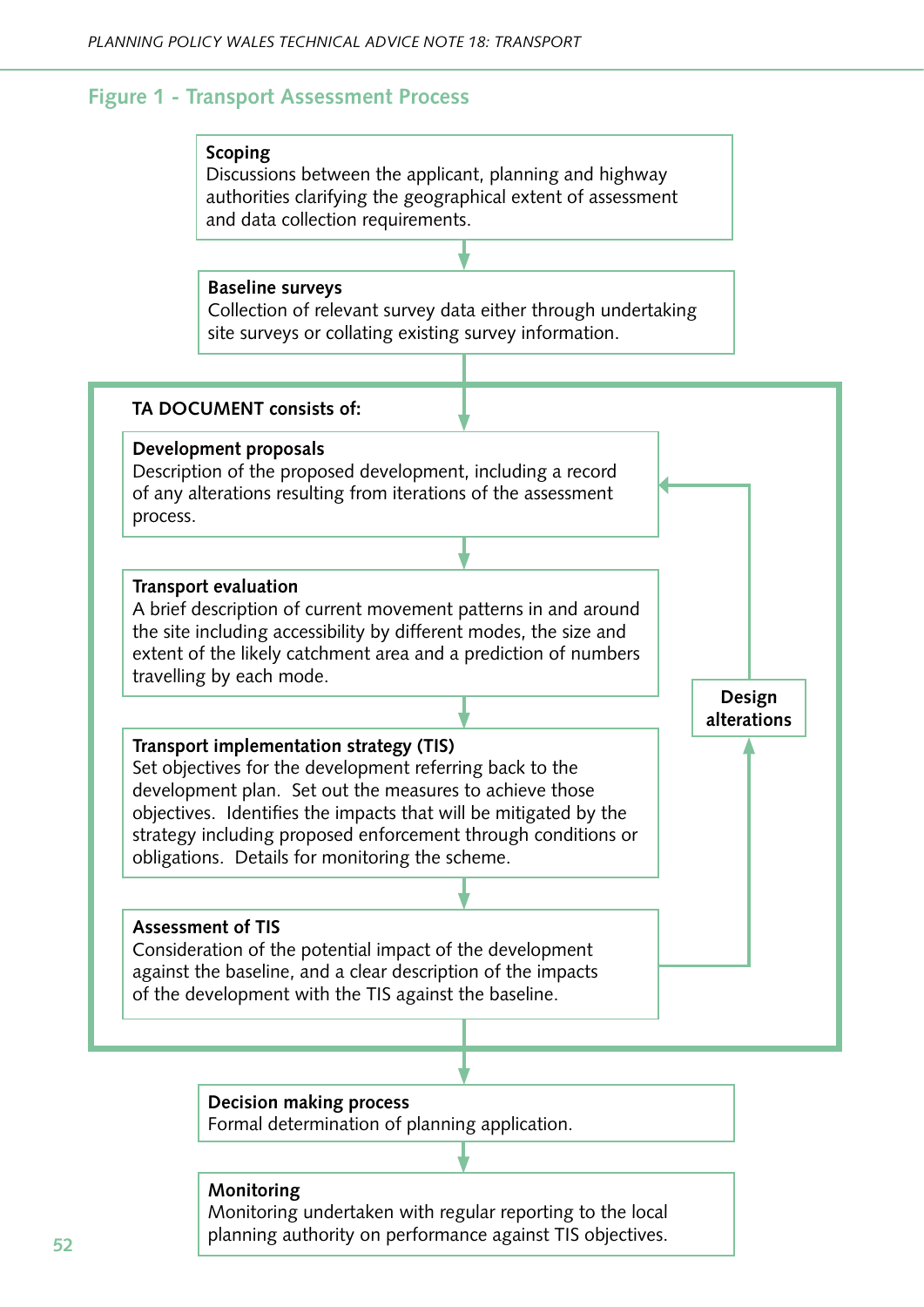#### **Figure 1 - Transport Assessment Process**

#### **Scoping**

Discussions between the applicant, planning and highway authorities clarifying the geographical extent of assessment and data collection requirements.

#### **Baseline surveys**

Collection of relevant survey data either through undertaking site surveys or collating existing survey information.

#### **TA DOCUMENT consists of:**

#### **Development proposals**

Description of the proposed development, including a record of any alterations resulting from iterations of the assessment process.

#### **Transport evaluation**

A brief description of current movement patterns in and around the site including accessibility by different modes, the size and extent of the likely catchment area and a prediction of numbers travelling by each mode.

> **Design alterations**

#### **Transport implementation strategy (TIS)**

Set objectives for the development referring back to the development plan. Set out the measures to achieve those objectives. Identifies the impacts that will be mitigated by the strategy including proposed enforcement through conditions or obligations. Details for monitoring the scheme.

#### **Assessment of TIS**

Consideration of the potential impact of the development against the baseline, and a clear description of the impacts of the development with the TIS against the baseline.

#### **Decision making process**

Formal determination of planning application.

#### **Monitoring**

Monitoring undertaken with regular reporting to the local planning authority on performance against TIS objectives.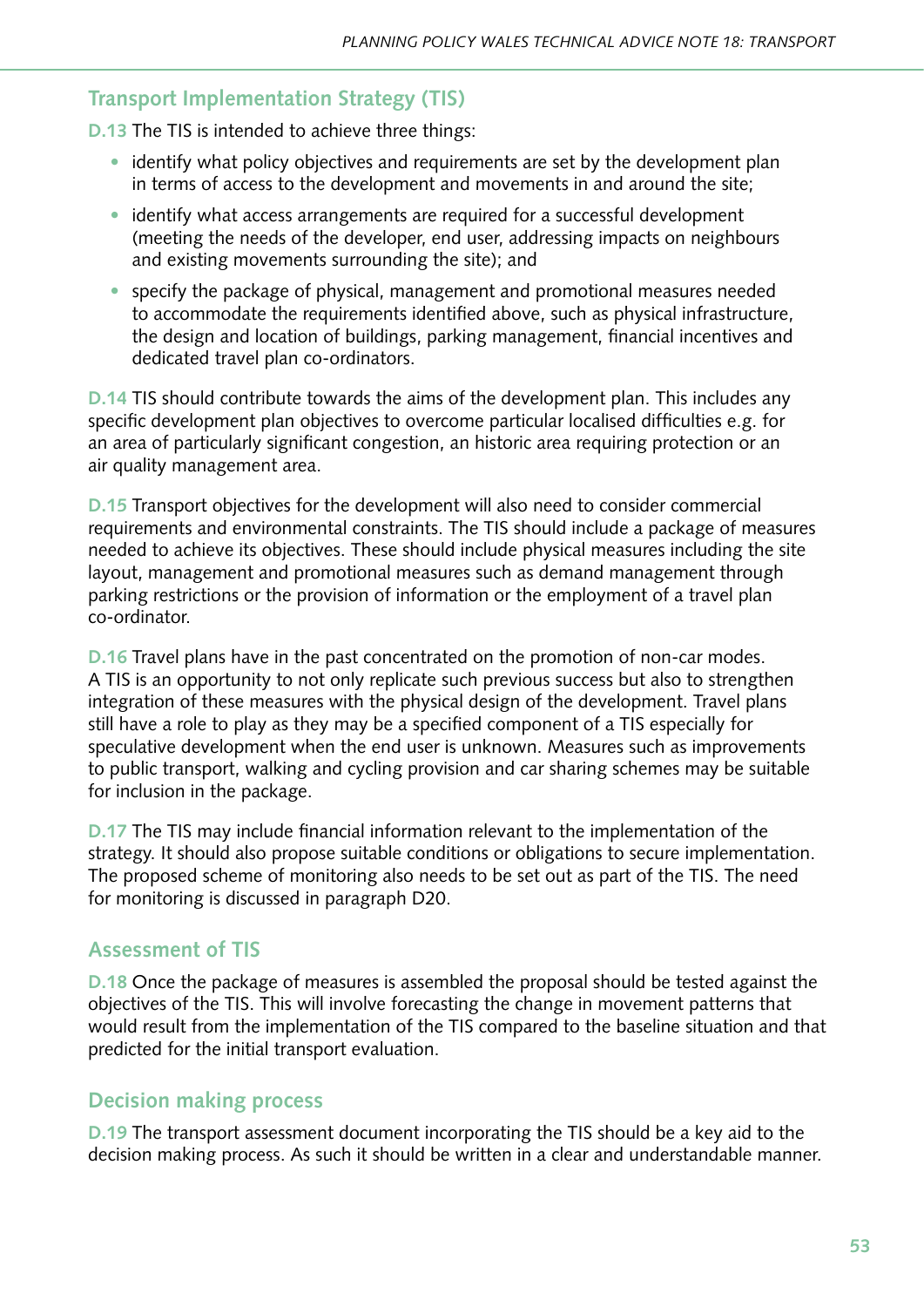#### **Transport Implementation Strategy (TIS)**

**D.13** The TIS is intended to achieve three things:

- identify what policy objectives and requirements are set by the development plan in terms of access to the development and movements in and around the site;
- identify what access arrangements are required for a successful development (meeting the needs of the developer, end user, addressing impacts on neighbours and existing movements surrounding the site); and
- specify the package of physical, management and promotional measures needed to accommodate the requirements identified above, such as physical infrastructure, the design and location of buildings, parking management, financial incentives and dedicated travel plan co-ordinators.

**D.14** TIS should contribute towards the aims of the development plan. This includes any specific development plan objectives to overcome particular localised difficulties e.g. for an area of particularly significant congestion, an historic area requiring protection or an air quality management area.

**D.15** Transport objectives for the development will also need to consider commercial requirements and environmental constraints. The TIS should include a package of measures needed to achieve its objectives. These should include physical measures including the site layout, management and promotional measures such as demand management through parking restrictions or the provision of information or the employment of a travel plan co-ordinator.

**D.16** Travel plans have in the past concentrated on the promotion of non-car modes. A TIS is an opportunity to not only replicate such previous success but also to strengthen integration of these measures with the physical design of the development. Travel plans still have a role to play as they may be a specified component of a TIS especially for speculative development when the end user is unknown. Measures such as improvements to public transport, walking and cycling provision and car sharing schemes may be suitable for inclusion in the package.

**D.17** The TIS may include financial information relevant to the implementation of the strategy. It should also propose suitable conditions or obligations to secure implementation. The proposed scheme of monitoring also needs to be set out as part of the TIS. The need for monitoring is discussed in paragraph D20.

#### **Assessment of TIS**

**D.18** Once the package of measures is assembled the proposal should be tested against the objectives of the TIS. This will involve forecasting the change in movement patterns that would result from the implementation of the TIS compared to the baseline situation and that predicted for the initial transport evaluation.

#### **Decision making process**

**D.19** The transport assessment document incorporating the TIS should be a key aid to the decision making process. As such it should be written in a clear and understandable manner.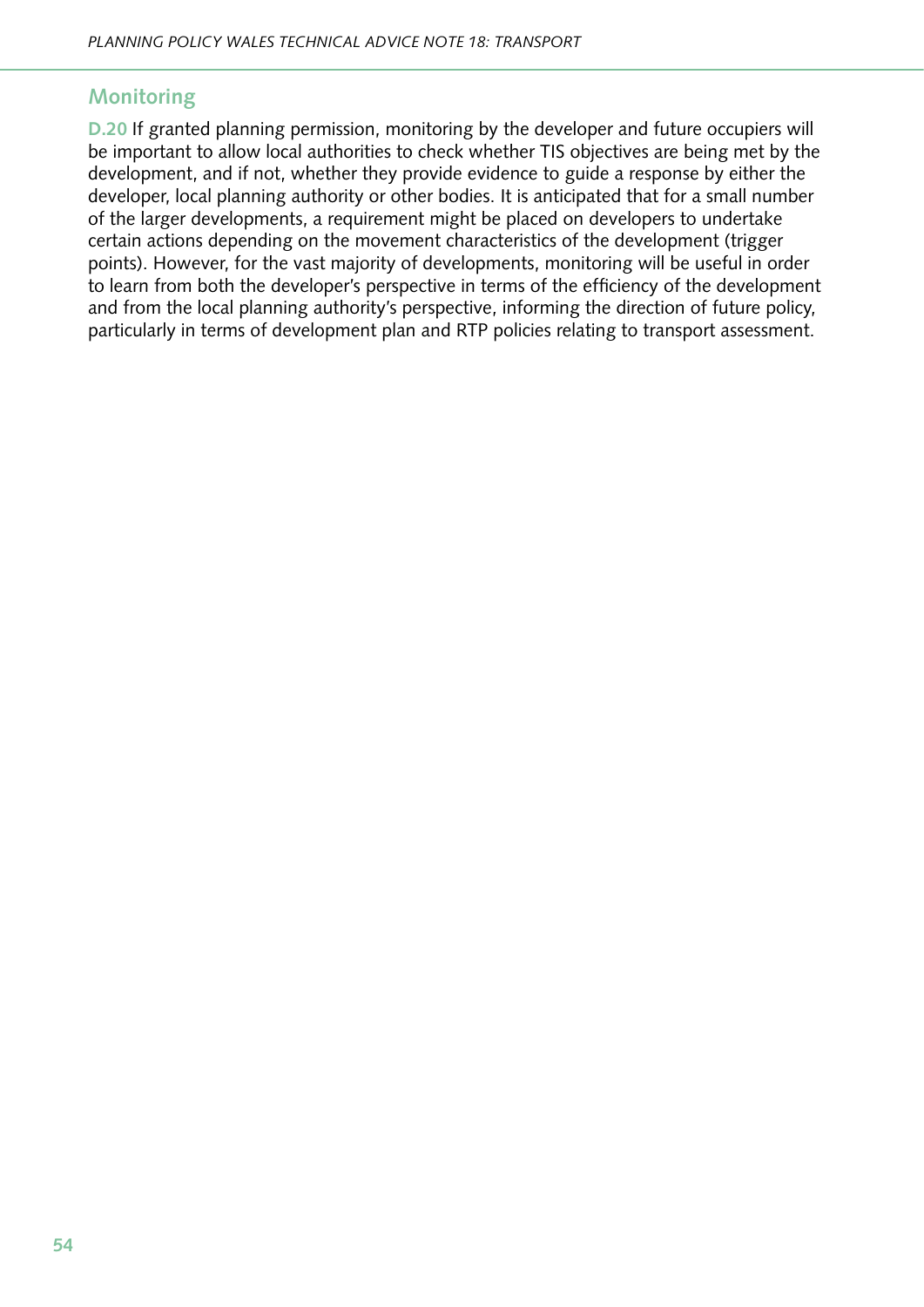### **Monitoring**

**D.20** If granted planning permission, monitoring by the developer and future occupiers will be important to allow local authorities to check whether TIS objectives are being met by the development, and if not, whether they provide evidence to guide a response by either the developer, local planning authority or other bodies. It is anticipated that for a small number of the larger developments, a requirement might be placed on developers to undertake certain actions depending on the movement characteristics of the development (trigger points). However, for the vast majority of developments, monitoring will be useful in order to learn from both the developer's perspective in terms of the efficiency of the development and from the local planning authority's perspective, informing the direction of future policy, particularly in terms of development plan and RTP policies relating to transport assessment.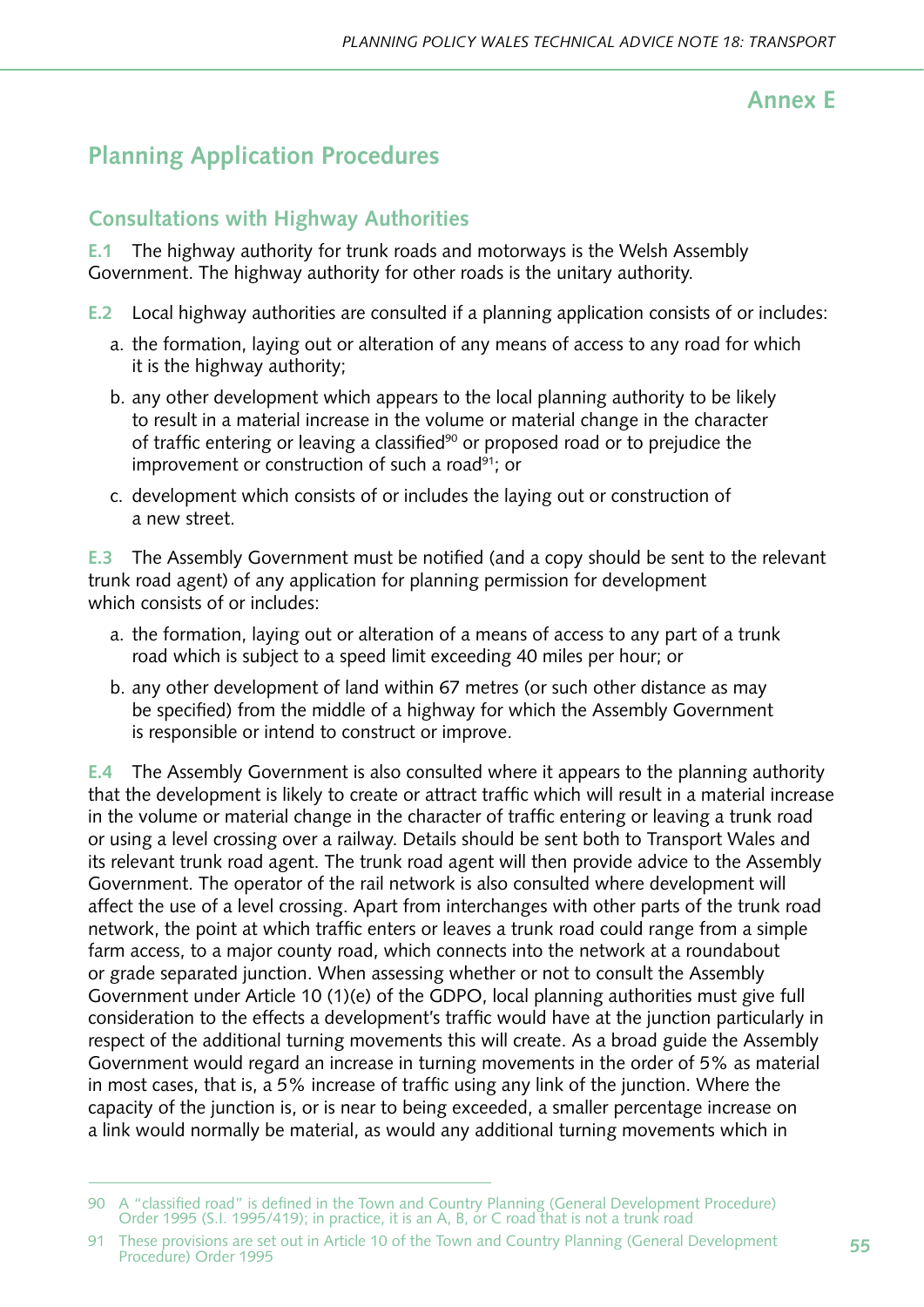## **Annex E**

# **Planning Application Procedures**

## **Consultations with Highway Authorities**

**E.1** The highway authority for trunk roads and motorways is the Welsh Assembly Government. The highway authority for other roads is the unitary authority.

- **E.2** Local highway authorities are consulted if a planning application consists of or includes:
	- a. the formation, laying out or alteration of any means of access to any road for which it is the highway authority;
	- b. any other development which appears to the local planning authority to be likely to result in a material increase in the volume or material change in the character of traffic entering or leaving a classified<sup>90</sup> or proposed road or to prejudice the improvement or construction of such a road<sup>91</sup>; or
	- c. development which consists of or includes the laying out or construction of a new street.

**E.3** The Assembly Government must be notified (and a copy should be sent to the relevant trunk road agent) of any application for planning permission for development which consists of or includes:

- a. the formation, laying out or alteration of a means of access to any part of a trunk road which is subject to a speed limit exceeding 40 miles per hour; or
- b. any other development of land within 67 metres (or such other distance as may be specified) from the middle of a highway for which the Assembly Government is responsible or intend to construct or improve.

**E.4** The Assembly Government is also consulted where it appears to the planning authority that the development is likely to create or attract traffic which will result in a material increase in the volume or material change in the character of traffic entering or leaving a trunk road or using a level crossing over a railway. Details should be sent both to Transport Wales and its relevant trunk road agent. The trunk road agent will then provide advice to the Assembly Government. The operator of the rail network is also consulted where development will affect the use of a level crossing. Apart from interchanges with other parts of the trunk road network, the point at which traffic enters or leaves a trunk road could range from a simple farm access, to a major county road, which connects into the network at a roundabout or grade separated junction. When assessing whether or not to consult the Assembly Government under Article 10 (1)(e) of the GDPO, local planning authorities must give full consideration to the effects a development's traffic would have at the junction particularly in respect of the additional turning movements this will create. As a broad guide the Assembly Government would regard an increase in turning movements in the order of 5% as material in most cases, that is, a 5% increase of traffic using any link of the junction. Where the capacity of the junction is, or is near to being exceeded, a smaller percentage increase on a link would normally be material, as would any additional turning movements which in

<sup>90</sup> A "classified road" is defined in the Town and Country Planning (General Development Procedure) Order 1995 (S.I. 1995/419); in practice, it is an A, B, or C road that is not a trunk road

<sup>91</sup> These provisions are set out in Article 10 of the Town and Country Planning (General Development Procedure) Order 1995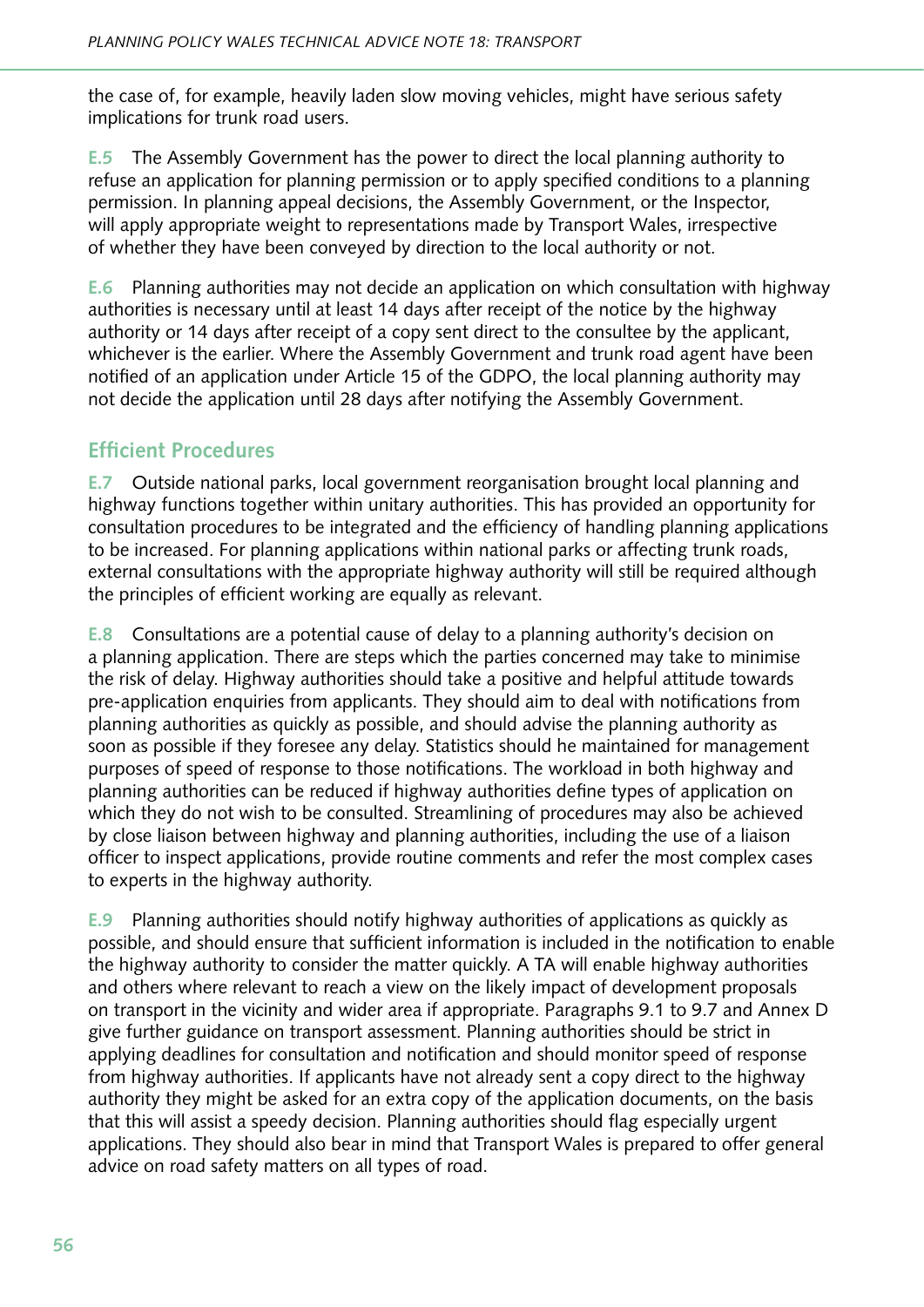the case of, for example, heavily laden slow moving vehicles, might have serious safety implications for trunk road users.

**E.5** The Assembly Government has the power to direct the local planning authority to refuse an application for planning permission or to apply specified conditions to a planning permission. In planning appeal decisions, the Assembly Government, or the Inspector, will apply appropriate weight to representations made by Transport Wales, irrespective of whether they have been conveyed by direction to the local authority or not.

**E.6** Planning authorities may not decide an application on which consultation with highway authorities is necessary until at least 14 days after receipt of the notice by the highway authority or 14 days after receipt of a copy sent direct to the consultee by the applicant, whichever is the earlier. Where the Assembly Government and trunk road agent have been notified of an application under Article 15 of the GDPO, the local planning authority may not decide the application until 28 days after notifying the Assembly Government.

### **Efficient Procedures**

**E.7** Outside national parks, local government reorganisation brought local planning and highway functions together within unitary authorities. This has provided an opportunity for consultation procedures to be integrated and the efficiency of handling planning applications to be increased. For planning applications within national parks or affecting trunk roads, external consultations with the appropriate highway authority will still be required although the principles of efficient working are equally as relevant.

**E.8** Consultations are a potential cause of delay to a planning authority's decision on a planning application. There are steps which the parties concerned may take to minimise the risk of delay. Highway authorities should take a positive and helpful attitude towards pre-application enquiries from applicants. They should aim to deal with notifications from planning authorities as quickly as possible, and should advise the planning authority as soon as possible if they foresee any delay. Statistics should he maintained for management purposes of speed of response to those notifications. The workload in both highway and planning authorities can be reduced if highway authorities define types of application on which they do not wish to be consulted. Streamlining of procedures may also be achieved by close liaison between highway and planning authorities, including the use of a liaison officer to inspect applications, provide routine comments and refer the most complex cases to experts in the highway authority.

**E.9** Planning authorities should notify highway authorities of applications as quickly as possible, and should ensure that sufficient information is included in the notification to enable the highway authority to consider the matter quickly. A TA will enable highway authorities and others where relevant to reach a view on the likely impact of development proposals on transport in the vicinity and wider area if appropriate. Paragraphs 9.1 to 9.7 and Annex D give further guidance on transport assessment. Planning authorities should be strict in applying deadlines for consultation and notification and should monitor speed of response from highway authorities. If applicants have not already sent a copy direct to the highway authority they might be asked for an extra copy of the application documents, on the basis that this will assist a speedy decision. Planning authorities should flag especially urgent applications. They should also bear in mind that Transport Wales is prepared to offer general advice on road safety matters on all types of road.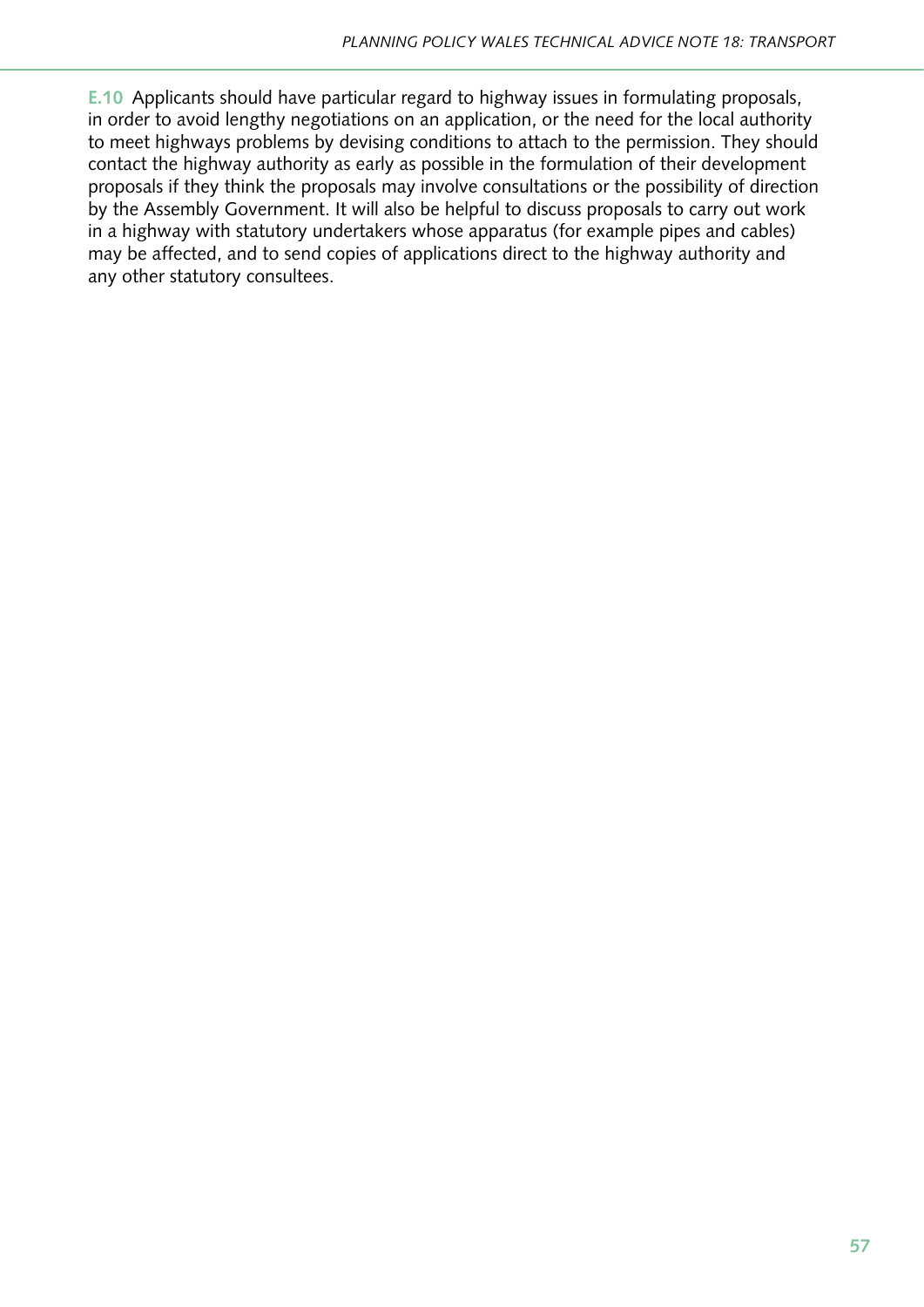**E.10** Applicants should have particular regard to highway issues in formulating proposals, in order to avoid lengthy negotiations on an application, or the need for the local authority to meet highways problems by devising conditions to attach to the permission. They should contact the highway authority as early as possible in the formulation of their development proposals if they think the proposals may involve consultations or the possibility of direction by the Assembly Government. It will also be helpful to discuss proposals to carry out work in a highway with statutory undertakers whose apparatus (for example pipes and cables) may be affected, and to send copies of applications direct to the highway authority and any other statutory consultees.